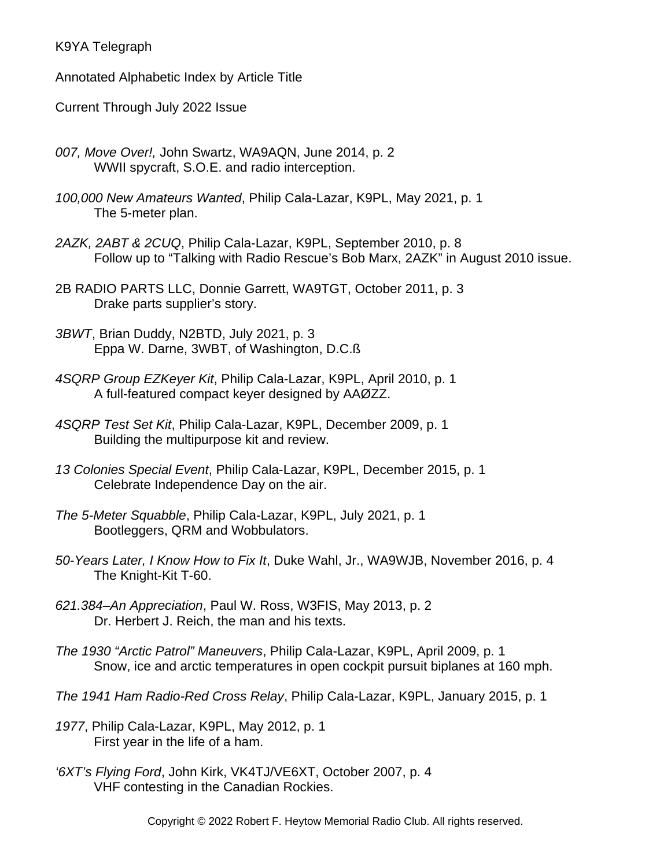K9YA Telegraph

Annotated Alphabetic Index by Article Title

Current Through July 2022 Issue

- *007, Move Over!,* John Swartz, WA9AQN, June 2014, p. 2 WWII spycraft, S.O.E. and radio interception.
- *100,000 New Amateurs Wanted*, Philip Cala-Lazar, K9PL, May 2021, p. 1 The 5-meter plan.
- *2AZK, 2ABT & 2CUQ*, Philip Cala-Lazar, K9PL, September 2010, p. 8 Follow up to "Talking with Radio Rescue's Bob Marx, 2AZK" in August 2010 issue.
- 2B RADIO PARTS LLC, Donnie Garrett, WA9TGT, October 2011, p. 3 Drake parts supplier's story.
- *3BWT*, Brian Duddy, N2BTD, July 2021, p. 3 Eppa W. Darne, 3WBT, of Washington, D.C.ß
- *4SQRP Group EZKeyer Kit*, Philip Cala-Lazar, K9PL, April 2010, p. 1 A full-featured compact keyer designed by AAØZZ.
- *4SQRP Test Set Kit*, Philip Cala-Lazar, K9PL, December 2009, p. 1 Building the multipurpose kit and review.
- *13 Colonies Special Event*, Philip Cala-Lazar, K9PL, December 2015, p. 1 Celebrate Independence Day on the air.
- *The 5-Meter Squabble*, Philip Cala-Lazar, K9PL, July 2021, p. 1 Bootleggers, QRM and Wobbulators.
- *50-Years Later, I Know How to Fix It*, Duke Wahl, Jr., WA9WJB, November 2016, p. 4 The Knight-Kit T-60.
- *621.384–An Appreciation*, Paul W. Ross, W3FIS, May 2013, p. 2 Dr. Herbert J. Reich, the man and his texts.
- *The 1930 "Arctic Patrol" Maneuvers*, Philip Cala-Lazar, K9PL, April 2009, p. 1 Snow, ice and arctic temperatures in open cockpit pursuit biplanes at 160 mph.
- *The 1941 Ham Radio-Red Cross Relay*, Philip Cala-Lazar, K9PL, January 2015, p. 1
- *1977*, Philip Cala-Lazar, K9PL, May 2012, p. 1 First year in the life of a ham.
- *'6XT's Flying Ford*, John Kirk, VK4TJ/VE6XT, October 2007, p. 4 VHF contesting in the Canadian Rockies.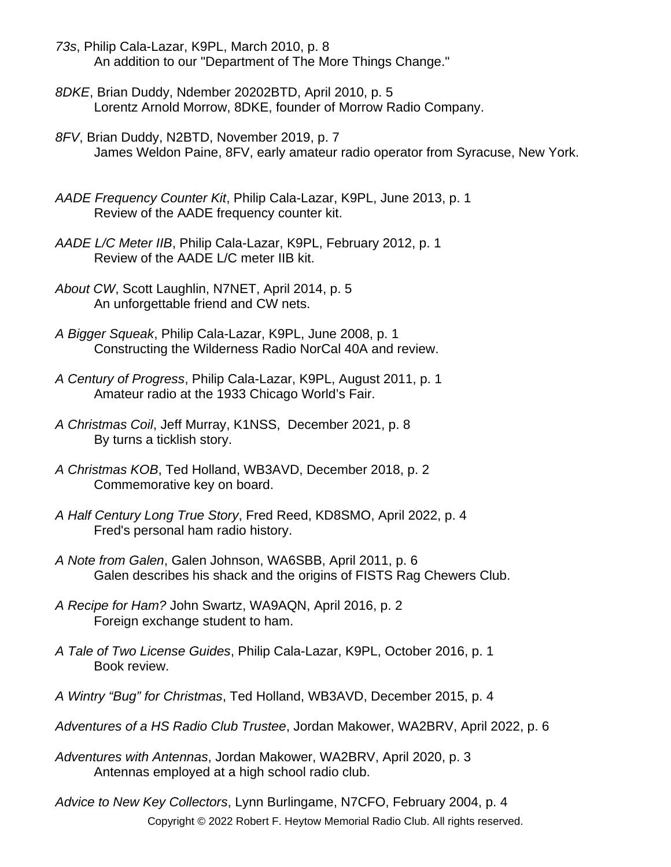- *73s*, Philip Cala-Lazar, K9PL, March 2010, p. 8 An addition to our "Department of The More Things Change."
- *8DKE*, Brian Duddy, Ndember 20202BTD, April 2010, p. 5 Lorentz Arnold Morrow, 8DKE, founder of Morrow Radio Company.
- *8FV*, Brian Duddy, N2BTD, November 2019, p. 7 James Weldon Paine, 8FV, early amateur radio operator from Syracuse, New York.
- *AADE Frequency Counter Kit*, Philip Cala-Lazar, K9PL, June 2013, p. 1 Review of the AADE frequency counter kit.
- *AADE L/C Meter IIB*, Philip Cala-Lazar, K9PL, February 2012, p. 1 Review of the AADE L/C meter IIB kit.
- *About CW*, Scott Laughlin, N7NET, April 2014, p. 5 An unforgettable friend and CW nets.
- *A Bigger Squeak*, Philip Cala-Lazar, K9PL, June 2008, p. 1 Constructing the Wilderness Radio NorCal 40A and review.
- *A Century of Progress*, Philip Cala-Lazar, K9PL, August 2011, p. 1 Amateur radio at the 1933 Chicago World's Fair.
- *A Christmas Coil*, Jeff Murray, K1NSS, December 2021, p. 8 By turns a ticklish story.
- *A Christmas KOB*, Ted Holland, WB3AVD, December 2018, p. 2 Commemorative key on board.
- *A Half Century Long True Story*, Fred Reed, KD8SMO, April 2022, p. 4 Fred's personal ham radio history.
- *A Note from Galen*, Galen Johnson, WA6SBB, April 2011, p. 6 Galen describes his shack and the origins of FISTS Rag Chewers Club.
- *A Recipe for Ham?* John Swartz, WA9AQN, April 2016, p. 2 Foreign exchange student to ham.
- *A Tale of Two License Guides*, Philip Cala-Lazar, K9PL, October 2016, p. 1 Book review.
- *A Wintry "Bug" for Christmas*, Ted Holland, WB3AVD, December 2015, p. 4
- *Adventures of a HS Radio Club Trustee*, Jordan Makower, WA2BRV, April 2022, p. 6
- *Adventures with Antennas*, Jordan Makower, WA2BRV, April 2020, p. 3 Antennas employed at a high school radio club.
- *Advice to New Key Collectors*, Lynn Burlingame, N7CFO, February 2004, p. 4 Copyright © 2022 Robert F. Heytow Memorial Radio Club. All rights reserved.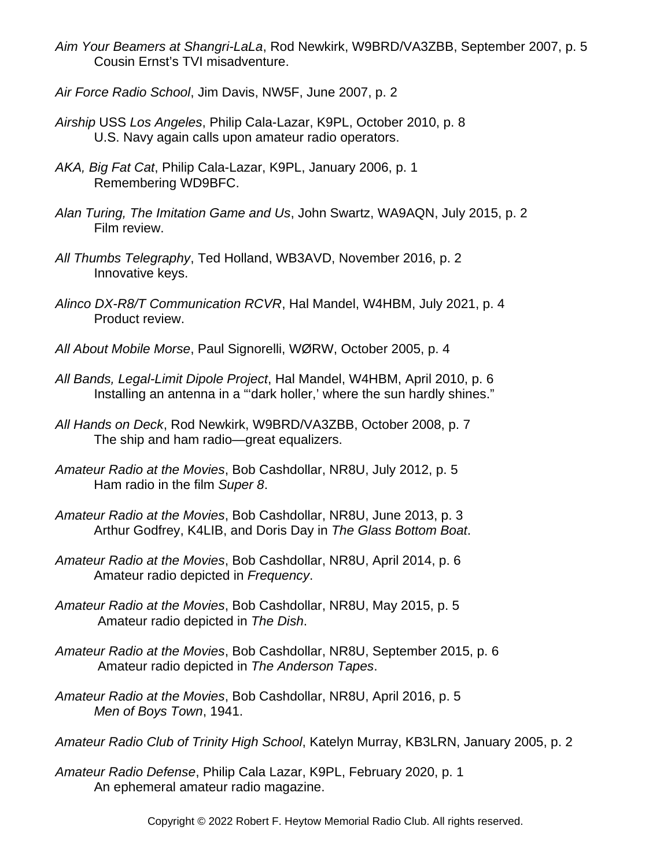- *Aim Your Beamers at Shangri-LaLa*, Rod Newkirk, W9BRD/VA3ZBB, September 2007, p. 5 Cousin Ernst's TVI misadventure.
- *Air Force Radio School*, Jim Davis, NW5F, June 2007, p. 2
- *Airship* USS *Los Angeles*, Philip Cala-Lazar, K9PL, October 2010, p. 8 U.S. Navy again calls upon amateur radio operators.
- *AKA, Big Fat Cat*, Philip Cala-Lazar, K9PL, January 2006, p. 1 Remembering WD9BFC.
- *Alan Turing, The Imitation Game and Us*, John Swartz, WA9AQN, July 2015, p. 2 Film review.
- *All Thumbs Telegraphy*, Ted Holland, WB3AVD, November 2016, p. 2 Innovative keys.
- *Alinco DX-R8/T Communication RCVR*, Hal Mandel, W4HBM, July 2021, p. 4 Product review.
- *All About Mobile Morse*, Paul Signorelli, WØRW, October 2005, p. 4
- *All Bands, Legal-Limit Dipole Project*, Hal Mandel, W4HBM, April 2010, p. 6 Installing an antenna in a "'dark holler,' where the sun hardly shines."
- *All Hands on Deck*, Rod Newkirk, W9BRD/VA3ZBB, October 2008, p. 7 The ship and ham radio—great equalizers.
- *Amateur Radio at the Movies*, Bob Cashdollar, NR8U, July 2012, p. 5 Ham radio in the film *Super 8*.
- *Amateur Radio at the Movies*, Bob Cashdollar, NR8U, June 2013, p. 3 Arthur Godfrey, K4LIB, and Doris Day in *The Glass Bottom Boat*.
- *Amateur Radio at the Movies*, Bob Cashdollar, NR8U, April 2014, p. 6 Amateur radio depicted in *Frequency*.
- *Amateur Radio at the Movies*, Bob Cashdollar, NR8U, May 2015, p. 5 Amateur radio depicted in *The Dish*.
- *Amateur Radio at the Movies*, Bob Cashdollar, NR8U, September 2015, p. 6 Amateur radio depicted in *The Anderson Tapes*.
- *Amateur Radio at the Movies*, Bob Cashdollar, NR8U, April 2016, p. 5 *Men of Boys Town*, 1941.
- *Amateur Radio Club of Trinity High School*, Katelyn Murray, KB3LRN, January 2005, p. 2
- *Amateur Radio Defense*, Philip Cala Lazar, K9PL, February 2020, p. 1 An ephemeral amateur radio magazine.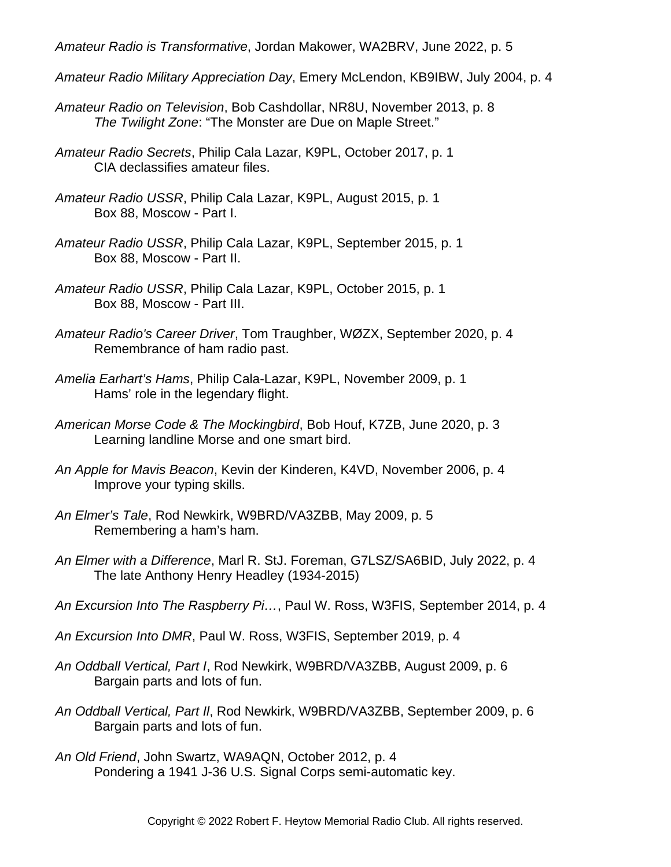*Amateur Radio is Transformative*, Jordan Makower, WA2BRV, June 2022, p. 5

- *Amateur Radio Military Appreciation Day*, Emery McLendon, KB9IBW, July 2004, p. 4
- *Amateur Radio on Television*, Bob Cashdollar, NR8U, November 2013, p. 8 *The Twilight Zone*: "The Monster are Due on Maple Street."
- *Amateur Radio Secrets*, Philip Cala Lazar, K9PL, October 2017, p. 1 CIA declassifies amateur files.
- *Amateur Radio USSR*, Philip Cala Lazar, K9PL, August 2015, p. 1 Box 88, Moscow - Part I.
- *Amateur Radio USSR*, Philip Cala Lazar, K9PL, September 2015, p. 1 Box 88, Moscow - Part II.
- *Amateur Radio USSR*, Philip Cala Lazar, K9PL, October 2015, p. 1 Box 88, Moscow - Part III.
- *Amateur Radio's Career Driver*, Tom Traughber, WØZX, September 2020, p. 4 Remembrance of ham radio past.
- *Amelia Earhart's Hams*, Philip Cala-Lazar, K9PL, November 2009, p. 1 Hams' role in the legendary flight.
- *American Morse Code & The Mockingbird*, Bob Houf, K7ZB, June 2020, p. 3 Learning landline Morse and one smart bird.
- *An Apple for Mavis Beacon*, Kevin der Kinderen, K4VD, November 2006, p. 4 Improve your typing skills.
- *An Elmer's Tale*, Rod Newkirk, W9BRD/VA3ZBB, May 2009, p. 5 Remembering a ham's ham.
- *An Elmer with a Difference*, Marl R. StJ. Foreman, G7LSZ/SA6BID, July 2022, p. 4 The late Anthony Henry Headley (1934-2015)
- *An Excursion Into The Raspberry Pi…*, Paul W. Ross, W3FIS, September 2014, p. 4
- *An Excursion Into DMR*, Paul W. Ross, W3FIS, September 2019, p. 4
- *An Oddball Vertical, Part I*, Rod Newkirk, W9BRD/VA3ZBB, August 2009, p. 6 Bargain parts and lots of fun.
- *An Oddball Vertical, Part Il*, Rod Newkirk, W9BRD/VA3ZBB, September 2009, p. 6 Bargain parts and lots of fun.
- *An Old Friend*, John Swartz, WA9AQN, October 2012, p. 4 Pondering a 1941 J-36 U.S. Signal Corps semi-automatic key.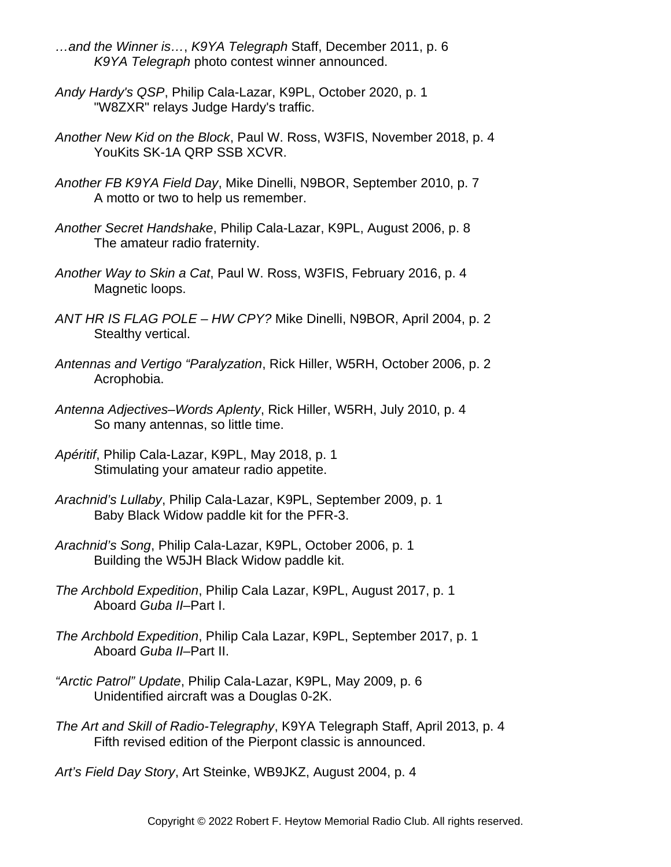- *…and the Winner is…*, *K9YA Telegraph* Staff, December 2011, p. 6 *K9YA Telegraph* photo contest winner announced.
- *Andy Hardy's QSP*, Philip Cala-Lazar, K9PL, October 2020, p. 1 "W8ZXR" relays Judge Hardy's traffic.
- *Another New Kid on the Block*, Paul W. Ross, W3FIS, November 2018, p. 4 YouKits SK-1A QRP SSB XCVR.
- *Another FB K9YA Field Day*, Mike Dinelli, N9BOR, September 2010, p. 7 A motto or two to help us remember.
- *Another Secret Handshake*, Philip Cala-Lazar, K9PL, August 2006, p. 8 The amateur radio fraternity.
- *Another Way to Skin a Cat*, Paul W. Ross, W3FIS, February 2016, p. 4 Magnetic loops.
- *ANT HR IS FLAG POLE HW CPY?* Mike Dinelli, N9BOR, April 2004, p. 2 Stealthy vertical.
- *Antennas and Vertigo "Paralyzation*, Rick Hiller, W5RH, October 2006, p. 2 Acrophobia.
- *Antenna Adjectives–Words Aplenty*, Rick Hiller, W5RH, July 2010, p. 4 So many antennas, so little time.
- *Apéritif*, Philip Cala-Lazar, K9PL, May 2018, p. 1 Stimulating your amateur radio appetite.
- *Arachnid's Lullaby*, Philip Cala-Lazar, K9PL, September 2009, p. 1 Baby Black Widow paddle kit for the PFR-3.
- *Arachnid's Song*, Philip Cala-Lazar, K9PL, October 2006, p. 1 Building the W5JH Black Widow paddle kit.
- *The Archbold Expedition*, Philip Cala Lazar, K9PL, August 2017, p. 1 Aboard *Guba II*–Part I.
- *The Archbold Expedition*, Philip Cala Lazar, K9PL, September 2017, p. 1 Aboard *Guba II*–Part II.
- *"Arctic Patrol" Update*, Philip Cala-Lazar, K9PL, May 2009, p. 6 Unidentified aircraft was a Douglas 0-2K.
- *The Art and Skill of Radio-Telegraphy*, K9YA Telegraph Staff, April 2013, p. 4 Fifth revised edition of the Pierpont classic is announced.

*Art's Field Day Story*, Art Steinke, WB9JKZ, August 2004, p. 4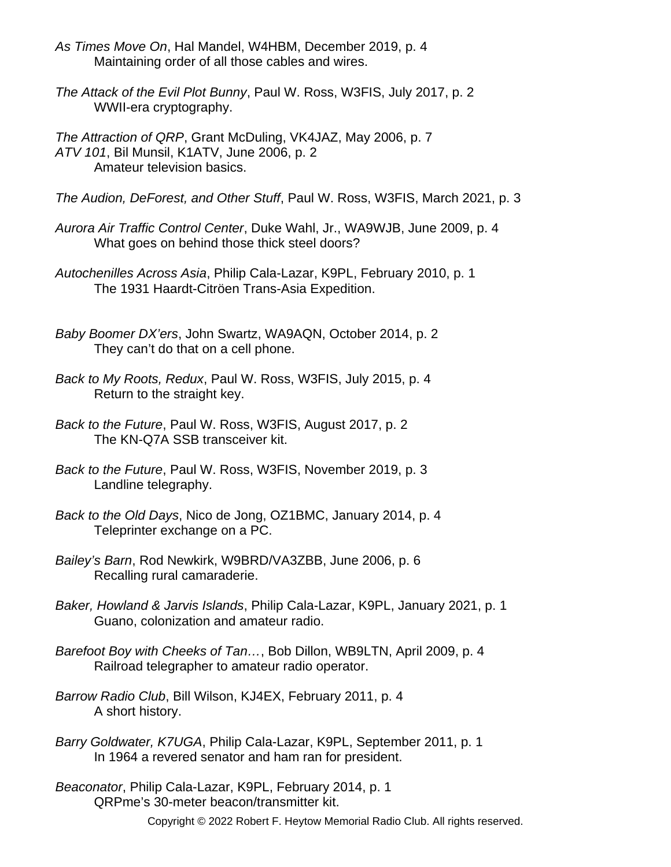- *As Times Move On*, Hal Mandel, W4HBM, December 2019, p. 4 Maintaining order of all those cables and wires.
- *The Attack of the Evil Plot Bunny*, Paul W. Ross, W3FIS, July 2017, p. 2 WWII-era cryptography.
- *The Attraction of QRP*, Grant McDuling, VK4JAZ, May 2006, p. 7 *ATV 101*, Bil Munsil, K1ATV, June 2006, p. 2 Amateur television basics.
- *The Audion, DeForest, and Other Stuff*, Paul W. Ross, W3FIS, March 2021, p. 3
- *Aurora Air Traffic Control Center*, Duke Wahl, Jr., WA9WJB, June 2009, p. 4 What goes on behind those thick steel doors?
- *Autochenilles Across Asia*, Philip Cala-Lazar, K9PL, February 2010, p. 1 The 1931 Haardt-Citröen Trans-Asia Expedition.
- *Baby Boomer DX'ers*, John Swartz, WA9AQN, October 2014, p. 2 They can't do that on a cell phone.
- *Back to My Roots, Redux*, Paul W. Ross, W3FIS, July 2015, p. 4 Return to the straight key.
- *Back to the Future*, Paul W. Ross, W3FIS, August 2017, p. 2 The KN-Q7A SSB transceiver kit.
- *Back to the Future*, Paul W. Ross, W3FIS, November 2019, p. 3 Landline telegraphy.
- *Back to the Old Days*, Nico de Jong, OZ1BMC, January 2014, p. 4 Teleprinter exchange on a PC.
- *Bailey's Barn*, Rod Newkirk, W9BRD/VA3ZBB, June 2006, p. 6 Recalling rural camaraderie.
- *Baker, Howland & Jarvis Islands*, Philip Cala-Lazar, K9PL, January 2021, p. 1 Guano, colonization and amateur radio.
- *Barefoot Boy with Cheeks of Tan…*, Bob Dillon, WB9LTN, April 2009, p. 4 Railroad telegrapher to amateur radio operator.
- *Barrow Radio Club*, Bill Wilson, KJ4EX, February 2011, p. 4 A short history.
- *Barry Goldwater, K7UGA*, Philip Cala-Lazar, K9PL, September 2011, p. 1 In 1964 a revered senator and ham ran for president.
- *Beaconator*, Philip Cala-Lazar, K9PL, February 2014, p. 1 QRPme's 30-meter beacon/transmitter kit.
	- Copyright © 2022 Robert F. Heytow Memorial Radio Club. All rights reserved.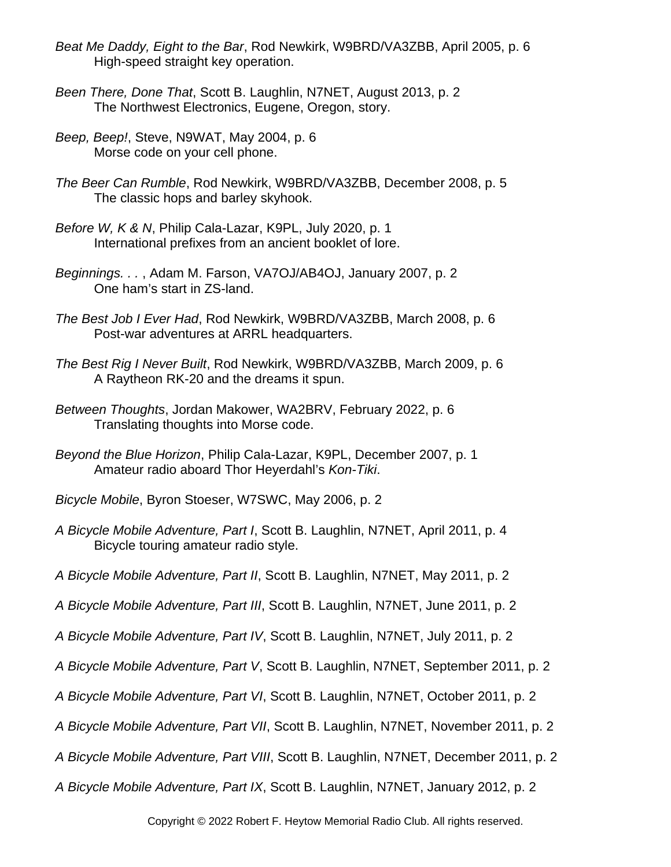- *Beat Me Daddy, Eight to the Bar*, Rod Newkirk, W9BRD/VA3ZBB, April 2005, p. 6 High-speed straight key operation.
- *Been There, Done That*, Scott B. Laughlin, N7NET, August 2013, p. 2 The Northwest Electronics, Eugene, Oregon, story.
- *Beep, Beep!*, Steve, N9WAT, May 2004, p. 6 Morse code on your cell phone.
- *The Beer Can Rumble*, Rod Newkirk, W9BRD/VA3ZBB, December 2008, p. 5 The classic hops and barley skyhook.
- *Before W, K & N*, Philip Cala-Lazar, K9PL, July 2020, p. 1 International prefixes from an ancient booklet of lore.
- *Beginnings. . .* , Adam M. Farson, VA7OJ/AB4OJ, January 2007, p. 2 One ham's start in ZS-land.
- *The Best Job I Ever Had*, Rod Newkirk, W9BRD/VA3ZBB, March 2008, p. 6 Post-war adventures at ARRL headquarters.
- *The Best Rig I Never Built*, Rod Newkirk, W9BRD/VA3ZBB, March 2009, p. 6 A Raytheon RK-20 and the dreams it spun.
- *Between Thoughts*, Jordan Makower, WA2BRV, February 2022, p. 6 Translating thoughts into Morse code.
- *Beyond the Blue Horizon*, Philip Cala-Lazar, K9PL, December 2007, p. 1 Amateur radio aboard Thor Heyerdahl's *Kon-Tiki*.
- *Bicycle Mobile*, Byron Stoeser, W7SWC, May 2006, p. 2
- *A Bicycle Mobile Adventure, Part I*, Scott B. Laughlin, N7NET, April 2011, p. 4 Bicycle touring amateur radio style.
- *A Bicycle Mobile Adventure, Part II*, Scott B. Laughlin, N7NET, May 2011, p. 2
- *A Bicycle Mobile Adventure, Part III*, Scott B. Laughlin, N7NET, June 2011, p. 2
- *A Bicycle Mobile Adventure, Part IV*, Scott B. Laughlin, N7NET, July 2011, p. 2
- *A Bicycle Mobile Adventure, Part V*, Scott B. Laughlin, N7NET, September 2011, p. 2
- *A Bicycle Mobile Adventure, Part VI*, Scott B. Laughlin, N7NET, October 2011, p. 2
- *A Bicycle Mobile Adventure, Part VII*, Scott B. Laughlin, N7NET, November 2011, p. 2
- *A Bicycle Mobile Adventure, Part VIII*, Scott B. Laughlin, N7NET, December 2011, p. 2
- *A Bicycle Mobile Adventure, Part IX*, Scott B. Laughlin, N7NET, January 2012, p. 2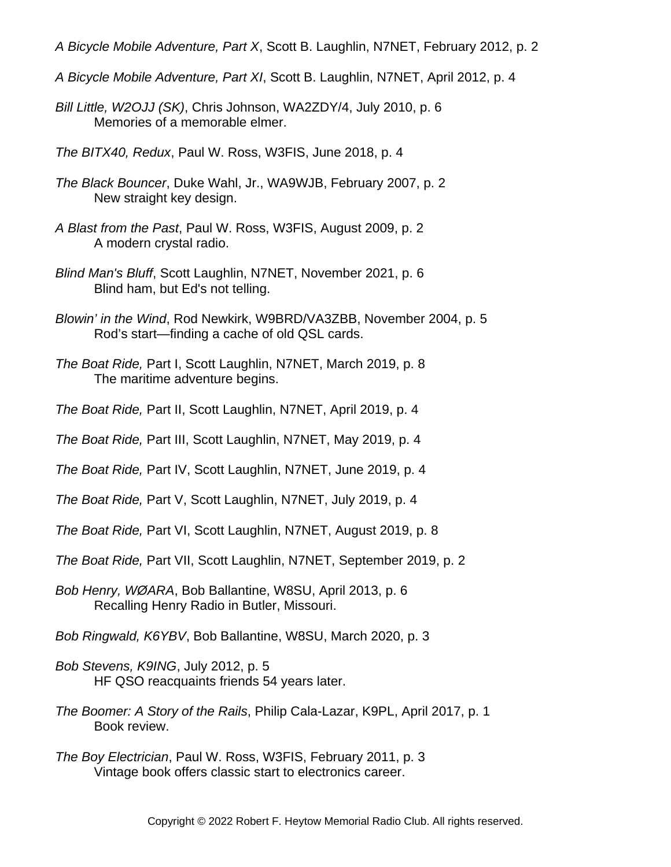- *A Bicycle Mobile Adventure, Part X*, Scott B. Laughlin, N7NET, February 2012, p. 2
- *A Bicycle Mobile Adventure, Part XI*, Scott B. Laughlin, N7NET, April 2012, p. 4
- *Bill Little, W2OJJ (SK)*, Chris Johnson, WA2ZDY/4, July 2010, p. 6 Memories of a memorable elmer.
- *The BITX40, Redux*, Paul W. Ross, W3FIS, June 2018, p. 4
- *The Black Bouncer*, Duke Wahl, Jr., WA9WJB, February 2007, p. 2 New straight key design.
- *A Blast from the Past*, Paul W. Ross, W3FIS, August 2009, p. 2 A modern crystal radio.
- *Blind Man's Bluff*, Scott Laughlin, N7NET, November 2021, p. 6 Blind ham, but Ed's not telling.
- *Blowin' in the Wind*, Rod Newkirk, W9BRD/VA3ZBB, November 2004, p. 5 Rod's start—finding a cache of old QSL cards.
- *The Boat Ride,* Part I, Scott Laughlin, N7NET, March 2019, p. 8 The maritime adventure begins.
- *The Boat Ride,* Part II, Scott Laughlin, N7NET, April 2019, p. 4
- *The Boat Ride,* Part III, Scott Laughlin, N7NET, May 2019, p. 4
- *The Boat Ride,* Part IV, Scott Laughlin, N7NET, June 2019, p. 4
- *The Boat Ride,* Part V, Scott Laughlin, N7NET, July 2019, p. 4
- *The Boat Ride,* Part VI, Scott Laughlin, N7NET, August 2019, p. 8
- *The Boat Ride,* Part VII, Scott Laughlin, N7NET, September 2019, p. 2
- *Bob Henry, WØARA*, Bob Ballantine, W8SU, April 2013, p. 6 Recalling Henry Radio in Butler, Missouri.
- *Bob Ringwald, K6YBV*, Bob Ballantine, W8SU, March 2020, p. 3
- *Bob Stevens, K9ING*, July 2012, p. 5 HF QSO reacquaints friends 54 years later.
- *The Boomer: A Story of the Rails*, Philip Cala-Lazar, K9PL, April 2017, p. 1 Book review.
- *The Boy Electrician*, Paul W. Ross, W3FIS, February 2011, p. 3 Vintage book offers classic start to electronics career.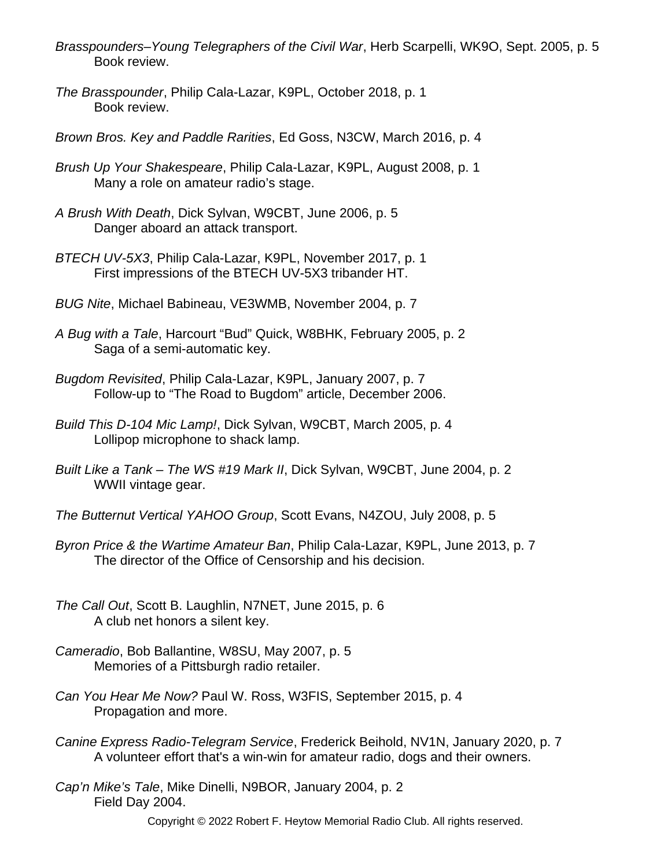- *Brasspounders–Young Telegraphers of the Civil War*, Herb Scarpelli, WK9O, Sept. 2005, p. 5 Book review.
- *The Brasspounder*, Philip Cala-Lazar, K9PL, October 2018, p. 1 Book review.
- *Brown Bros. Key and Paddle Rarities*, Ed Goss, N3CW, March 2016, p. 4
- *Brush Up Your Shakespeare*, Philip Cala-Lazar, K9PL, August 2008, p. 1 Many a role on amateur radio's stage.
- *A Brush With Death*, Dick Sylvan, W9CBT, June 2006, p. 5 Danger aboard an attack transport.
- *BTECH UV-5X3*, Philip Cala-Lazar, K9PL, November 2017, p. 1 First impressions of the BTECH UV-5X3 tribander HT.
- *BUG Nite*, Michael Babineau, VE3WMB, November 2004, p. 7
- *A Bug with a Tale*, Harcourt "Bud" Quick, W8BHK, February 2005, p. 2 Saga of a semi-automatic key.
- *Bugdom Revisited*, Philip Cala-Lazar, K9PL, January 2007, p. 7 Follow-up to "The Road to Bugdom" article, December 2006.
- *Build This D-104 Mic Lamp!*, Dick Sylvan, W9CBT, March 2005, p. 4 Lollipop microphone to shack lamp.
- *Built Like a Tank The WS #19 Mark II*, Dick Sylvan, W9CBT, June 2004, p. 2 WWII vintage gear.
- *The Butternut Vertical YAHOO Group*, Scott Evans, N4ZOU, July 2008, p. 5
- *Byron Price & the Wartime Amateur Ban*, Philip Cala-Lazar, K9PL, June 2013, p. 7 The director of the Office of Censorship and his decision.
- *The Call Out*, Scott B. Laughlin, N7NET, June 2015, p. 6 A club net honors a silent key.
- *Cameradio*, Bob Ballantine, W8SU, May 2007, p. 5 Memories of a Pittsburgh radio retailer.
- *Can You Hear Me Now?* Paul W. Ross, W3FIS, September 2015, p. 4 Propagation and more.
- *Canine Express Radio-Telegram Service*, Frederick Beihold, NV1N, January 2020, p. 7 A volunteer effort that's a win-win for amateur radio, dogs and their owners.
- *Cap'n Mike's Tale*, Mike Dinelli, N9BOR, January 2004, p. 2 Field Day 2004.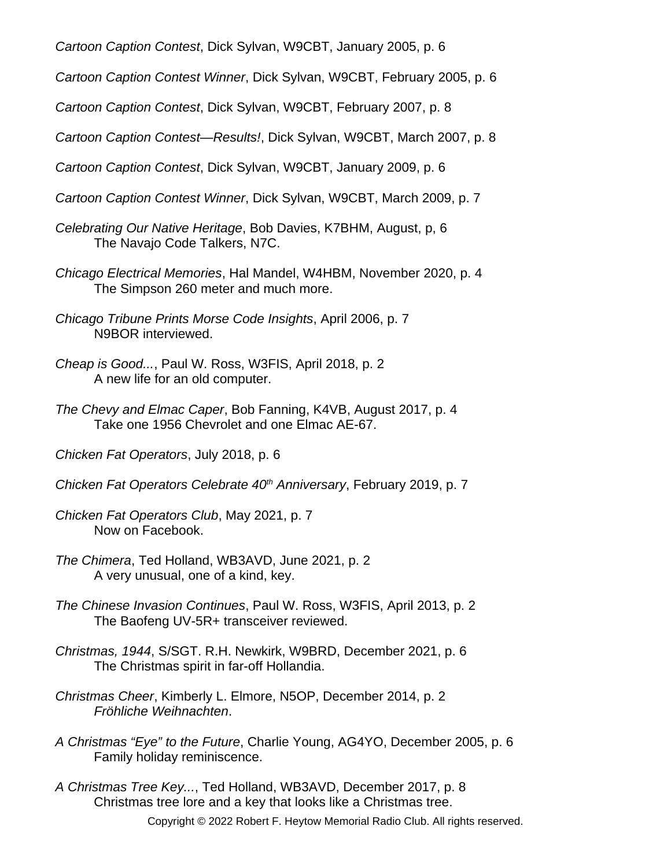*Cartoon Caption Contest*, Dick Sylvan, W9CBT, January 2005, p. 6

*Cartoon Caption Contest Winner*, Dick Sylvan, W9CBT, February 2005, p. 6

*Cartoon Caption Contest*, Dick Sylvan, W9CBT, February 2007, p. 8

*Cartoon Caption Contest—Results!*, Dick Sylvan, W9CBT, March 2007, p. 8

*Cartoon Caption Contest*, Dick Sylvan, W9CBT, January 2009, p. 6

- *Cartoon Caption Contest Winner*, Dick Sylvan, W9CBT, March 2009, p. 7
- *Celebrating Our Native Heritage*, Bob Davies, K7BHM, August, p, 6 The Navajo Code Talkers, N7C.
- *Chicago Electrical Memories*, Hal Mandel, W4HBM, November 2020, p. 4 The Simpson 260 meter and much more.
- *Chicago Tribune Prints Morse Code Insights*, April 2006, p. 7 N9BOR interviewed.
- *Cheap is Good...*, Paul W. Ross, W3FIS, April 2018, p. 2 A new life for an old computer.
- *The Chevy and Elmac Caper*, Bob Fanning, K4VB, August 2017, p. 4 Take one 1956 Chevrolet and one Elmac AE-67.
- *Chicken Fat Operators*, July 2018, p. 6
- *Chicken Fat Operators Celebrate 40th Anniversary*, February 2019, p. 7
- *Chicken Fat Operators Club*, May 2021, p. 7 Now on Facebook.
- *The Chimera*, Ted Holland, WB3AVD, June 2021, p. 2 A very unusual, one of a kind, key.
- *The Chinese Invasion Continues*, Paul W. Ross, W3FIS, April 2013, p. 2 The Baofeng UV-5R+ transceiver reviewed.
- *Christmas, 1944*, S/SGT. R.H. Newkirk, W9BRD, December 2021, p. 6 The Christmas spirit in far-off Hollandia.
- *Christmas Cheer*, Kimberly L. Elmore, N5OP, December 2014, p. 2 *Fröhliche Weihnachten*.
- *A Christmas "Eye" to the Future*, Charlie Young, AG4YO, December 2005, p. 6 Family holiday reminiscence.
- *A Christmas Tree Key...*, Ted Holland, WB3AVD, December 2017, p. 8 Christmas tree lore and a key that looks like a Christmas tree.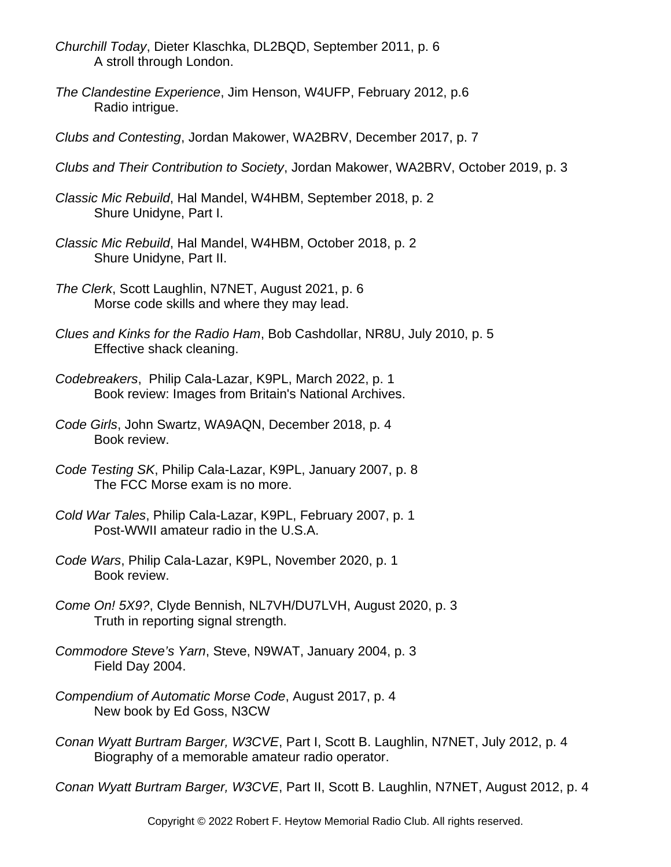- *Churchill Today*, Dieter Klaschka, DL2BQD, September 2011, p. 6 A stroll through London.
- *The Clandestine Experience*, Jim Henson, W4UFP, February 2012, p.6 Radio intrigue.
- *Clubs and Contesting*, Jordan Makower, WA2BRV, December 2017, p. 7
- *Clubs and Their Contribution to Society*, Jordan Makower, WA2BRV, October 2019, p. 3
- *Classic Mic Rebuild*, Hal Mandel, W4HBM, September 2018, p. 2 Shure Unidyne, Part I.
- *Classic Mic Rebuild*, Hal Mandel, W4HBM, October 2018, p. 2 Shure Unidyne, Part II.
- *The Clerk*, Scott Laughlin, N7NET, August 2021, p. 6 Morse code skills and where they may lead.
- *Clues and Kinks for the Radio Ham*, Bob Cashdollar, NR8U, July 2010, p. 5 Effective shack cleaning.
- *Codebreakers*, Philip Cala-Lazar, K9PL, March 2022, p. 1 Book review: Images from Britain's National Archives.
- *Code Girls*, John Swartz, WA9AQN, December 2018, p. 4 Book review.
- *Code Testing SK*, Philip Cala-Lazar, K9PL, January 2007, p. 8 The FCC Morse exam is no more.
- *Cold War Tales*, Philip Cala-Lazar, K9PL, February 2007, p. 1 Post-WWII amateur radio in the U.S.A.
- *Code Wars*, Philip Cala-Lazar, K9PL, November 2020, p. 1 Book review.
- *Come On! 5X9?*, Clyde Bennish, NL7VH/DU7LVH, August 2020, p. 3 Truth in reporting signal strength.
- *Commodore Steve's Yarn*, Steve, N9WAT, January 2004, p. 3 Field Day 2004.
- *Compendium of Automatic Morse Code*, August 2017, p. 4 New book by Ed Goss, N3CW
- *Conan Wyatt Burtram Barger, W3CVE*, Part I, Scott B. Laughlin, N7NET, July 2012, p. 4 Biography of a memorable amateur radio operator.

*Conan Wyatt Burtram Barger, W3CVE*, Part II, Scott B. Laughlin, N7NET, August 2012, p. 4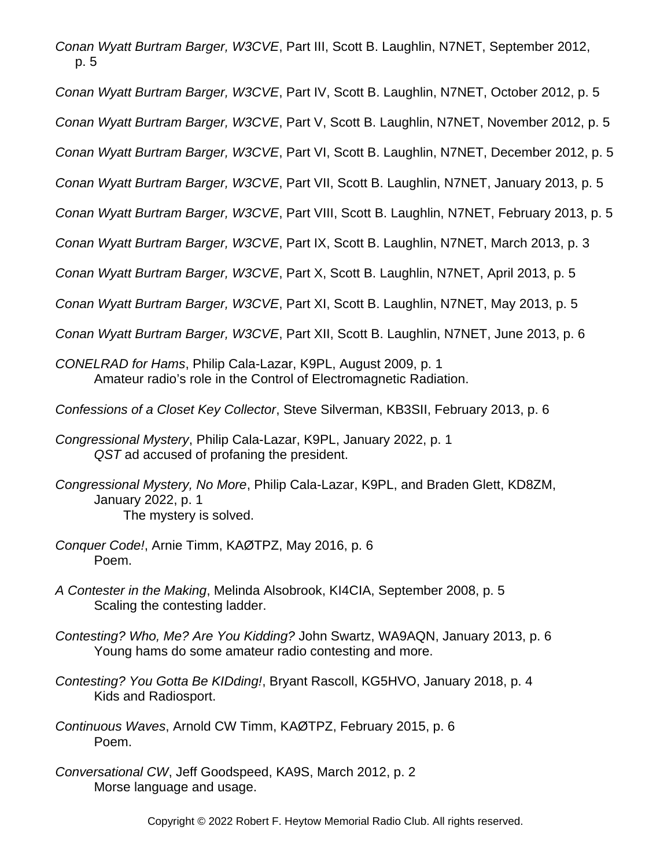*Conan Wyatt Burtram Barger, W3CVE*, Part III, Scott B. Laughlin, N7NET, September 2012, p. 5

*Conan Wyatt Burtram Barger, W3CVE*, Part IV, Scott B. Laughlin, N7NET, October 2012, p. 5

*Conan Wyatt Burtram Barger, W3CVE*, Part V, Scott B. Laughlin, N7NET, November 2012, p. 5

*Conan Wyatt Burtram Barger, W3CVE*, Part VI, Scott B. Laughlin, N7NET, December 2012, p. 5

*Conan Wyatt Burtram Barger, W3CVE*, Part VII, Scott B. Laughlin, N7NET, January 2013, p. 5

*Conan Wyatt Burtram Barger, W3CVE*, Part VIII, Scott B. Laughlin, N7NET, February 2013, p. 5

*Conan Wyatt Burtram Barger, W3CVE*, Part IX, Scott B. Laughlin, N7NET, March 2013, p. 3

*Conan Wyatt Burtram Barger, W3CVE*, Part X, Scott B. Laughlin, N7NET, April 2013, p. 5

*Conan Wyatt Burtram Barger, W3CVE*, Part XI, Scott B. Laughlin, N7NET, May 2013, p. 5

*Conan Wyatt Burtram Barger, W3CVE*, Part XII, Scott B. Laughlin, N7NET, June 2013, p. 6

- *CONELRAD for Hams*, Philip Cala-Lazar, K9PL, August 2009, p. 1 Amateur radio's role in the Control of Electromagnetic Radiation.
- *Confessions of a Closet Key Collector*, Steve Silverman, KB3SII, February 2013, p. 6
- *Congressional Mystery*, Philip Cala-Lazar, K9PL, January 2022, p. 1 *QST* ad accused of profaning the president.
- *Congressional Mystery, No More*, Philip Cala-Lazar, K9PL, and Braden Glett, KD8ZM, January 2022, p. 1 The mystery is solved.
- *Conquer Code!*, Arnie Timm, KAØTPZ, May 2016, p. 6 Poem.
- *A Contester in the Making*, Melinda Alsobrook, KI4CIA, September 2008, p. 5 Scaling the contesting ladder.
- *Contesting? Who, Me? Are You Kidding?* John Swartz, WA9AQN, January 2013, p. 6 Young hams do some amateur radio contesting and more.
- *Contesting? You Gotta Be KIDding!*, Bryant Rascoll, KG5HVO, January 2018, p. 4 Kids and Radiosport.
- *Continuous Waves*, Arnold CW Timm, KAØTPZ, February 2015, p. 6 Poem.
- *Conversational CW*, Jeff Goodspeed, KA9S, March 2012, p. 2 Morse language and usage.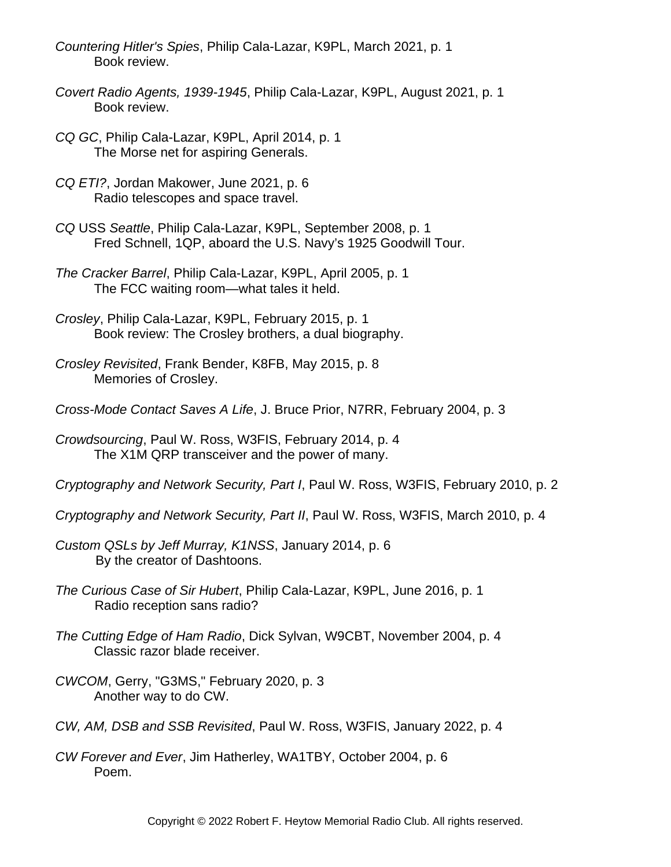- *Countering Hitler's Spies*, Philip Cala-Lazar, K9PL, March 2021, p. 1 Book review.
- *Covert Radio Agents, 1939-1945*, Philip Cala-Lazar, K9PL, August 2021, p. 1 Book review.
- *CQ GC*, Philip Cala-Lazar, K9PL, April 2014, p. 1 The Morse net for aspiring Generals.
- *CQ ETI?*, Jordan Makower, June 2021, p. 6 Radio telescopes and space travel.
- *CQ* USS *Seattle*, Philip Cala-Lazar, K9PL, September 2008, p. 1 Fred Schnell, 1QP, aboard the U.S. Navy's 1925 Goodwill Tour.
- *The Cracker Barrel*, Philip Cala-Lazar, K9PL, April 2005, p. 1 The FCC waiting room—what tales it held.
- *Crosley*, Philip Cala-Lazar, K9PL, February 2015, p. 1 Book review: The Crosley brothers, a dual biography.
- *Crosley Revisited*, Frank Bender, K8FB, May 2015, p. 8 Memories of Crosley.
- *Cross-Mode Contact Saves A Life*, J. Bruce Prior, N7RR, February 2004, p. 3
- *Crowdsourcing*, Paul W. Ross, W3FIS, February 2014, p. 4 The X1M QRP transceiver and the power of many.
- *Cryptography and Network Security, Part I*, Paul W. Ross, W3FIS, February 2010, p. 2
- *Cryptography and Network Security, Part II*, Paul W. Ross, W3FIS, March 2010, p. 4
- *Custom QSLs by Jeff Murray, K1NSS*, January 2014, p. 6 By the creator of Dashtoons.
- *The Curious Case of Sir Hubert*, Philip Cala-Lazar, K9PL, June 2016, p. 1 Radio reception sans radio?
- *The Cutting Edge of Ham Radio*, Dick Sylvan, W9CBT, November 2004, p. 4 Classic razor blade receiver.
- *CWCOM*, Gerry, "G3MS," February 2020, p. 3 Another way to do CW.
- *CW, AM, DSB and SSB Revisited*, Paul W. Ross, W3FIS, January 2022, p. 4
- *CW Forever and Ever*, Jim Hatherley, WA1TBY, October 2004, p. 6 Poem.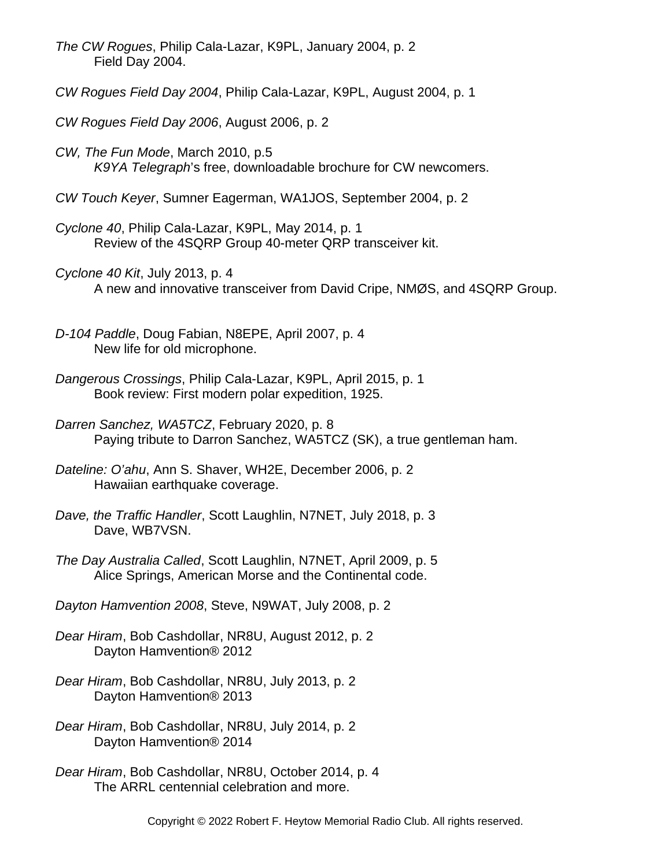*The CW Rogues*, Philip Cala-Lazar, K9PL, January 2004, p. 2 Field Day 2004.

- *CW Rogues Field Day 2004*, Philip Cala-Lazar, K9PL, August 2004, p. 1
- *CW Rogues Field Day 2006*, August 2006, p. 2
- *CW, The Fun Mode*, March 2010, p.5 *K9YA Telegraph*'s free, downloadable brochure for CW newcomers.
- *CW Touch Keyer*, Sumner Eagerman, WA1JOS, September 2004, p. 2
- *Cyclone 40*, Philip Cala-Lazar, K9PL, May 2014, p. 1 Review of the 4SQRP Group 40-meter QRP transceiver kit.
- *Cyclone 40 Kit*, July 2013, p. 4 A new and innovative transceiver from David Cripe, NMØS, and 4SQRP Group.
- *D-104 Paddle*, Doug Fabian, N8EPE, April 2007, p. 4 New life for old microphone.
- *Dangerous Crossings*, Philip Cala-Lazar, K9PL, April 2015, p. 1 Book review: First modern polar expedition, 1925.
- *Darren Sanchez, WA5TCZ*, February 2020, p. 8 Paying tribute to Darron Sanchez, WA5TCZ (SK), a true gentleman ham.
- *Dateline: O'ahu*, Ann S. Shaver, WH2E, December 2006, p. 2 Hawaiian earthquake coverage.
- *Dave, the Traffic Handler*, Scott Laughlin, N7NET, July 2018, p. 3 Dave, WB7VSN.
- *The Day Australia Called*, Scott Laughlin, N7NET, April 2009, p. 5 Alice Springs, American Morse and the Continental code.
- *Dayton Hamvention 2008*, Steve, N9WAT, July 2008, p. 2
- *Dear Hiram*, Bob Cashdollar, NR8U, August 2012, p. 2 Dayton Hamvention® 2012
- *Dear Hiram*, Bob Cashdollar, NR8U, July 2013, p. 2 Dayton Hamvention® 2013
- *Dear Hiram*, Bob Cashdollar, NR8U, July 2014, p. 2 Dayton Hamvention® 2014
- *Dear Hiram*, Bob Cashdollar, NR8U, October 2014, p. 4 The ARRL centennial celebration and more.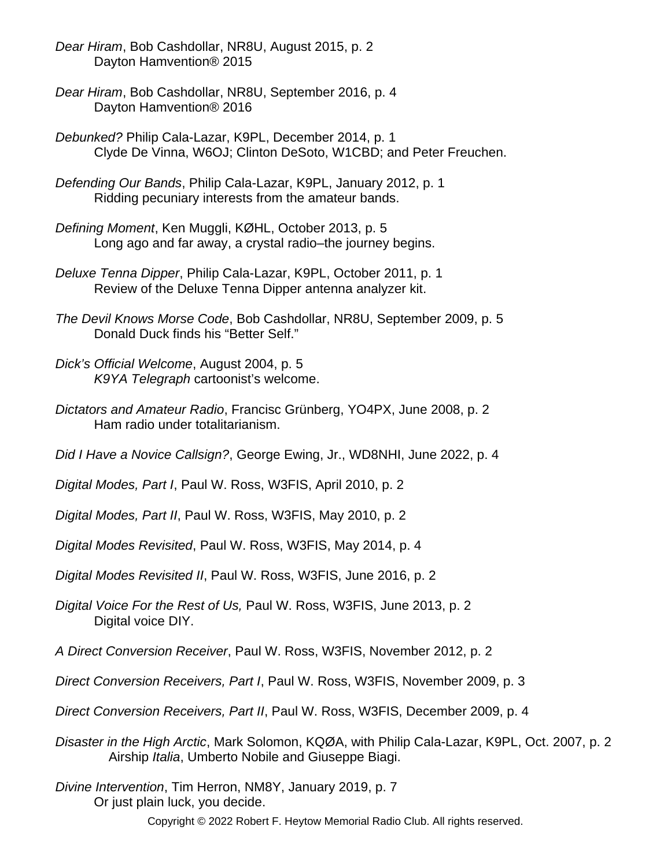- *Dear Hiram*, Bob Cashdollar, NR8U, August 2015, p. 2 Dayton Hamvention® 2015
- *Dear Hiram*, Bob Cashdollar, NR8U, September 2016, p. 4 Dayton Hamvention® 2016
- *Debunked?* Philip Cala-Lazar, K9PL, December 2014, p. 1 Clyde De Vinna, W6OJ; Clinton DeSoto, W1CBD; and Peter Freuchen.
- *Defending Our Bands*, Philip Cala-Lazar, K9PL, January 2012, p. 1 Ridding pecuniary interests from the amateur bands.
- *Defining Moment*, Ken Muggli, KØHL, October 2013, p. 5 Long ago and far away, a crystal radio–the journey begins.
- *Deluxe Tenna Dipper*, Philip Cala-Lazar, K9PL, October 2011, p. 1 Review of the Deluxe Tenna Dipper antenna analyzer kit.
- *The Devil Knows Morse Code*, Bob Cashdollar, NR8U, September 2009, p. 5 Donald Duck finds his "Better Self."
- *Dick's Official Welcome*, August 2004, p. 5 *K9YA Telegraph* cartoonist's welcome.
- *Dictators and Amateur Radio*, Francisc Grünberg, YO4PX, June 2008, p. 2 Ham radio under totalitarianism.
- *Did I Have a Novice Callsign?*, George Ewing, Jr., WD8NHI, June 2022, p. 4
- *Digital Modes, Part I*, Paul W. Ross, W3FIS, April 2010, p. 2
- *Digital Modes, Part II*, Paul W. Ross, W3FIS, May 2010, p. 2
- *Digital Modes Revisited*, Paul W. Ross, W3FIS, May 2014, p. 4
- *Digital Modes Revisited II*, Paul W. Ross, W3FIS, June 2016, p. 2
- *Digital Voice For the Rest of Us,* Paul W. Ross, W3FIS, June 2013, p. 2 Digital voice DIY.
- *A Direct Conversion Receiver*, Paul W. Ross, W3FIS, November 2012, p. 2
- *Direct Conversion Receivers, Part I*, Paul W. Ross, W3FIS, November 2009, p. 3
- *Direct Conversion Receivers, Part II*, Paul W. Ross, W3FIS, December 2009, p. 4
- *Disaster in the High Arctic*, Mark Solomon, KQØA, with Philip Cala-Lazar, K9PL, Oct. 2007, p. 2 Airship *Italia*, Umberto Nobile and Giuseppe Biagi.
- *Divine Intervention*, Tim Herron, NM8Y, January 2019, p. 7 Or just plain luck, you decide.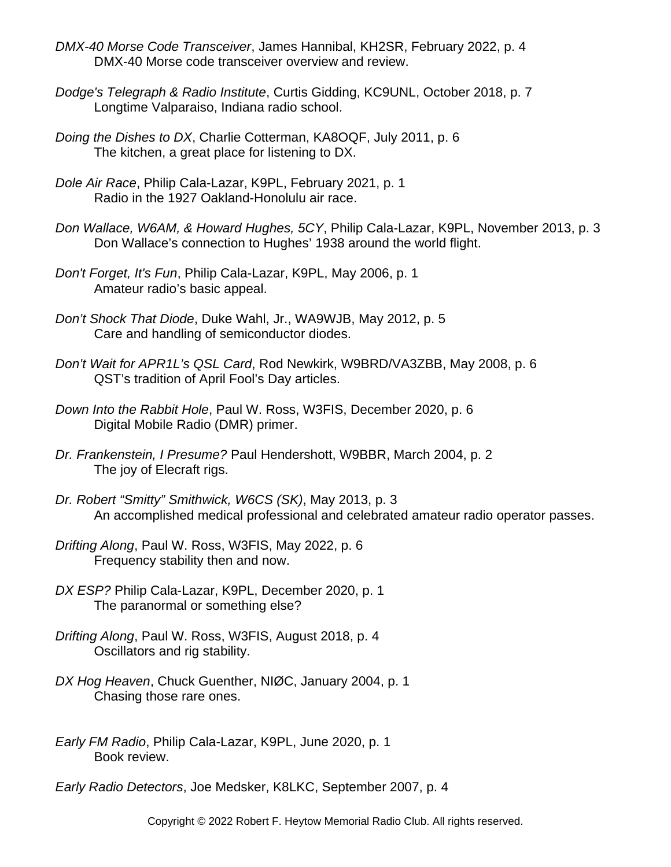- *DMX-40 Morse Code Transceiver*, James Hannibal, KH2SR, February 2022, p. 4 DMX-40 Morse code transceiver overview and review.
- *Dodge's Telegraph & Radio Institute*, Curtis Gidding, KC9UNL, October 2018, p. 7 Longtime Valparaiso, Indiana radio school.
- *Doing the Dishes to DX*, Charlie Cotterman, KA8OQF, July 2011, p. 6 The kitchen, a great place for listening to DX.
- *Dole Air Race*, Philip Cala-Lazar, K9PL, February 2021, p. 1 Radio in the 1927 Oakland-Honolulu air race.
- *Don Wallace, W6AM, & Howard Hughes, 5CY*, Philip Cala-Lazar, K9PL, November 2013, p. 3 Don Wallace's connection to Hughes' 1938 around the world flight.
- *Don't Forget, It's Fun*, Philip Cala-Lazar, K9PL, May 2006, p. 1 Amateur radio's basic appeal.
- *Don't Shock That Diode*, Duke Wahl, Jr., WA9WJB, May 2012, p. 5 Care and handling of semiconductor diodes.
- *Don't Wait for APR1L's QSL Card*, Rod Newkirk, W9BRD/VA3ZBB, May 2008, p. 6 QST's tradition of April Fool's Day articles.
- *Down Into the Rabbit Hole*, Paul W. Ross, W3FIS, December 2020, p. 6 Digital Mobile Radio (DMR) primer.
- *Dr. Frankenstein, I Presume?* Paul Hendershott, W9BBR, March 2004, p. 2 The joy of Elecraft rigs.
- *Dr. Robert "Smitty" Smithwick, W6CS (SK)*, May 2013, p. 3 An accomplished medical professional and celebrated amateur radio operator passes.
- *Drifting Along*, Paul W. Ross, W3FIS, May 2022, p. 6 Frequency stability then and now.
- *DX ESP?* Philip Cala-Lazar, K9PL, December 2020, p. 1 The paranormal or something else?
- *Drifting Along*, Paul W. Ross, W3FIS, August 2018, p. 4 Oscillators and rig stability.
- *DX Hog Heaven*, Chuck Guenther, NIØC, January 2004, p. 1 Chasing those rare ones.
- *Early FM Radio*, Philip Cala-Lazar, K9PL, June 2020, p. 1 Book review.
- *Early Radio Detectors*, Joe Medsker, K8LKC, September 2007, p. 4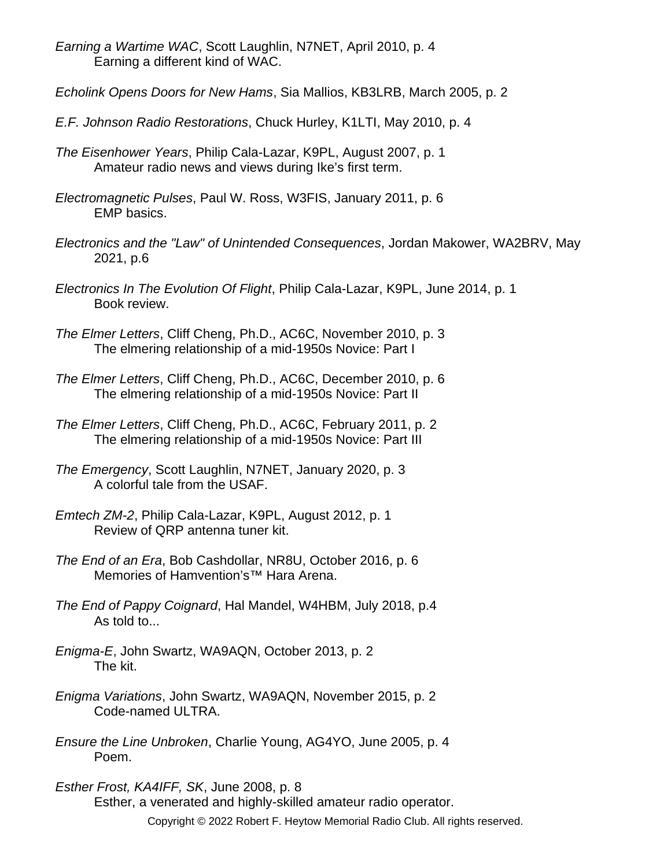*Earning a Wartime WAC*, Scott Laughlin, N7NET, April 2010, p. 4 Earning a different kind of WAC.

*Echolink Opens Doors for New Hams*, Sia Mallios, KB3LRB, March 2005, p. 2

- *E.F. Johnson Radio Restorations*, Chuck Hurley, K1LTI, May 2010, p. 4
- *The Eisenhower Years*, Philip Cala-Lazar, K9PL, August 2007, p. 1 Amateur radio news and views during Ike's first term.
- *Electromagnetic Pulses*, Paul W. Ross, W3FIS, January 2011, p. 6 EMP basics.
- *Electronics and the "Law" of Unintended Consequences*, Jordan Makower, WA2BRV, May 2021, p.6
- *Electronics In The Evolution Of Flight*, Philip Cala-Lazar, K9PL, June 2014, p. 1 Book review.
- *The Elmer Letters*, Cliff Cheng, Ph.D., AC6C, November 2010, p. 3 The elmering relationship of a mid-1950s Novice: Part I
- *The Elmer Letters*, Cliff Cheng, Ph.D., AC6C, December 2010, p. 6 The elmering relationship of a mid-1950s Novice: Part II
- *The Elmer Letters*, Cliff Cheng, Ph.D., AC6C, February 2011, p. 2 The elmering relationship of a mid-1950s Novice: Part III
- *The Emergency*, Scott Laughlin, N7NET, January 2020, p. 3 A colorful tale from the USAF.
- *Emtech ZM-2*, Philip Cala-Lazar, K9PL, August 2012, p. 1 Review of QRP antenna tuner kit.
- *The End of an Era*, Bob Cashdollar, NR8U, October 2016, p. 6 Memories of Hamvention's™ Hara Arena.
- *The End of Pappy Coignard*, Hal Mandel, W4HBM, July 2018, p.4 As told to...
- *Enigma-E*, John Swartz, WA9AQN, October 2013, p. 2 The kit.
- *Enigma Variations*, John Swartz, WA9AQN, November 2015, p. 2 Code-named ULTRA.
- *Ensure the Line Unbroken*, Charlie Young, AG4YO, June 2005, p. 4 Poem.

*Esther Frost, KA4IFF, SK*, June 2008, p. 8 Esther, a venerated and highly-skilled amateur radio operator. Copyright © 2022 Robert F. Heytow Memorial Radio Club. All rights reserved.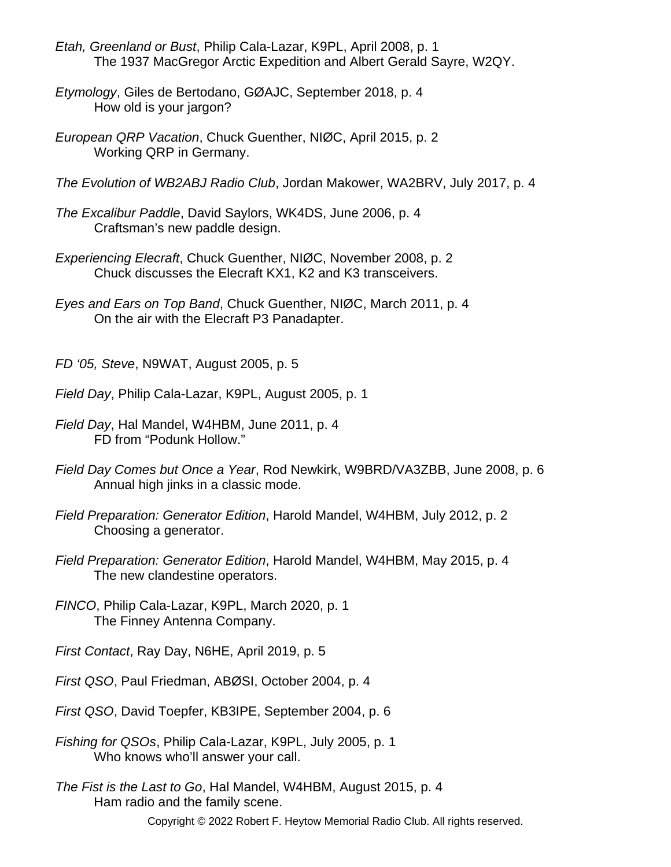- *Etah, Greenland or Bust*, Philip Cala-Lazar, K9PL, April 2008, p. 1 The 1937 MacGregor Arctic Expedition and Albert Gerald Sayre, W2QY.
- *Etymology*, Giles de Bertodano, GØAJC, September 2018, p. 4 How old is your jargon?
- *European QRP Vacation*, Chuck Guenther, NIØC, April 2015, p. 2 Working QRP in Germany.
- *The Evolution of WB2ABJ Radio Club*, Jordan Makower, WA2BRV, July 2017, p. 4
- *The Excalibur Paddle*, David Saylors, WK4DS, June 2006, p. 4 Craftsman's new paddle design.
- *Experiencing Elecraft*, Chuck Guenther, NIØC, November 2008, p. 2 Chuck discusses the Elecraft KX1, K2 and K3 transceivers.
- *Eyes and Ears on Top Band*, Chuck Guenther, NIØC, March 2011, p. 4 On the air with the Elecraft P3 Panadapter.

*FD '05, Steve*, N9WAT, August 2005, p. 5

- *Field Day*, Philip Cala-Lazar, K9PL, August 2005, p. 1
- *Field Day*, Hal Mandel, W4HBM, June 2011, p. 4 FD from "Podunk Hollow."
- *Field Day Comes but Once a Year*, Rod Newkirk, W9BRD/VA3ZBB, June 2008, p. 6 Annual high jinks in a classic mode.
- *Field Preparation: Generator Edition*, Harold Mandel, W4HBM, July 2012, p. 2 Choosing a generator.
- *Field Preparation: Generator Edition*, Harold Mandel, W4HBM, May 2015, p. 4 The new clandestine operators.
- *FINCO*, Philip Cala-Lazar, K9PL, March 2020, p. 1 The Finney Antenna Company.
- *First Contact*, Ray Day, N6HE, April 2019, p. 5
- *First QSO*, Paul Friedman, ABØSI, October 2004, p. 4
- *First QSO*, David Toepfer, KB3IPE, September 2004, p. 6
- *Fishing for QSOs*, Philip Cala-Lazar, K9PL, July 2005, p. 1 Who knows who'll answer your call.
- *The Fist is the Last to Go*, Hal Mandel, W4HBM, August 2015, p. 4 Ham radio and the family scene.
	- Copyright © 2022 Robert F. Heytow Memorial Radio Club. All rights reserved.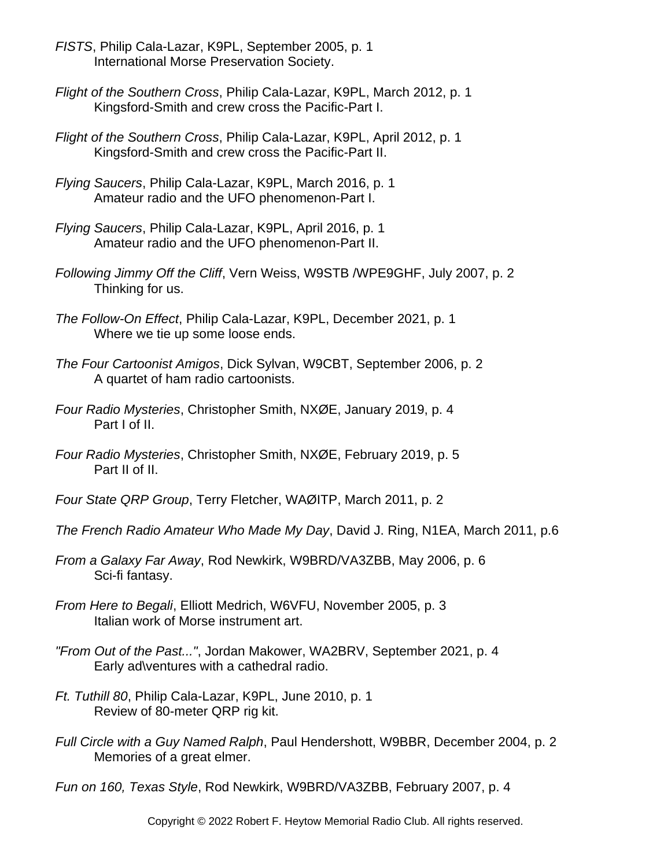- *FISTS*, Philip Cala-Lazar, K9PL, September 2005, p. 1 International Morse Preservation Society.
- *Flight of the Southern Cross*, Philip Cala-Lazar, K9PL, March 2012, p. 1 Kingsford-Smith and crew cross the Pacific-Part I.
- *Flight of the Southern Cross*, Philip Cala-Lazar, K9PL, April 2012, p. 1 Kingsford-Smith and crew cross the Pacific-Part II.
- *Flying Saucers*, Philip Cala-Lazar, K9PL, March 2016, p. 1 Amateur radio and the UFO phenomenon-Part I.
- *Flying Saucers*, Philip Cala-Lazar, K9PL, April 2016, p. 1 Amateur radio and the UFO phenomenon-Part II.
- *Following Jimmy Off the Cliff*, Vern Weiss, W9STB /WPE9GHF, July 2007, p. 2 Thinking for us.
- *The Follow-On Effect*, Philip Cala-Lazar, K9PL, December 2021, p. 1 Where we tie up some loose ends.
- *The Four Cartoonist Amigos*, Dick Sylvan, W9CBT, September 2006, p. 2 A quartet of ham radio cartoonists.
- *Four Radio Mysteries*, Christopher Smith, NXØE, January 2019, p. 4 Part I of II.
- *Four Radio Mysteries*, Christopher Smith, NXØE, February 2019, p. 5 Part II of II.
- *Four State QRP Group*, Terry Fletcher, WAØITP, March 2011, p. 2
- *The French Radio Amateur Who Made My Day*, David J. Ring, N1EA, March 2011, p.6
- *From a Galaxy Far Away*, Rod Newkirk, W9BRD/VA3ZBB, May 2006, p. 6 Sci-fi fantasy.
- *From Here to Begali*, Elliott Medrich, W6VFU, November 2005, p. 3 Italian work of Morse instrument art.
- *"From Out of the Past..."*, Jordan Makower, WA2BRV, September 2021, p. 4 Early ad\ventures with a cathedral radio.
- *Ft. Tuthill 80*, Philip Cala-Lazar, K9PL, June 2010, p. 1 Review of 80-meter QRP rig kit.
- *Full Circle with a Guy Named Ralph*, Paul Hendershott, W9BBR, December 2004, p. 2 Memories of a great elmer.

*Fun on 160, Texas Style*, Rod Newkirk, W9BRD/VA3ZBB, February 2007, p. 4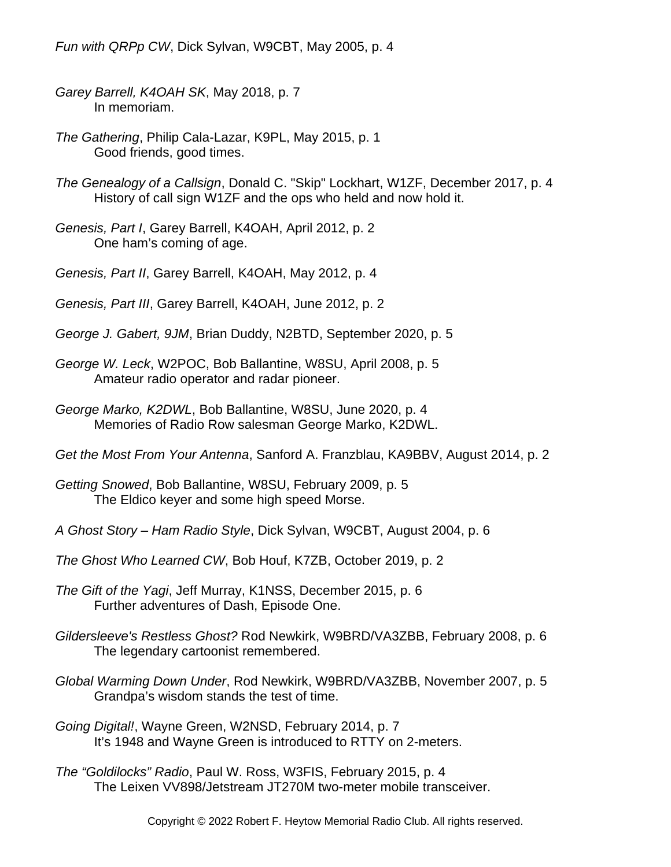*Fun with QRPp CW*, Dick Sylvan, W9CBT, May 2005, p. 4

- *Garey Barrell, K4OAH SK*, May 2018, p. 7 In memoriam.
- *The Gathering*, Philip Cala-Lazar, K9PL, May 2015, p. 1 Good friends, good times.
- *The Genealogy of a Callsign*, Donald C. "Skip" Lockhart, W1ZF, December 2017, p. 4 History of call sign W1ZF and the ops who held and now hold it.
- *Genesis, Part I*, Garey Barrell, K4OAH, April 2012, p. 2 One ham's coming of age.
- *Genesis, Part II*, Garey Barrell, K4OAH, May 2012, p. 4
- *Genesis, Part III*, Garey Barrell, K4OAH, June 2012, p. 2
- *George J. Gabert, 9JM*, Brian Duddy, N2BTD, September 2020, p. 5
- *George W. Leck*, W2POC, Bob Ballantine, W8SU, April 2008, p. 5 Amateur radio operator and radar pioneer.
- *George Marko, K2DWL*, Bob Ballantine, W8SU, June 2020, p. 4 Memories of Radio Row salesman George Marko, K2DWL.
- *Get the Most From Your Antenna*, Sanford A. Franzblau, KA9BBV, August 2014, p. 2
- *Getting Snowed*, Bob Ballantine, W8SU, February 2009, p. 5 The Eldico keyer and some high speed Morse.
- *A Ghost Story Ham Radio Style*, Dick Sylvan, W9CBT, August 2004, p. 6
- *The Ghost Who Learned CW*, Bob Houf, K7ZB, October 2019, p. 2
- *The Gift of the Yagi*, Jeff Murray, K1NSS, December 2015, p. 6 Further adventures of Dash, Episode One.
- *Gildersleeve's Restless Ghost?* Rod Newkirk, W9BRD/VA3ZBB, February 2008, p. 6 The legendary cartoonist remembered.
- *Global Warming Down Under*, Rod Newkirk, W9BRD/VA3ZBB, November 2007, p. 5 Grandpa's wisdom stands the test of time.
- *Going Digital!*, Wayne Green, W2NSD, February 2014, p. 7 It's 1948 and Wayne Green is introduced to RTTY on 2-meters.
- *The "Goldilocks" Radio*, Paul W. Ross, W3FIS, February 2015, p. 4 The Leixen VV898/Jetstream JT270M two-meter mobile transceiver.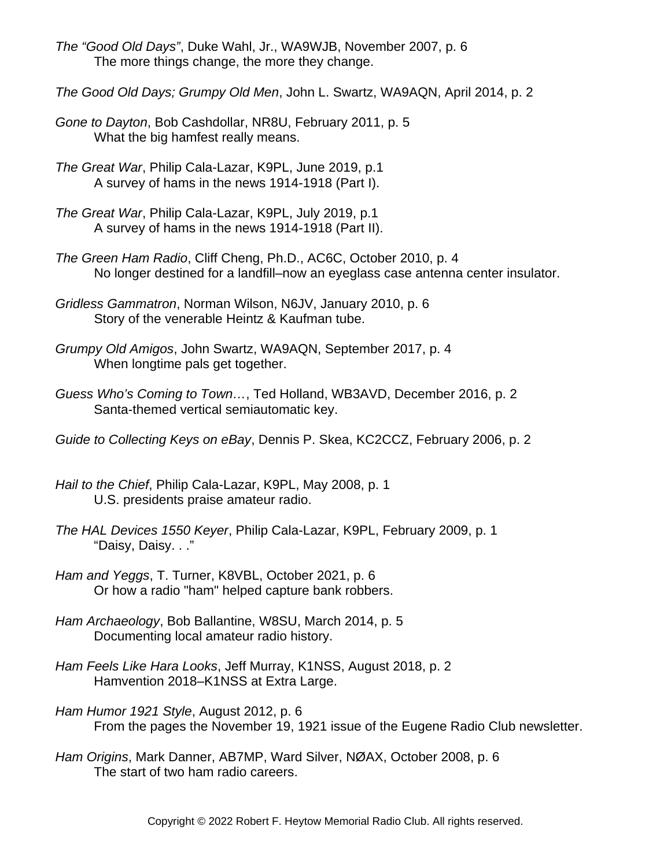- *The "Good Old Days"*, Duke Wahl, Jr., WA9WJB, November 2007, p. 6 The more things change, the more they change.
- *The Good Old Days; Grumpy Old Men*, John L. Swartz, WA9AQN, April 2014, p. 2
- *Gone to Dayton*, Bob Cashdollar, NR8U, February 2011, p. 5 What the big hamfest really means.
- *The Great War*, Philip Cala-Lazar, K9PL, June 2019, p.1 A survey of hams in the news 1914-1918 (Part I).
- *The Great War*, Philip Cala-Lazar, K9PL, July 2019, p.1 A survey of hams in the news 1914-1918 (Part II).
- *The Green Ham Radio*, Cliff Cheng, Ph.D., AC6C, October 2010, p. 4 No longer destined for a landfill–now an eyeglass case antenna center insulator.
- *Gridless Gammatron*, Norman Wilson, N6JV, January 2010, p. 6 Story of the venerable Heintz & Kaufman tube.
- *Grumpy Old Amigos*, John Swartz, WA9AQN, September 2017, p. 4 When longtime pals get together.
- *Guess Who's Coming to Town…*, Ted Holland, WB3AVD, December 2016, p. 2 Santa-themed vertical semiautomatic key.
- *Guide to Collecting Keys on eBay*, Dennis P. Skea, KC2CCZ, February 2006, p. 2
- *Hail to the Chief*, Philip Cala-Lazar, K9PL, May 2008, p. 1 U.S. presidents praise amateur radio.
- *The HAL Devices 1550 Keyer*, Philip Cala-Lazar, K9PL, February 2009, p. 1 "Daisy, Daisy. . ."
- *Ham and Yeggs*, T. Turner, K8VBL, October 2021, p. 6 Or how a radio "ham" helped capture bank robbers.
- *Ham Archaeology*, Bob Ballantine, W8SU, March 2014, p. 5 Documenting local amateur radio history.
- *Ham Feels Like Hara Looks*, Jeff Murray, K1NSS, August 2018, p. 2 Hamvention 2018–K1NSS at Extra Large.
- *Ham Humor 1921 Style*, August 2012, p. 6 From the pages the November 19, 1921 issue of the Eugene Radio Club newsletter.
- *Ham Origins*, Mark Danner, AB7MP, Ward Silver, NØAX, October 2008, p. 6 The start of two ham radio careers.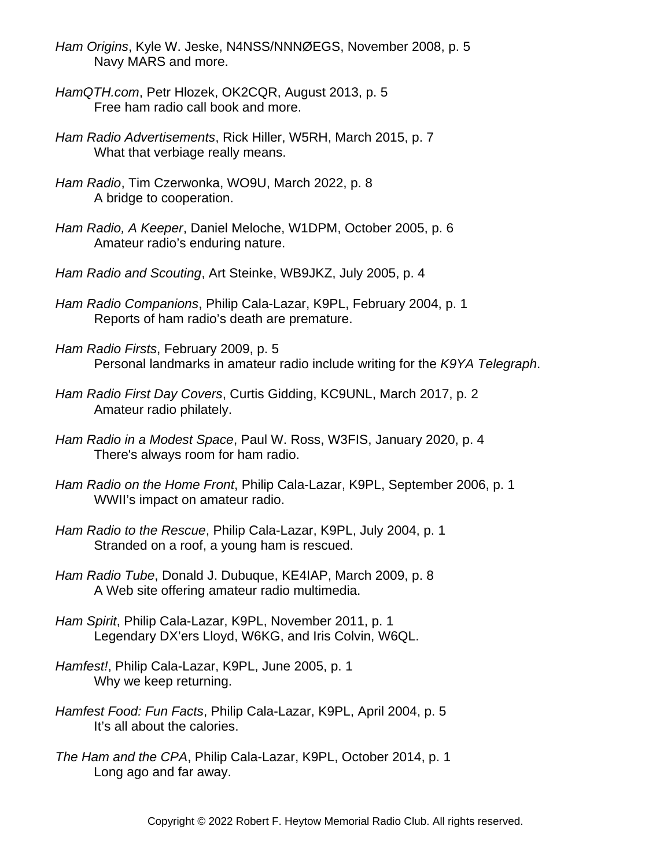- *Ham Origins*, Kyle W. Jeske, N4NSS/NNNØEGS, November 2008, p. 5 Navy MARS and more.
- *HamQTH.com*, Petr Hlozek, OK2CQR, August 2013, p. 5 Free ham radio call book and more.
- *Ham Radio Advertisements*, Rick Hiller, W5RH, March 2015, p. 7 What that verbiage really means.
- *Ham Radio*, Tim Czerwonka, WO9U, March 2022, p. 8 A bridge to cooperation.
- *Ham Radio, A Keeper*, Daniel Meloche, W1DPM, October 2005, p. 6 Amateur radio's enduring nature.
- *Ham Radio and Scouting*, Art Steinke, WB9JKZ, July 2005, p. 4
- *Ham Radio Companions*, Philip Cala-Lazar, K9PL, February 2004, p. 1 Reports of ham radio's death are premature.
- *Ham Radio Firsts*, February 2009, p. 5 Personal landmarks in amateur radio include writing for the *K9YA Telegraph*.
- *Ham Radio First Day Covers*, Curtis Gidding, KC9UNL, March 2017, p. 2 Amateur radio philately.
- *Ham Radio in a Modest Space*, Paul W. Ross, W3FIS, January 2020, p. 4 There's always room for ham radio.
- *Ham Radio on the Home Front*, Philip Cala-Lazar, K9PL, September 2006, p. 1 WWII's impact on amateur radio.
- *Ham Radio to the Rescue*, Philip Cala-Lazar, K9PL, July 2004, p. 1 Stranded on a roof, a young ham is rescued.
- *Ham Radio Tube*, Donald J. Dubuque, KE4IAP, March 2009, p. 8 A Web site offering amateur radio multimedia.
- *Ham Spirit*, Philip Cala-Lazar, K9PL, November 2011, p. 1 Legendary DX'ers Lloyd, W6KG, and Iris Colvin, W6QL.
- *Hamfest!*, Philip Cala-Lazar, K9PL, June 2005, p. 1 Why we keep returning.
- *Hamfest Food: Fun Facts*, Philip Cala-Lazar, K9PL, April 2004, p. 5 It's all about the calories.
- *The Ham and the CPA*, Philip Cala-Lazar, K9PL, October 2014, p. 1 Long ago and far away.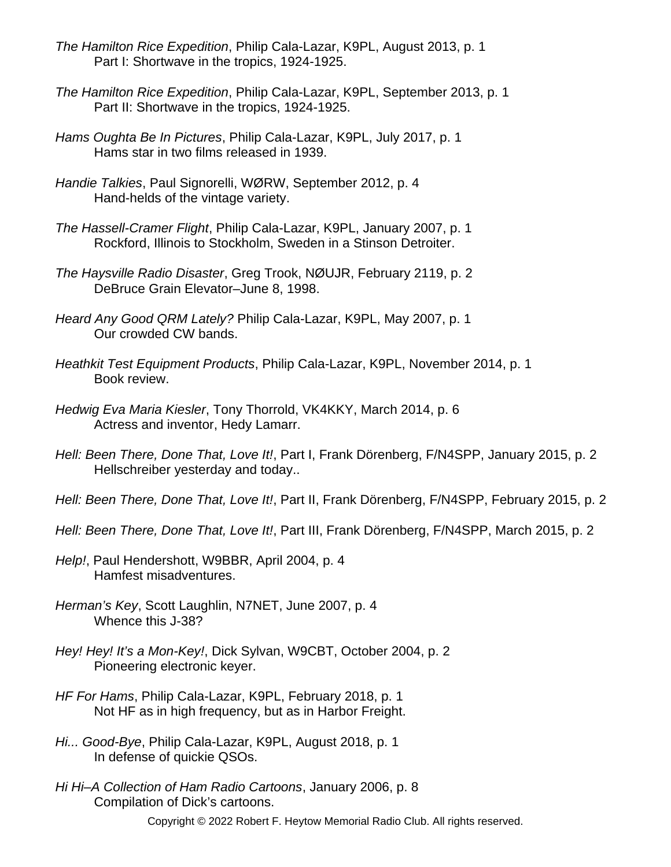- *The Hamilton Rice Expedition*, Philip Cala-Lazar, K9PL, August 2013, p. 1 Part I: Shortwave in the tropics, 1924-1925.
- *The Hamilton Rice Expedition*, Philip Cala-Lazar, K9PL, September 2013, p. 1 Part II: Shortwave in the tropics, 1924-1925.
- *Hams Oughta Be In Pictures*, Philip Cala-Lazar, K9PL, July 2017, p. 1 Hams star in two films released in 1939.
- *Handie Talkies*, Paul Signorelli, WØRW, September 2012, p. 4 Hand-helds of the vintage variety.
- *The Hassell-Cramer Flight*, Philip Cala-Lazar, K9PL, January 2007, p. 1 Rockford, Illinois to Stockholm, Sweden in a Stinson Detroiter.
- *The Haysville Radio Disaster*, Greg Trook, NØUJR, February 2119, p. 2 DeBruce Grain Elevator–June 8, 1998.
- *Heard Any Good QRM Lately?* Philip Cala-Lazar, K9PL, May 2007, p. 1 Our crowded CW bands.
- *Heathkit Test Equipment Products*, Philip Cala-Lazar, K9PL, November 2014, p. 1 Book review.
- *Hedwig Eva Maria Kiesler*, Tony Thorrold, VK4KKY, March 2014, p. 6 Actress and inventor, Hedy Lamarr.
- *Hell: Been There, Done That, Love It!*, Part I, Frank Dörenberg, F/N4SPP, January 2015, p. 2 Hellschreiber yesterday and today..
- *Hell: Been There, Done That, Love It!*, Part II, Frank Dörenberg, F/N4SPP, February 2015, p. 2
- *Hell: Been There, Done That, Love It!*, Part III, Frank Dörenberg, F/N4SPP, March 2015, p. 2
- *Help!*, Paul Hendershott, W9BBR, April 2004, p. 4 Hamfest misadventures.
- *Herman's Key*, Scott Laughlin, N7NET, June 2007, p. 4 Whence this J-38?
- *Hey! Hey! It's a Mon-Key!*, Dick Sylvan, W9CBT, October 2004, p. 2 Pioneering electronic keyer.
- *HF For Hams*, Philip Cala-Lazar, K9PL, February 2018, p. 1 Not HF as in high frequency, but as in Harbor Freight.
- *Hi... Good-Bye*, Philip Cala-Lazar, K9PL, August 2018, p. 1 In defense of quickie QSOs.
- *Hi Hi–A Collection of Ham Radio Cartoons*, January 2006, p. 8 Compilation of Dick's cartoons.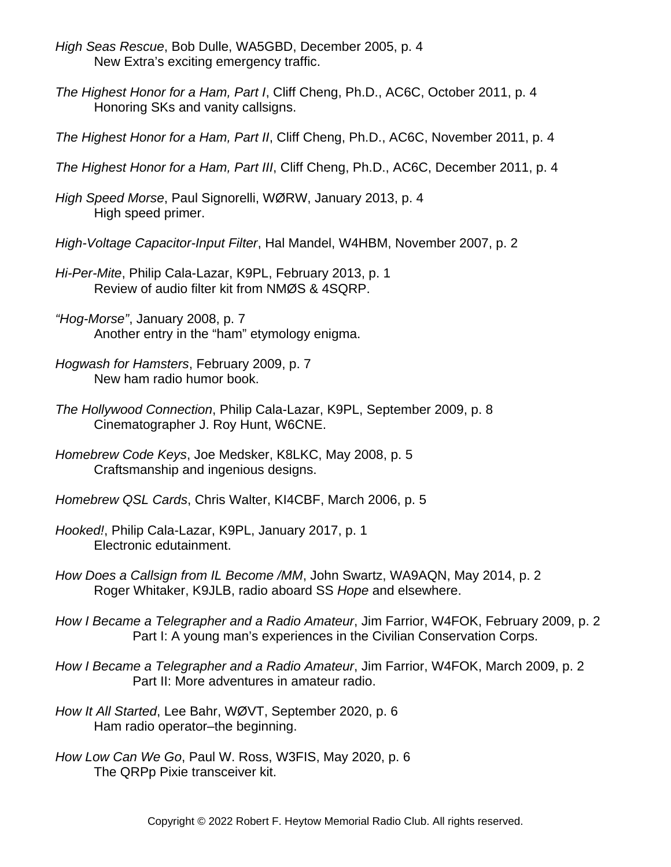- *High Seas Rescue*, Bob Dulle, WA5GBD, December 2005, p. 4 New Extra's exciting emergency traffic.
- *The Highest Honor for a Ham, Part I*, Cliff Cheng, Ph.D., AC6C, October 2011, p. 4 Honoring SKs and vanity callsigns.
- *The Highest Honor for a Ham, Part II*, Cliff Cheng, Ph.D., AC6C, November 2011, p. 4
- *The Highest Honor for a Ham, Part III*, Cliff Cheng, Ph.D., AC6C, December 2011, p. 4
- *High Speed Morse*, Paul Signorelli, WØRW, January 2013, p. 4 High speed primer.
- *High-Voltage Capacitor-Input Filter*, Hal Mandel, W4HBM, November 2007, p. 2
- *Hi-Per-Mite*, Philip Cala-Lazar, K9PL, February 2013, p. 1 Review of audio filter kit from NMØS & 4SQRP.
- *"Hog-Morse"*, January 2008, p. 7 Another entry in the "ham" etymology enigma.
- *Hogwash for Hamsters*, February 2009, p. 7 New ham radio humor book.
- *The Hollywood Connection*, Philip Cala-Lazar, K9PL, September 2009, p. 8 Cinematographer J. Roy Hunt, W6CNE.
- *Homebrew Code Keys*, Joe Medsker, K8LKC, May 2008, p. 5 Craftsmanship and ingenious designs.
- *Homebrew QSL Cards*, Chris Walter, KI4CBF, March 2006, p. 5
- *Hooked!*, Philip Cala-Lazar, K9PL, January 2017, p. 1 Electronic edutainment.
- *How Does a Callsign from IL Become /MM*, John Swartz, WA9AQN, May 2014, p. 2 Roger Whitaker, K9JLB, radio aboard SS *Hope* and elsewhere.
- *How I Became a Telegrapher and a Radio Amateur*, Jim Farrior, W4FOK, February 2009, p. 2 Part I: A young man's experiences in the Civilian Conservation Corps.
- *How I Became a Telegrapher and a Radio Amateur*, Jim Farrior, W4FOK, March 2009, p. 2 Part II: More adventures in amateur radio.
- *How It All Started*, Lee Bahr, WØVT, September 2020, p. 6 Ham radio operator–the beginning.
- *How Low Can We Go*, Paul W. Ross, W3FIS, May 2020, p. 6 The QRPp Pixie transceiver kit.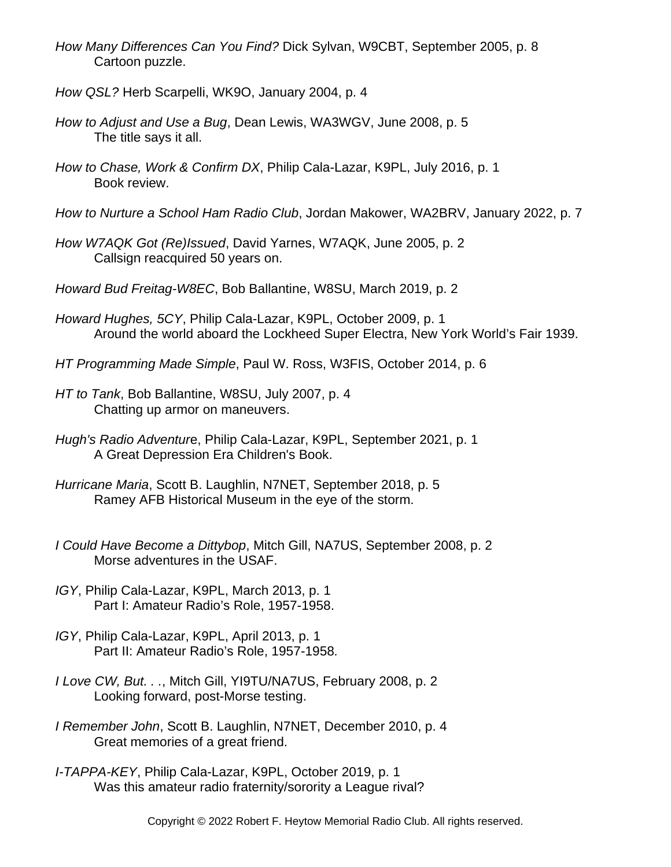- *How Many Differences Can You Find?* Dick Sylvan, W9CBT, September 2005, p. 8 Cartoon puzzle.
- *How QSL?* Herb Scarpelli, WK9O, January 2004, p. 4
- *How to Adjust and Use a Bug*, Dean Lewis, WA3WGV, June 2008, p. 5 The title says it all.
- *How to Chase, Work & Confirm DX*, Philip Cala-Lazar, K9PL, July 2016, p. 1 Book review.
- *How to Nurture a School Ham Radio Club*, Jordan Makower, WA2BRV, January 2022, p. 7
- *How W7AQK Got (Re)Issued*, David Yarnes, W7AQK, June 2005, p. 2 Callsign reacquired 50 years on.
- *Howard Bud Freitag-W8EC*, Bob Ballantine, W8SU, March 2019, p. 2
- *Howard Hughes, 5CY*, Philip Cala-Lazar, K9PL, October 2009, p. 1 Around the world aboard the Lockheed Super Electra, New York World's Fair 1939.
- *HT Programming Made Simple*, Paul W. Ross, W3FIS, October 2014, p. 6
- *HT to Tank*, Bob Ballantine, W8SU, July 2007, p. 4 Chatting up armor on maneuvers.
- *Hugh's Radio Adventur*e, Philip Cala-Lazar, K9PL, September 2021, p. 1 A Great Depression Era Children's Book.
- *Hurricane Maria*, Scott B. Laughlin, N7NET, September 2018, p. 5 Ramey AFB Historical Museum in the eye of the storm.
- *I Could Have Become a Dittybop*, Mitch Gill, NA7US, September 2008, p. 2 Morse adventures in the USAF.
- *IGY*, Philip Cala-Lazar, K9PL, March 2013, p. 1 Part I: Amateur Radio's Role, 1957-1958.
- *IGY*, Philip Cala-Lazar, K9PL, April 2013, p. 1 Part II: Amateur Radio's Role, 1957-1958*.*
- *I Love CW, But. . .*, Mitch Gill, YI9TU/NA7US, February 2008, p. 2 Looking forward, post-Morse testing.
- *I Remember John*, Scott B. Laughlin, N7NET, December 2010, p. 4 Great memories of a great friend.
- *I-TAPPA-KEY*, Philip Cala-Lazar, K9PL, October 2019, p. 1 Was this amateur radio fraternity/sorority a League rival?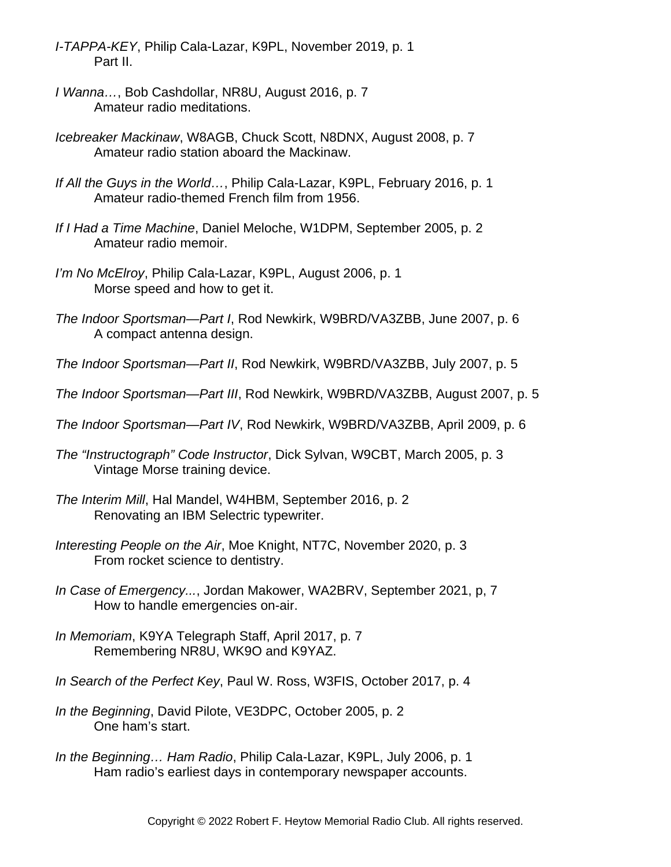- *I-TAPPA-KEY*, Philip Cala-Lazar, K9PL, November 2019, p. 1 Part II.
- *I Wanna…*, Bob Cashdollar, NR8U, August 2016, p. 7 Amateur radio meditations.
- *Icebreaker Mackinaw*, W8AGB, Chuck Scott, N8DNX, August 2008, p. 7 Amateur radio station aboard the Mackinaw.
- *If All the Guys in the World…*, Philip Cala-Lazar, K9PL, February 2016, p. 1 Amateur radio-themed French film from 1956.
- *If I Had a Time Machine*, Daniel Meloche, W1DPM, September 2005, p. 2 Amateur radio memoir.
- *I'm No McElroy*, Philip Cala-Lazar, K9PL, August 2006, p. 1 Morse speed and how to get it.
- *The Indoor Sportsman—Part I*, Rod Newkirk, W9BRD/VA3ZBB, June 2007, p. 6 A compact antenna design.
- *The Indoor Sportsman—Part II*, Rod Newkirk, W9BRD/VA3ZBB, July 2007, p. 5
- *The Indoor Sportsman—Part III*, Rod Newkirk, W9BRD/VA3ZBB, August 2007, p. 5
- *The Indoor Sportsman—Part IV*, Rod Newkirk, W9BRD/VA3ZBB, April 2009, p. 6
- *The "Instructograph" Code Instructor*, Dick Sylvan, W9CBT, March 2005, p. 3 Vintage Morse training device.
- *The Interim Mill*, Hal Mandel, W4HBM, September 2016, p. 2 Renovating an IBM Selectric typewriter.
- *Interesting People on the Air*, Moe Knight, NT7C, November 2020, p. 3 From rocket science to dentistry.
- *In Case of Emergency...*, Jordan Makower, WA2BRV, September 2021, p, 7 How to handle emergencies on-air.
- *In Memoriam*, K9YA Telegraph Staff, April 2017, p. 7 Remembering NR8U, WK9O and K9YAZ.
- *In Search of the Perfect Key*, Paul W. Ross, W3FIS, October 2017, p. 4
- *In the Beginning*, David Pilote, VE3DPC, October 2005, p. 2 One ham's start.
- *In the Beginning… Ham Radio*, Philip Cala-Lazar, K9PL, July 2006, p. 1 Ham radio's earliest days in contemporary newspaper accounts.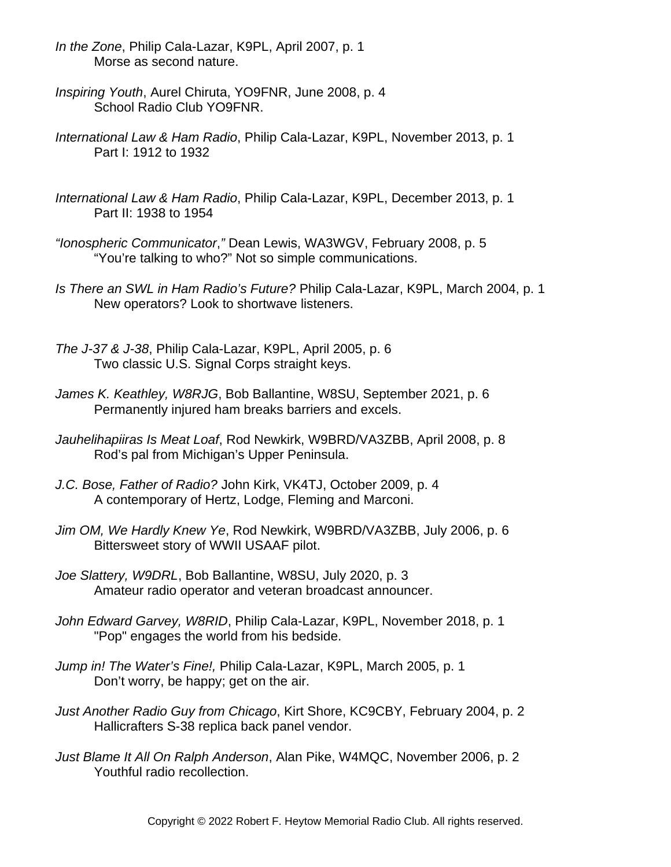- *In the Zone*, Philip Cala-Lazar, K9PL, April 2007, p. 1 Morse as second nature.
- *Inspiring Youth*, Aurel Chiruta, YO9FNR, June 2008, p. 4 School Radio Club YO9FNR.
- *International Law & Ham Radio*, Philip Cala-Lazar, K9PL, November 2013, p. 1 Part I: 1912 to 1932
- *International Law & Ham Radio*, Philip Cala-Lazar, K9PL, December 2013, p. 1 Part II: 1938 to 1954
- *"Ionospheric Communicator*,*"* Dean Lewis, WA3WGV, February 2008, p. 5 "You're talking to who?" Not so simple communications.
- *Is There an SWL in Ham Radio's Future?* Philip Cala-Lazar, K9PL, March 2004, p. 1 New operators? Look to shortwave listeners.
- *The J-37 & J-38*, Philip Cala-Lazar, K9PL, April 2005, p. 6 Two classic U.S. Signal Corps straight keys.
- *James K. Keathley, W8RJG*, Bob Ballantine, W8SU, September 2021, p. 6 Permanently injured ham breaks barriers and excels.
- *Jauhelihapiiras Is Meat Loaf*, Rod Newkirk, W9BRD/VA3ZBB, April 2008, p. 8 Rod's pal from Michigan's Upper Peninsula.
- *J.C. Bose, Father of Radio?* John Kirk, VK4TJ, October 2009, p. 4 A contemporary of Hertz, Lodge, Fleming and Marconi.
- *Jim OM, We Hardly Knew Ye*, Rod Newkirk, W9BRD/VA3ZBB, July 2006, p. 6 Bittersweet story of WWII USAAF pilot.
- *Joe Slattery, W9DRL*, Bob Ballantine, W8SU, July 2020, p. 3 Amateur radio operator and veteran broadcast announcer.
- *John Edward Garvey, W8RID*, Philip Cala-Lazar, K9PL, November 2018, p. 1 "Pop" engages the world from his bedside.
- *Jump in! The Water's Fine!,* Philip Cala-Lazar, K9PL, March 2005, p. 1 Don't worry, be happy; get on the air.
- *Just Another Radio Guy from Chicago*, Kirt Shore, KC9CBY, February 2004, p. 2 Hallicrafters S-38 replica back panel vendor.
- *Just Blame It All On Ralph Anderson*, Alan Pike, W4MQC, November 2006, p. 2 Youthful radio recollection.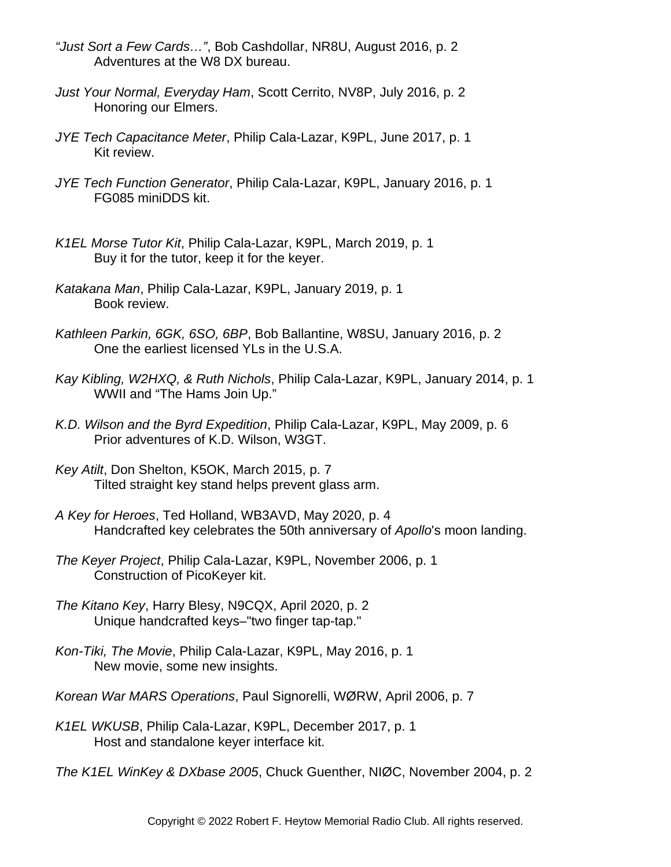- *"Just Sort a Few Cards…"*, Bob Cashdollar, NR8U, August 2016, p. 2 Adventures at the W8 DX bureau.
- *Just Your Normal, Everyday Ham*, Scott Cerrito, NV8P, July 2016, p. 2 Honoring our Elmers.
- *JYE Tech Capacitance Meter*, Philip Cala-Lazar, K9PL, June 2017, p. 1 Kit review.
- *JYE Tech Function Generator*, Philip Cala-Lazar, K9PL, January 2016, p. 1 FG085 miniDDS kit.
- *K1EL Morse Tutor Kit*, Philip Cala-Lazar, K9PL, March 2019, p. 1 Buy it for the tutor, keep it for the keyer.
- *Katakana Man*, Philip Cala-Lazar, K9PL, January 2019, p. 1 Book review.
- *Kathleen Parkin, 6GK, 6SO, 6BP*, Bob Ballantine, W8SU, January 2016, p. 2 One the earliest licensed YLs in the U.S.A.
- *Kay Kibling, W2HXQ, & Ruth Nichols*, Philip Cala-Lazar, K9PL, January 2014, p. 1 WWII and "The Hams Join Up."
- *K.D. Wilson and the Byrd Expedition*, Philip Cala-Lazar, K9PL, May 2009, p. 6 Prior adventures of K.D. Wilson, W3GT.
- *Key Atilt*, Don Shelton, K5OK, March 2015, p. 7 Tilted straight key stand helps prevent glass arm.
- *A Key for Heroes*, Ted Holland, WB3AVD, May 2020, p. 4 Handcrafted key celebrates the 50th anniversary of *Apollo*'s moon landing.
- *The Keyer Project*, Philip Cala-Lazar, K9PL, November 2006, p. 1 Construction of PicoKeyer kit.
- *The Kitano Key*, Harry Blesy, N9CQX, April 2020, p. 2 Unique handcrafted keys–"two finger tap-tap."
- *Kon-Tiki, The Movie*, Philip Cala-Lazar, K9PL, May 2016, p. 1 New movie, some new insights.
- *Korean War MARS Operations*, Paul Signorelli, WØRW, April 2006, p. 7
- *K1EL WKUSB*, Philip Cala-Lazar, K9PL, December 2017, p. 1 Host and standalone keyer interface kit.
- *The K1EL WinKey & DXbase 2005*, Chuck Guenther, NIØC, November 2004, p. 2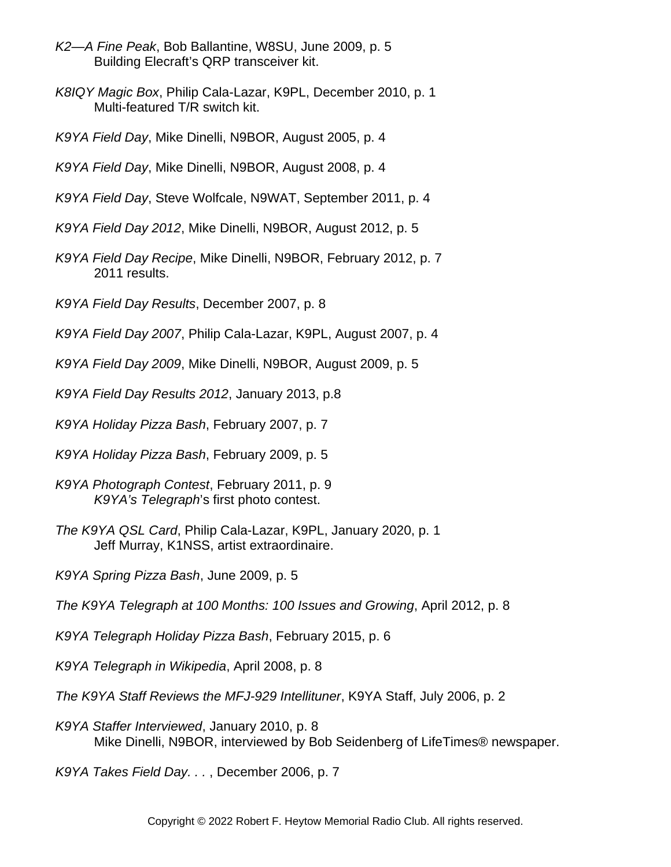- *K2—A Fine Peak*, Bob Ballantine, W8SU, June 2009, p. 5 Building Elecraft's QRP transceiver kit.
- *K8IQY Magic Box*, Philip Cala-Lazar, K9PL, December 2010, p. 1 Multi-featured T/R switch kit.
- *K9YA Field Day*, Mike Dinelli, N9BOR, August 2005, p. 4

*K9YA Field Day*, Mike Dinelli, N9BOR, August 2008, p. 4

- *K9YA Field Day*, Steve Wolfcale, N9WAT, September 2011, p. 4
- *K9YA Field Day 2012*, Mike Dinelli, N9BOR, August 2012, p. 5
- *K9YA Field Day Recipe*, Mike Dinelli, N9BOR, February 2012, p. 7 2011 results.
- *K9YA Field Day Results*, December 2007, p. 8
- *K9YA Field Day 2007*, Philip Cala-Lazar, K9PL, August 2007, p. 4
- *K9YA Field Day 2009*, Mike Dinelli, N9BOR, August 2009, p. 5
- *K9YA Field Day Results 2012*, January 2013, p.8
- *K9YA Holiday Pizza Bash*, February 2007, p. 7
- *K9YA Holiday Pizza Bash*, February 2009, p. 5
- *K9YA Photograph Contest*, February 2011, p. 9 *K9YA's Telegraph*'s first photo contest.
- *The K9YA QSL Card*, Philip Cala-Lazar, K9PL, January 2020, p. 1 Jeff Murray, K1NSS, artist extraordinaire.
- *K9YA Spring Pizza Bash*, June 2009, p. 5
- *The K9YA Telegraph at 100 Months: 100 Issues and Growing*, April 2012, p. 8
- *K9YA Telegraph Holiday Pizza Bash*, February 2015, p. 6
- *K9YA Telegraph in Wikipedia*, April 2008, p. 8
- *The K9YA Staff Reviews the MFJ-929 Intellituner*, K9YA Staff, July 2006, p. 2
- *K9YA Staffer Interviewed*, January 2010, p. 8 Mike Dinelli, N9BOR, interviewed by Bob Seidenberg of LifeTimes® newspaper.

*K9YA Takes Field Day. . .* , December 2006, p. 7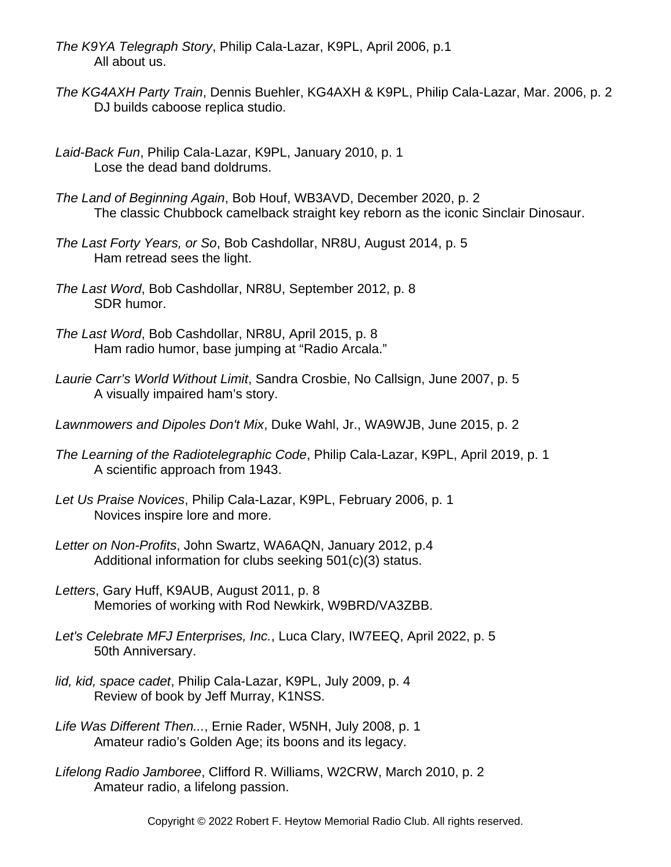- *The K9YA Telegraph Story*, Philip Cala-Lazar, K9PL, April 2006, p.1 All about us.
- *The KG4AXH Party Train*, Dennis Buehler, KG4AXH & K9PL, Philip Cala-Lazar, Mar. 2006, p. 2 DJ builds caboose replica studio.
- *Laid-Back Fun*, Philip Cala-Lazar, K9PL, January 2010, p. 1 Lose the dead band doldrums.
- *The Land of Beginning Again*, Bob Houf, WB3AVD, December 2020, p. 2 The classic Chubbock camelback straight key reborn as the iconic Sinclair Dinosaur.
- *The Last Forty Years, or So*, Bob Cashdollar, NR8U, August 2014, p. 5 Ham retread sees the light.
- *The Last Word*, Bob Cashdollar, NR8U, September 2012, p. 8 SDR humor.
- *The Last Word*, Bob Cashdollar, NR8U, April 2015, p. 8 Ham radio humor, base jumping at "Radio Arcala."
- *Laurie Carr's World Without Limit*, Sandra Crosbie, No Callsign, June 2007, p. 5 A visually impaired ham's story.
- *Lawnmowers and Dipoles Don't Mix*, Duke Wahl, Jr., WA9WJB, June 2015, p. 2
- *The Learning of the Radiotelegraphic Code*, Philip Cala-Lazar, K9PL, April 2019, p. 1 A scientific approach from 1943.
- *Let Us Praise Novices*, Philip Cala-Lazar, K9PL, February 2006, p. 1 Novices inspire lore and more.
- *Letter on Non-Profits*, John Swartz, WA6AQN, January 2012, p.4 Additional information for clubs seeking 501(c)(3) status.
- *Letters*, Gary Huff, K9AUB, August 2011, p. 8 Memories of working with Rod Newkirk, W9BRD/VA3ZBB.
- *Let's Celebrate MFJ Enterprises, Inc.*, Luca Clary, IW7EEQ, April 2022, p. 5 50th Anniversary.
- *lid, kid, space cadet*, Philip Cala-Lazar, K9PL, July 2009, p. 4 Review of book by Jeff Murray, K1NSS.
- *Life Was Different Then...*, Ernie Rader, W5NH, July 2008, p. 1 Amateur radio's Golden Age; its boons and its legacy.
- *Lifelong Radio Jamboree*, Clifford R. Williams, W2CRW, March 2010, p. 2 Amateur radio, a lifelong passion.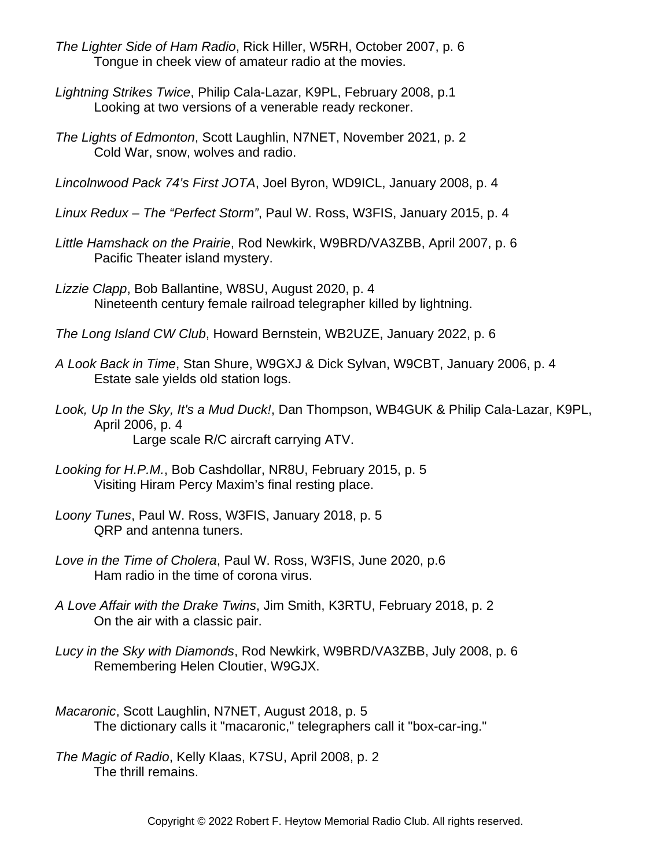- *The Lighter Side of Ham Radio*, Rick Hiller, W5RH, October 2007, p. 6 Tongue in cheek view of amateur radio at the movies.
- *Lightning Strikes Twice*, Philip Cala-Lazar, K9PL, February 2008, p.1 Looking at two versions of a venerable ready reckoner.
- *The Lights of Edmonton*, Scott Laughlin, N7NET, November 2021, p. 2 Cold War, snow, wolves and radio.
- *Lincolnwood Pack 74's First JOTA*, Joel Byron, WD9ICL, January 2008, p. 4
- *Linux Redux The "Perfect Storm"*, Paul W. Ross, W3FIS, January 2015, p. 4
- *Little Hamshack on the Prairie*, Rod Newkirk, W9BRD/VA3ZBB, April 2007, p. 6 Pacific Theater island mystery.
- *Lizzie Clapp*, Bob Ballantine, W8SU, August 2020, p. 4 Nineteenth century female railroad telegrapher killed by lightning.
- *The Long Island CW Club*, Howard Bernstein, WB2UZE, January 2022, p. 6
- *A Look Back in Time*, Stan Shure, W9GXJ & Dick Sylvan, W9CBT, January 2006, p. 4 Estate sale yields old station logs.
- *Look, Up In the Sky, It's a Mud Duck!*, Dan Thompson, WB4GUK & Philip Cala-Lazar, K9PL, April 2006, p. 4 Large scale R/C aircraft carrying ATV.
- *Looking for H.P.M.*, Bob Cashdollar, NR8U, February 2015, p. 5 Visiting Hiram Percy Maxim's final resting place.
- *Loony Tunes*, Paul W. Ross, W3FIS, January 2018, p. 5 QRP and antenna tuners.
- *Love in the Time of Cholera*, Paul W. Ross, W3FIS, June 2020, p.6 Ham radio in the time of corona virus.
- *A Love Affair with the Drake Twins*, Jim Smith, K3RTU, February 2018, p. 2 On the air with a classic pair.
- *Lucy in the Sky with Diamonds*, Rod Newkirk, W9BRD/VA3ZBB, July 2008, p. 6 Remembering Helen Cloutier, W9GJX.
- *Macaronic*, Scott Laughlin, N7NET, August 2018, p. 5 The dictionary calls it "macaronic," telegraphers call it "box-car-ing."

*The Magic of Radio*, Kelly Klaas, K7SU, April 2008, p. 2 The thrill remains.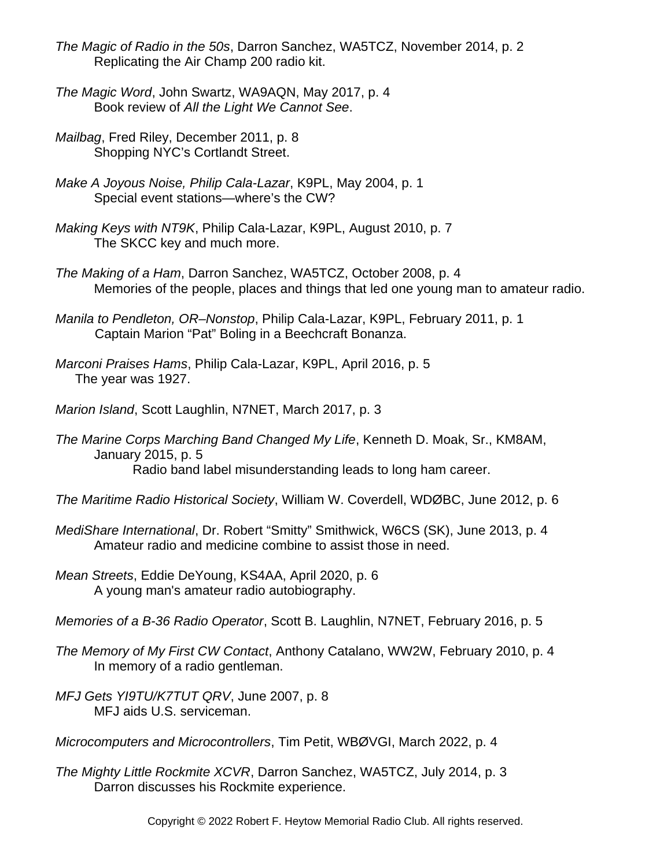- *The Magic of Radio in the 50s*, Darron Sanchez, WA5TCZ, November 2014, p. 2 Replicating the Air Champ 200 radio kit.
- *The Magic Word*, John Swartz, WA9AQN, May 2017, p. 4 Book review of *All the Light We Cannot See*.
- *Mailbag*, Fred Riley, December 2011, p. 8 Shopping NYC's Cortlandt Street.
- *Make A Joyous Noise, Philip Cala-Lazar*, K9PL, May 2004, p. 1 Special event stations—where's the CW?
- *Making Keys with NT9K*, Philip Cala-Lazar, K9PL, August 2010, p. 7 The SKCC key and much more.
- *The Making of a Ham*, Darron Sanchez, WA5TCZ, October 2008, p. 4 Memories of the people, places and things that led one young man to amateur radio.
- *Manila to Pendleton, OR–Nonstop*, Philip Cala-Lazar, K9PL, February 2011, p. 1 Captain Marion "Pat" Boling in a Beechcraft Bonanza.
- *Marconi Praises Hams*, Philip Cala-Lazar, K9PL, April 2016, p. 5 The year was 1927.
- *Marion Island*, Scott Laughlin, N7NET, March 2017, p. 3
- *The Marine Corps Marching Band Changed My Life*, Kenneth D. Moak, Sr., KM8AM, January 2015, p. 5 Radio band label misunderstanding leads to long ham career.
- *The Maritime Radio Historical Society*, William W. Coverdell, WDØBC, June 2012, p. 6
- *MediShare International*, Dr. Robert "Smitty" Smithwick, W6CS (SK), June 2013, p. 4 Amateur radio and medicine combine to assist those in need.
- *Mean Streets*, Eddie DeYoung, KS4AA, April 2020, p. 6 A young man's amateur radio autobiography.
- *Memories of a B-36 Radio Operator*, Scott B. Laughlin, N7NET, February 2016, p. 5
- *The Memory of My First CW Contact*, Anthony Catalano, WW2W, February 2010, p. 4 In memory of a radio gentleman.
- *MFJ Gets YI9TU/K7TUT QRV*, June 2007, p. 8 MFJ aids U.S. serviceman.
- *Microcomputers and Microcontrollers*, Tim Petit, WBØVGI, March 2022, p. 4
- *The Mighty Little Rockmite XCVR*, Darron Sanchez, WA5TCZ, July 2014, p. 3 Darron discusses his Rockmite experience.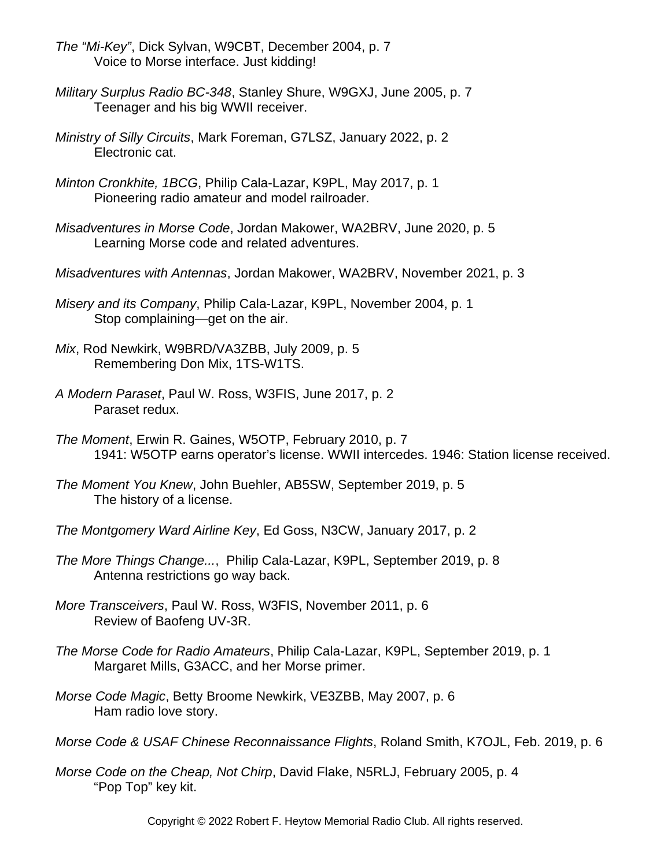- *The "Mi-Key"*, Dick Sylvan, W9CBT, December 2004, p. 7 Voice to Morse interface. Just kidding!
- *Military Surplus Radio BC-348*, Stanley Shure, W9GXJ, June 2005, p. 7 Teenager and his big WWII receiver.
- *Ministry of Silly Circuits*, Mark Foreman, G7LSZ, January 2022, p. 2 Electronic cat.
- *Minton Cronkhite, 1BCG*, Philip Cala-Lazar, K9PL, May 2017, p. 1 Pioneering radio amateur and model railroader.
- *Misadventures in Morse Code*, Jordan Makower, WA2BRV, June 2020, p. 5 Learning Morse code and related adventures.
- *Misadventures with Antennas*, Jordan Makower, WA2BRV, November 2021, p. 3
- *Misery and its Company*, Philip Cala-Lazar, K9PL, November 2004, p. 1 Stop complaining—get on the air.
- *Mix*, Rod Newkirk, W9BRD/VA3ZBB, July 2009, p. 5 Remembering Don Mix, 1TS-W1TS.
- *A Modern Paraset*, Paul W. Ross, W3FIS, June 2017, p. 2 Paraset redux.
- *The Moment*, Erwin R. Gaines, W5OTP, February 2010, p. 7 1941: W5OTP earns operator's license. WWII intercedes. 1946: Station license received.
- *The Moment You Knew*, John Buehler, AB5SW, September 2019, p. 5 The history of a license.
- *The Montgomery Ward Airline Key*, Ed Goss, N3CW, January 2017, p. 2
- *The More Things Change...*, Philip Cala-Lazar, K9PL, September 2019, p. 8 Antenna restrictions go way back.
- *More Transceivers*, Paul W. Ross, W3FIS, November 2011, p. 6 Review of Baofeng UV-3R.
- *The Morse Code for Radio Amateurs*, Philip Cala-Lazar, K9PL, September 2019, p. 1 Margaret Mills, G3ACC, and her Morse primer.
- *Morse Code Magic*, Betty Broome Newkirk, VE3ZBB, May 2007, p. 6 Ham radio love story.
- *Morse Code & USAF Chinese Reconnaissance Flights*, Roland Smith, K7OJL, Feb. 2019, p. 6
- *Morse Code on the Cheap, Not Chirp*, David Flake, N5RLJ, February 2005, p. 4 "Pop Top" key kit.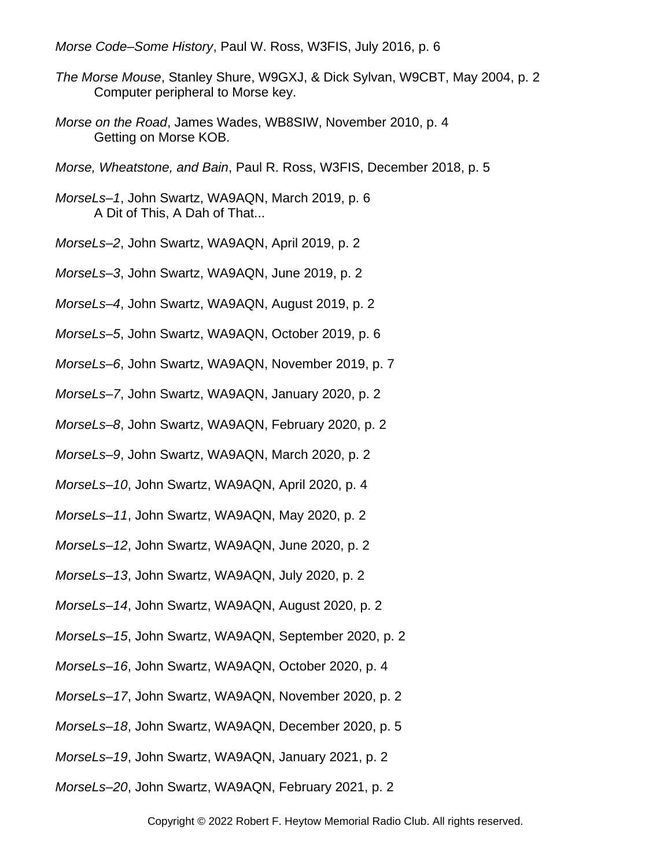*Morse Code–Some History*, Paul W. Ross, W3FIS, July 2016, p. 6

- *The Morse Mouse*, Stanley Shure, W9GXJ, & Dick Sylvan, W9CBT, May 2004, p. 2 Computer peripheral to Morse key.
- *Morse on the Road*, James Wades, WB8SIW, November 2010, p. 4 Getting on Morse KOB.
- *Morse, Wheatstone, and Bain*, Paul R. Ross, W3FIS, December 2018, p. 5
- *MorseLs–1*, John Swartz, WA9AQN, March 2019, p. 6 A Dit of This, A Dah of That...
- *MorseLs–2*, John Swartz, WA9AQN, April 2019, p. 2
- *MorseLs–3*, John Swartz, WA9AQN, June 2019, p. 2
- *MorseLs–4*, John Swartz, WA9AQN, August 2019, p. 2
- *MorseLs–5*, John Swartz, WA9AQN, October 2019, p. 6
- *MorseLs–6*, John Swartz, WA9AQN, November 2019, p. 7
- *MorseLs–7*, John Swartz, WA9AQN, January 2020, p. 2
- *MorseLs–8*, John Swartz, WA9AQN, February 2020, p. 2
- *MorseLs–9*, John Swartz, WA9AQN, March 2020, p. 2
- *MorseLs–10*, John Swartz, WA9AQN, April 2020, p. 4
- *MorseLs–11*, John Swartz, WA9AQN, May 2020, p. 2
- *MorseLs–12*, John Swartz, WA9AQN, June 2020, p. 2
- *MorseLs–13*, John Swartz, WA9AQN, July 2020, p. 2
- *MorseLs–14*, John Swartz, WA9AQN, August 2020, p. 2
- *MorseLs–15*, John Swartz, WA9AQN, September 2020, p. 2
- *MorseLs–16*, John Swartz, WA9AQN, October 2020, p. 4
- *MorseLs–17*, John Swartz, WA9AQN, November 2020, p. 2
- *MorseLs–18*, John Swartz, WA9AQN, December 2020, p. 5
- *MorseLs–19*, John Swartz, WA9AQN, January 2021, p. 2
- *MorseLs–20*, John Swartz, WA9AQN, February 2021, p. 2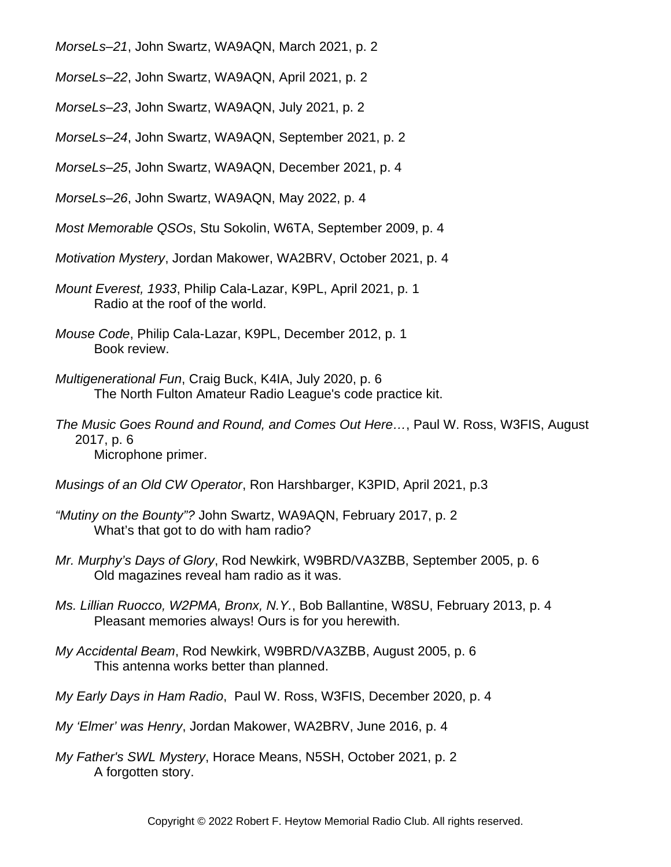*MorseLs–21*, John Swartz, WA9AQN, March 2021, p. 2

*MorseLs–22*, John Swartz, WA9AQN, April 2021, p. 2

*MorseLs–23*, John Swartz, WA9AQN, July 2021, p. 2

*MorseLs–24*, John Swartz, WA9AQN, September 2021, p. 2

*MorseLs–25*, John Swartz, WA9AQN, December 2021, p. 4

*MorseLs–26*, John Swartz, WA9AQN, May 2022, p. 4

*Most Memorable QSOs*, Stu Sokolin, W6TA, September 2009, p. 4

*Motivation Mystery*, Jordan Makower, WA2BRV, October 2021, p. 4

- *Mount Everest, 1933*, Philip Cala-Lazar, K9PL, April 2021, p. 1 Radio at the roof of the world.
- *Mouse Code*, Philip Cala-Lazar, K9PL, December 2012, p. 1 Book review.
- *Multigenerational Fun*, Craig Buck, K4IA, July 2020, p. 6 The North Fulton Amateur Radio League's code practice kit.
- *The Music Goes Round and Round, and Comes Out Here…*, Paul W. Ross, W3FIS, August 2017, p. 6 Microphone primer.
- *Musings of an Old CW Operator*, Ron Harshbarger, K3PID, April 2021, p.3
- *"Mutiny on the Bounty"?* John Swartz, WA9AQN, February 2017, p. 2 What's that got to do with ham radio?
- *Mr. Murphy's Days of Glory*, Rod Newkirk, W9BRD/VA3ZBB, September 2005, p. 6 Old magazines reveal ham radio as it was.
- *Ms. Lillian Ruocco, W2PMA, Bronx, N.Y.*, Bob Ballantine, W8SU, February 2013, p. 4 Pleasant memories always! Ours is for you herewith.
- *My Accidental Beam*, Rod Newkirk, W9BRD/VA3ZBB, August 2005, p. 6 This antenna works better than planned.
- *My Early Days in Ham Radio*, Paul W. Ross, W3FIS, December 2020, p. 4
- *My 'Elmer' was Henry*, Jordan Makower, WA2BRV, June 2016, p. 4
- *My Father's SWL Mystery*, Horace Means, N5SH, October 2021, p. 2 A forgotten story.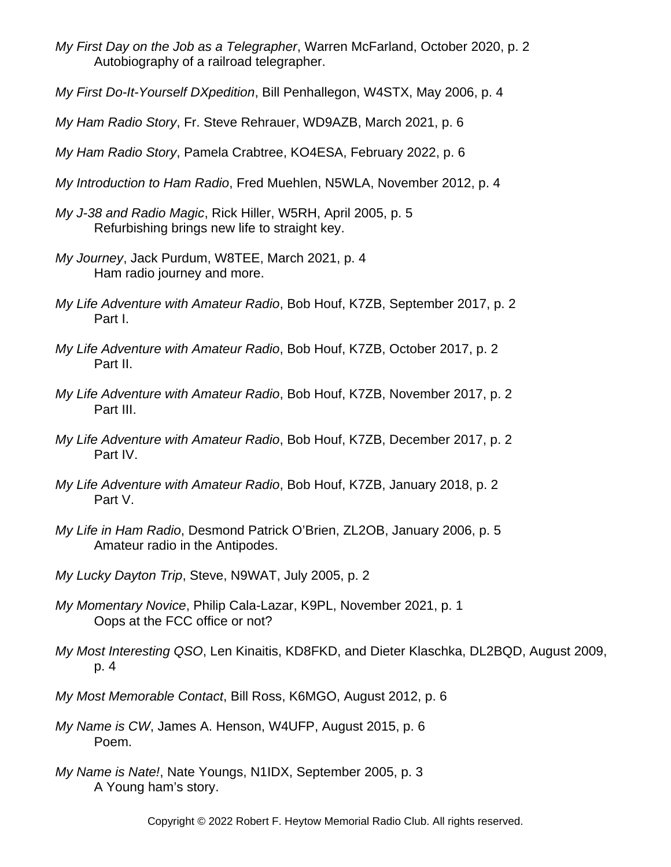- *My First Day on the Job as a Telegrapher*, Warren McFarland, October 2020, p. 2 Autobiography of a railroad telegrapher.
- *My First Do-It-Yourself DXpedition*, Bill Penhallegon, W4STX, May 2006, p. 4
- *My Ham Radio Story*, Fr. Steve Rehrauer, WD9AZB, March 2021, p. 6
- *My Ham Radio Story*, Pamela Crabtree, KO4ESA, February 2022, p. 6
- *My Introduction to Ham Radio*, Fred Muehlen, N5WLA, November 2012, p. 4
- *My J-38 and Radio Magic*, Rick Hiller, W5RH, April 2005, p. 5 Refurbishing brings new life to straight key.
- *My Journey*, Jack Purdum, W8TEE, March 2021, p. 4 Ham radio journey and more.
- *My Life Adventure with Amateur Radio*, Bob Houf, K7ZB, September 2017, p. 2 Part I.
- *My Life Adventure with Amateur Radio*, Bob Houf, K7ZB, October 2017, p. 2 Part II.
- *My Life Adventure with Amateur Radio*, Bob Houf, K7ZB, November 2017, p. 2 Part III.
- *My Life Adventure with Amateur Radio*, Bob Houf, K7ZB, December 2017, p. 2 Part IV.
- *My Life Adventure with Amateur Radio*, Bob Houf, K7ZB, January 2018, p. 2 Part V.
- *My Life in Ham Radio*, Desmond Patrick O'Brien, ZL2OB, January 2006, p. 5 Amateur radio in the Antipodes.
- *My Lucky Dayton Trip*, Steve, N9WAT, July 2005, p. 2
- *My Momentary Novice*, Philip Cala-Lazar, K9PL, November 2021, p. 1 Oops at the FCC office or not?
- *My Most Interesting QSO*, Len Kinaitis, KD8FKD, and Dieter Klaschka, DL2BQD, August 2009, p. 4
- *My Most Memorable Contact*, Bill Ross, K6MGO, August 2012, p. 6
- *My Name is CW*, James A. Henson, W4UFP, August 2015, p. 6 Poem.
- *My Name is Nate!*, Nate Youngs, N1IDX, September 2005, p. 3 A Young ham's story.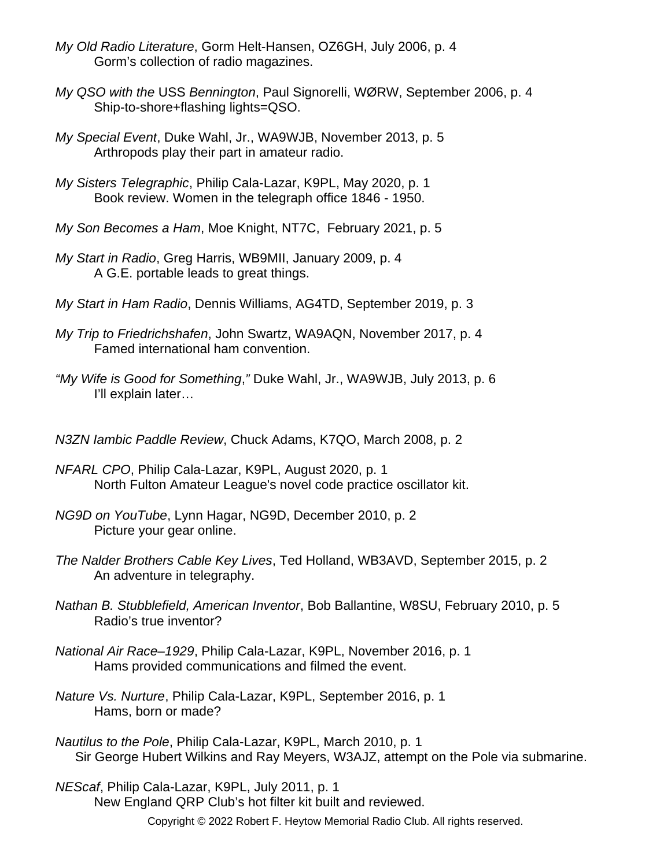- *My Old Radio Literature*, Gorm Helt-Hansen, OZ6GH, July 2006, p. 4 Gorm's collection of radio magazines.
- *My QSO with the* USS *Bennington*, Paul Signorelli, WØRW, September 2006, p. 4 Ship-to-shore+flashing lights=QSO.
- *My Special Event*, Duke Wahl, Jr., WA9WJB, November 2013, p. 5 Arthropods play their part in amateur radio.
- *My Sisters Telegraphic*, Philip Cala-Lazar, K9PL, May 2020, p. 1 Book review. Women in the telegraph office 1846 - 1950.
- *My Son Becomes a Ham*, Moe Knight, NT7C, February 2021, p. 5
- *My Start in Radio*, Greg Harris, WB9MII, January 2009, p. 4 A G.E. portable leads to great things.
- *My Start in Ham Radio*, Dennis Williams, AG4TD, September 2019, p. 3
- *My Trip to Friedrichshafen*, John Swartz, WA9AQN, November 2017, p. 4 Famed international ham convention.
- *"My Wife is Good for Something*,*"* Duke Wahl, Jr., WA9WJB, July 2013, p. 6 I'll explain later…
- *N3ZN Iambic Paddle Review*, Chuck Adams, K7QO, March 2008, p. 2
- *NFARL CPO*, Philip Cala-Lazar, K9PL, August 2020, p. 1 North Fulton Amateur League's novel code practice oscillator kit.
- *NG9D on YouTube*, Lynn Hagar, NG9D, December 2010, p. 2 Picture your gear online.
- *The Nalder Brothers Cable Key Lives*, Ted Holland, WB3AVD, September 2015, p. 2 An adventure in telegraphy.
- *Nathan B. Stubblefield, American Inventor*, Bob Ballantine, W8SU, February 2010, p. 5 Radio's true inventor?
- *National Air Race–1929*, Philip Cala-Lazar, K9PL, November 2016, p. 1 Hams provided communications and filmed the event.
- *Nature Vs. Nurture*, Philip Cala-Lazar, K9PL, September 2016, p. 1 Hams, born or made?
- *Nautilus to the Pole*, Philip Cala-Lazar, K9PL, March 2010, p. 1 Sir George Hubert Wilkins and Ray Meyers, W3AJZ, attempt on the Pole via submarine.
- *NEScaf*, Philip Cala-Lazar, K9PL, July 2011, p. 1 New England QRP Club's hot filter kit built and reviewed. Copyright © 2022 Robert F. Heytow Memorial Radio Club. All rights reserved.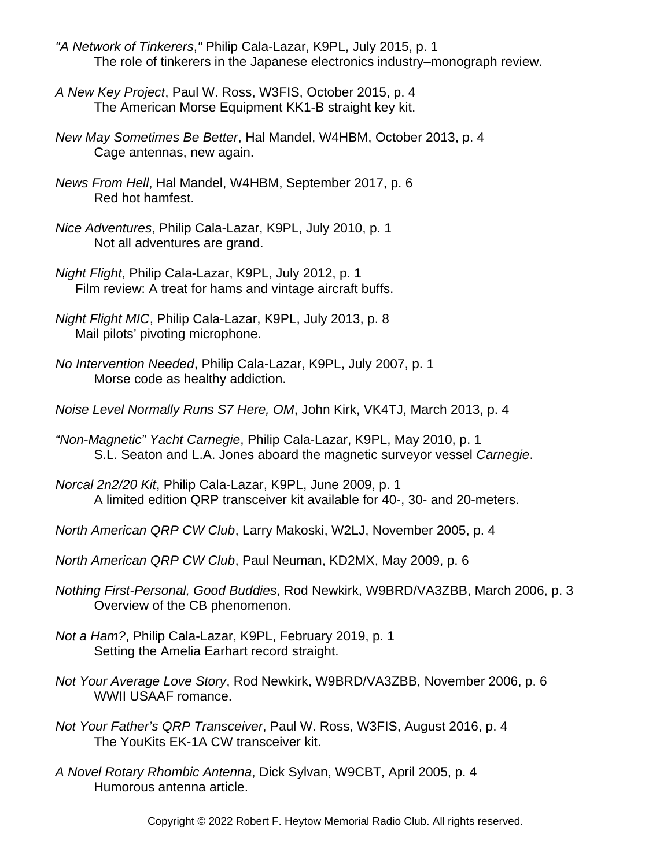- *"A Network of Tinkerers*,*"* Philip Cala-Lazar, K9PL, July 2015, p. 1 The role of tinkerers in the Japanese electronics industry–monograph review.
- *A New Key Project*, Paul W. Ross, W3FIS, October 2015, p. 4 The American Morse Equipment KK1-B straight key kit.
- *New May Sometimes Be Better*, Hal Mandel, W4HBM, October 2013, p. 4 Cage antennas, new again.
- *News From Hell*, Hal Mandel, W4HBM, September 2017, p. 6 Red hot hamfest.
- *Nice Adventures*, Philip Cala-Lazar, K9PL, July 2010, p. 1 Not all adventures are grand.
- *Night Flight*, Philip Cala-Lazar, K9PL, July 2012, p. 1 Film review: A treat for hams and vintage aircraft buffs.
- *Night Flight MIC*, Philip Cala-Lazar, K9PL, July 2013, p. 8 Mail pilots' pivoting microphone.
- *No Intervention Needed*, Philip Cala-Lazar, K9PL, July 2007, p. 1 Morse code as healthy addiction.
- *Noise Level Normally Runs S7 Here, OM*, John Kirk, VK4TJ, March 2013, p. 4
- *"Non-Magnetic" Yacht Carnegie*, Philip Cala-Lazar, K9PL, May 2010, p. 1 S.L. Seaton and L.A. Jones aboard the magnetic surveyor vessel *Carnegie*.
- *Norcal 2n2/20 Kit*, Philip Cala-Lazar, K9PL, June 2009, p. 1 A limited edition QRP transceiver kit available for 40-, 30- and 20-meters.
- *North American QRP CW Club*, Larry Makoski, W2LJ, November 2005, p. 4
- *North American QRP CW Club*, Paul Neuman, KD2MX, May 2009, p. 6
- *Nothing First-Personal, Good Buddies*, Rod Newkirk, W9BRD/VA3ZBB, March 2006, p. 3 Overview of the CB phenomenon.
- *Not a Ham?*, Philip Cala-Lazar, K9PL, February 2019, p. 1 Setting the Amelia Earhart record straight.
- *Not Your Average Love Story*, Rod Newkirk, W9BRD/VA3ZBB, November 2006, p. 6 WWII USAAF romance.
- *Not Your Father's QRP Transceiver*, Paul W. Ross, W3FIS, August 2016, p. 4 The YouKits EK-1A CW transceiver kit.
- *A Novel Rotary Rhombic Antenna*, Dick Sylvan, W9CBT, April 2005, p. 4 Humorous antenna article.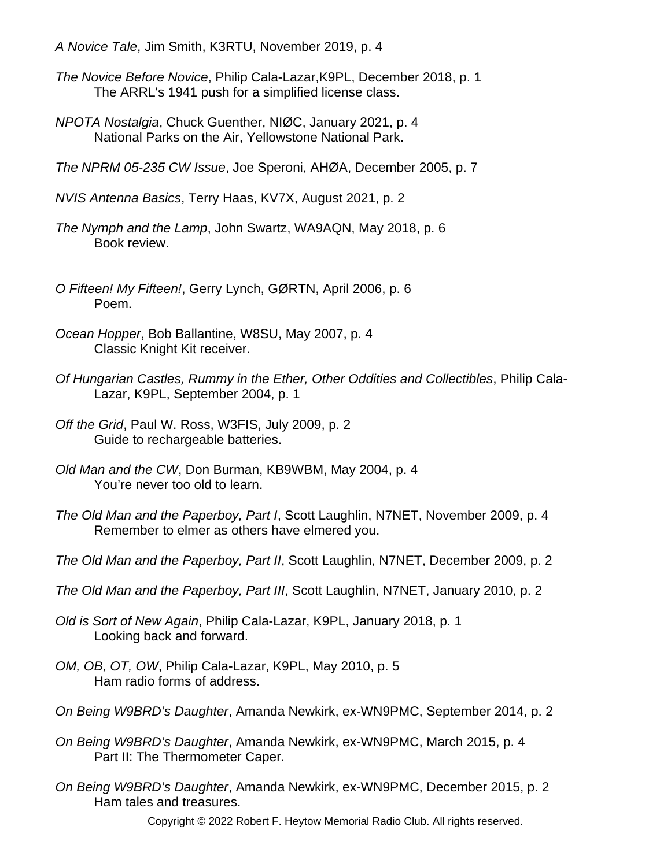- *A Novice Tale*, Jim Smith, K3RTU, November 2019, p. 4
- *The Novice Before Novice*, Philip Cala-Lazar,K9PL, December 2018, p. 1 The ARRL's 1941 push for a simplified license class.
- *NPOTA Nostalgia*, Chuck Guenther, NIØC, January 2021, p. 4 National Parks on the Air, Yellowstone National Park.
- *The NPRM 05-235 CW Issue*, Joe Speroni, AHØA, December 2005, p. 7
- *NVIS Antenna Basics*, Terry Haas, KV7X, August 2021, p. 2
- *The Nymph and the Lamp*, John Swartz, WA9AQN, May 2018, p. 6 Book review.
- *O Fifteen! My Fifteen!*, Gerry Lynch, GØRTN, April 2006, p. 6 Poem.
- *Ocean Hopper*, Bob Ballantine, W8SU, May 2007, p. 4 Classic Knight Kit receiver.
- *Of Hungarian Castles, Rummy in the Ether, Other Oddities and Collectibles*, Philip Cala-Lazar, K9PL, September 2004, p. 1
- *Off the Grid*, Paul W. Ross, W3FIS, July 2009, p. 2 Guide to rechargeable batteries.
- *Old Man and the CW*, Don Burman, KB9WBM, May 2004, p. 4 You're never too old to learn.
- *The Old Man and the Paperboy, Part I*, Scott Laughlin, N7NET, November 2009, p. 4 Remember to elmer as others have elmered you.
- *The Old Man and the Paperboy, Part II*, Scott Laughlin, N7NET, December 2009, p. 2
- *The Old Man and the Paperboy, Part III*, Scott Laughlin, N7NET, January 2010, p. 2
- *Old is Sort of New Again*, Philip Cala-Lazar, K9PL, January 2018, p. 1 Looking back and forward.
- *OM, OB, OT, OW*, Philip Cala-Lazar, K9PL, May 2010, p. 5 Ham radio forms of address.
- *On Being W9BRD's Daughter*, Amanda Newkirk, ex-WN9PMC, September 2014, p. 2
- *On Being W9BRD's Daughter*, Amanda Newkirk, ex-WN9PMC, March 2015, p. 4 Part II: The Thermometer Caper.
- *On Being W9BRD's Daughter*, Amanda Newkirk, ex-WN9PMC, December 2015, p. 2 Ham tales and treasures.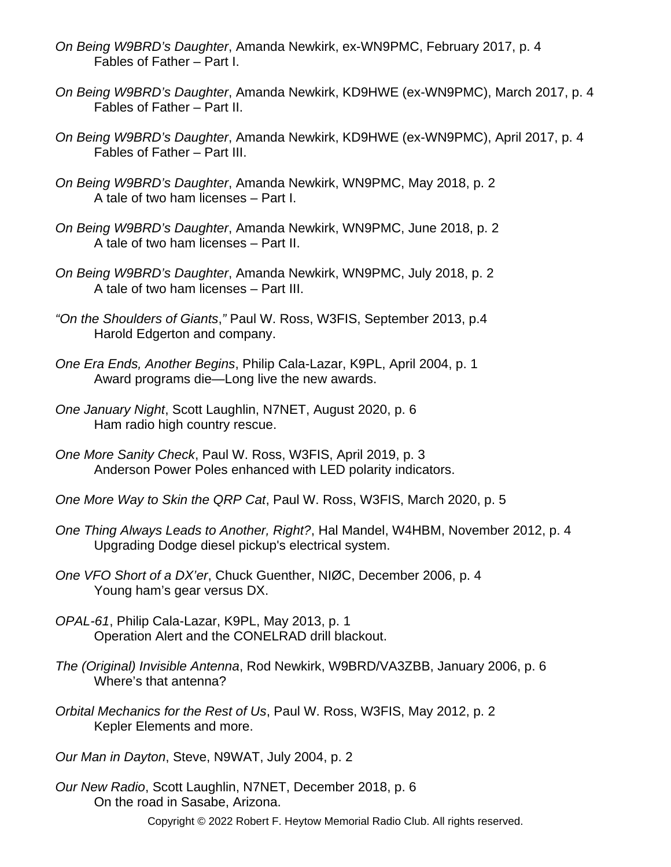- *On Being W9BRD's Daughter*, Amanda Newkirk, ex-WN9PMC, February 2017, p. 4 Fables of Father – Part I.
- *On Being W9BRD's Daughter*, Amanda Newkirk, KD9HWE (ex-WN9PMC), March 2017, p. 4 Fables of Father – Part II.
- *On Being W9BRD's Daughter*, Amanda Newkirk, KD9HWE (ex-WN9PMC), April 2017, p. 4 Fables of Father – Part III.
- *On Being W9BRD's Daughter*, Amanda Newkirk, WN9PMC, May 2018, p. 2 A tale of two ham licenses – Part I.
- *On Being W9BRD's Daughter*, Amanda Newkirk, WN9PMC, June 2018, p. 2 A tale of two ham licenses – Part II.
- *On Being W9BRD's Daughter*, Amanda Newkirk, WN9PMC, July 2018, p. 2 A tale of two ham licenses – Part III.
- *"On the Shoulders of Giants*,*"* Paul W. Ross, W3FIS, September 2013, p.4 Harold Edgerton and company.
- *One Era Ends, Another Begins*, Philip Cala-Lazar, K9PL, April 2004, p. 1 Award programs die—Long live the new awards.
- *One January Night*, Scott Laughlin, N7NET, August 2020, p. 6 Ham radio high country rescue.
- *One More Sanity Check*, Paul W. Ross, W3FIS, April 2019, p. 3 Anderson Power Poles enhanced with LED polarity indicators.
- *One More Way to Skin the QRP Cat*, Paul W. Ross, W3FIS, March 2020, p. 5
- *One Thing Always Leads to Another, Right?*, Hal Mandel, W4HBM, November 2012, p. 4 Upgrading Dodge diesel pickup's electrical system.
- *One VFO Short of a DX'er*, Chuck Guenther, NIØC, December 2006, p. 4 Young ham's gear versus DX.
- *OPAL-61*, Philip Cala-Lazar, K9PL, May 2013, p. 1 Operation Alert and the CONELRAD drill blackout.
- *The (Original) Invisible Antenna*, Rod Newkirk, W9BRD/VA3ZBB, January 2006, p. 6 Where's that antenna?
- *Orbital Mechanics for the Rest of Us*, Paul W. Ross, W3FIS, May 2012, p. 2 Kepler Elements and more.
- *Our Man in Dayton*, Steve, N9WAT, July 2004, p. 2
- *Our New Radio*, Scott Laughlin, N7NET, December 2018, p. 6 On the road in Sasabe, Arizona. Copyright © 2022 Robert F. Heytow Memorial Radio Club. All rights reserved.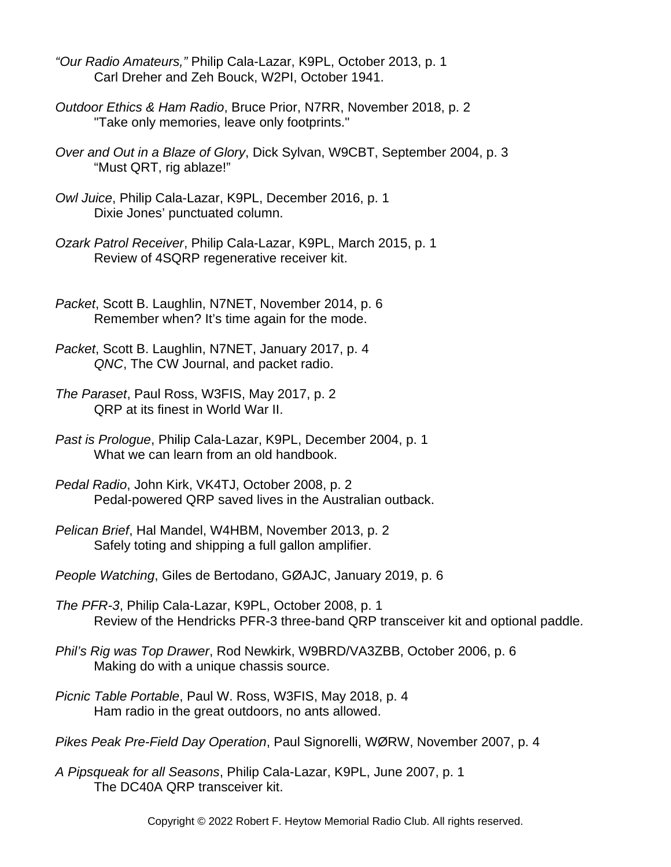- *"Our Radio Amateurs,"* Philip Cala-Lazar, K9PL, October 2013, p. 1 Carl Dreher and Zeh Bouck, W2PI, October 1941.
- *Outdoor Ethics & Ham Radio*, Bruce Prior, N7RR, November 2018, p. 2 "Take only memories, leave only footprints."
- *Over and Out in a Blaze of Glory*, Dick Sylvan, W9CBT, September 2004, p. 3 "Must QRT, rig ablaze!"
- *Owl Juice*, Philip Cala-Lazar, K9PL, December 2016, p. 1 Dixie Jones' punctuated column.
- *Ozark Patrol Receiver*, Philip Cala-Lazar, K9PL, March 2015, p. 1 Review of 4SQRP regenerative receiver kit.
- *Packet*, Scott B. Laughlin, N7NET, November 2014, p. 6 Remember when? It's time again for the mode.
- *Packet*, Scott B. Laughlin, N7NET, January 2017, p. 4 *QNC*, The CW Journal, and packet radio.
- *The Paraset*, Paul Ross, W3FIS, May 2017, p. 2 QRP at its finest in World War II.
- *Past is Prologue*, Philip Cala-Lazar, K9PL, December 2004, p. 1 What we can learn from an old handbook.
- *Pedal Radio*, John Kirk, VK4TJ, October 2008, p. 2 Pedal-powered QRP saved lives in the Australian outback.
- *Pelican Brief*, Hal Mandel, W4HBM, November 2013, p. 2 Safely toting and shipping a full gallon amplifier.
- *People Watching*, Giles de Bertodano, GØAJC, January 2019, p. 6
- *The PFR-3*, Philip Cala-Lazar, K9PL, October 2008, p. 1 Review of the Hendricks PFR-3 three-band QRP transceiver kit and optional paddle.
- *Phil's Rig was Top Drawer*, Rod Newkirk, W9BRD/VA3ZBB, October 2006, p. 6 Making do with a unique chassis source.
- *Picnic Table Portable*, Paul W. Ross, W3FIS, May 2018, p. 4 Ham radio in the great outdoors, no ants allowed.
- *Pikes Peak Pre-Field Day Operation*, Paul Signorelli, WØRW, November 2007, p. 4
- *A Pipsqueak for all Seasons*, Philip Cala-Lazar, K9PL, June 2007, p. 1 The DC40A QRP transceiver kit.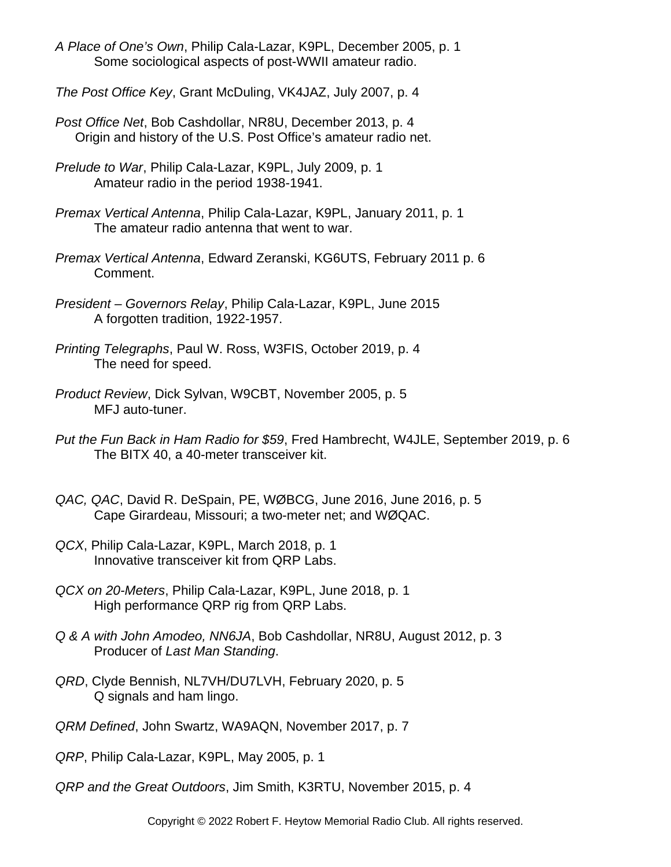- *A Place of One's Own*, Philip Cala-Lazar, K9PL, December 2005, p. 1 Some sociological aspects of post-WWII amateur radio.
- *The Post Office Key*, Grant McDuling, VK4JAZ, July 2007, p. 4
- *Post Office Net*, Bob Cashdollar, NR8U, December 2013, p. 4 Origin and history of the U.S. Post Office's amateur radio net.
- *Prelude to War*, Philip Cala-Lazar, K9PL, July 2009, p. 1 Amateur radio in the period 1938-1941.
- *Premax Vertical Antenna*, Philip Cala-Lazar, K9PL, January 2011, p. 1 The amateur radio antenna that went to war.
- *Premax Vertical Antenna*, Edward Zeranski, KG6UTS, February 2011 p. 6 Comment.
- *President Governors Relay*, Philip Cala-Lazar, K9PL, June 2015 A forgotten tradition, 1922-1957.
- *Printing Telegraphs*, Paul W. Ross, W3FIS, October 2019, p. 4 The need for speed.
- *Product Review*, Dick Sylvan, W9CBT, November 2005, p. 5 MFJ auto-tuner.
- *Put the Fun Back in Ham Radio for \$59*, Fred Hambrecht, W4JLE, September 2019, p. 6 The BITX 40, a 40-meter transceiver kit.
- *QAC, QAC*, David R. DeSpain, PE, WØBCG, June 2016, June 2016, p. 5 Cape Girardeau, Missouri; a two-meter net; and WØQAC.
- *QCX*, Philip Cala-Lazar, K9PL, March 2018, p. 1 Innovative transceiver kit from QRP Labs.
- *QCX on 20-Meters*, Philip Cala-Lazar, K9PL, June 2018, p. 1 High performance QRP rig from QRP Labs.
- *Q & A with John Amodeo, NN6JA*, Bob Cashdollar, NR8U, August 2012, p. 3 Producer of *Last Man Standing*.
- *QRD*, Clyde Bennish, NL7VH/DU7LVH, February 2020, p. 5 Q signals and ham lingo.
- *QRM Defined*, John Swartz, WA9AQN, November 2017, p. 7

*QRP*, Philip Cala-Lazar, K9PL, May 2005, p. 1

*QRP and the Great Outdoors*, Jim Smith, K3RTU, November 2015, p. 4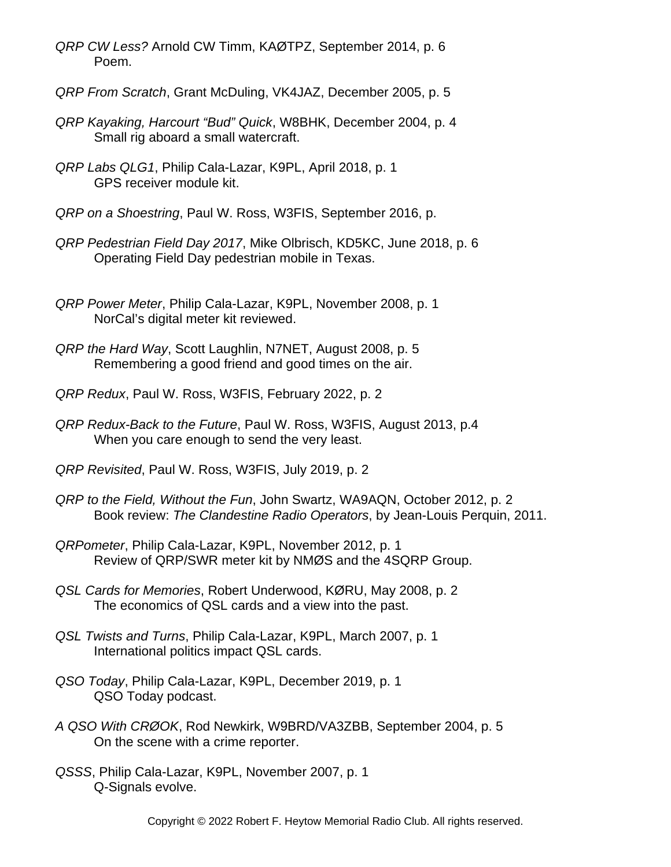- *QRP CW Less?* Arnold CW Timm, KAØTPZ, September 2014, p. 6 Poem.
- *QRP From Scratch*, Grant McDuling, VK4JAZ, December 2005, p. 5
- *QRP Kayaking, Harcourt "Bud" Quick*, W8BHK, December 2004, p. 4 Small rig aboard a small watercraft.
- *QRP Labs QLG1*, Philip Cala-Lazar, K9PL, April 2018, p. 1 GPS receiver module kit.
- *QRP on a Shoestring*, Paul W. Ross, W3FIS, September 2016, p.
- *QRP Pedestrian Field Day 2017*, Mike Olbrisch, KD5KC, June 2018, p. 6 Operating Field Day pedestrian mobile in Texas.
- *QRP Power Meter*, Philip Cala-Lazar, K9PL, November 2008, p. 1 NorCal's digital meter kit reviewed.
- *QRP the Hard Way*, Scott Laughlin, N7NET, August 2008, p. 5 Remembering a good friend and good times on the air.
- *QRP Redux*, Paul W. Ross, W3FIS, February 2022, p. 2
- *QRP Redux-Back to the Future*, Paul W. Ross, W3FIS, August 2013, p.4 When you care enough to send the very least.
- *QRP Revisited*, Paul W. Ross, W3FIS, July 2019, p. 2
- *QRP to the Field, Without the Fun*, John Swartz, WA9AQN, October 2012, p. 2 Book review: *The Clandestine Radio Operators*, by Jean-Louis Perquin, 2011.
- *QRPometer*, Philip Cala-Lazar, K9PL, November 2012, p. 1 Review of QRP/SWR meter kit by NMØS and the 4SQRP Group.
- *QSL Cards for Memories*, Robert Underwood, KØRU, May 2008, p. 2 The economics of QSL cards and a view into the past.
- *QSL Twists and Turns*, Philip Cala-Lazar, K9PL, March 2007, p. 1 International politics impact QSL cards.
- *QSO Today*, Philip Cala-Lazar, K9PL, December 2019, p. 1 QSO Today podcast.
- *A QSO With CRØOK*, Rod Newkirk, W9BRD/VA3ZBB, September 2004, p. 5 On the scene with a crime reporter.
- *QSSS*, Philip Cala-Lazar, K9PL, November 2007, p. 1 Q-Signals evolve.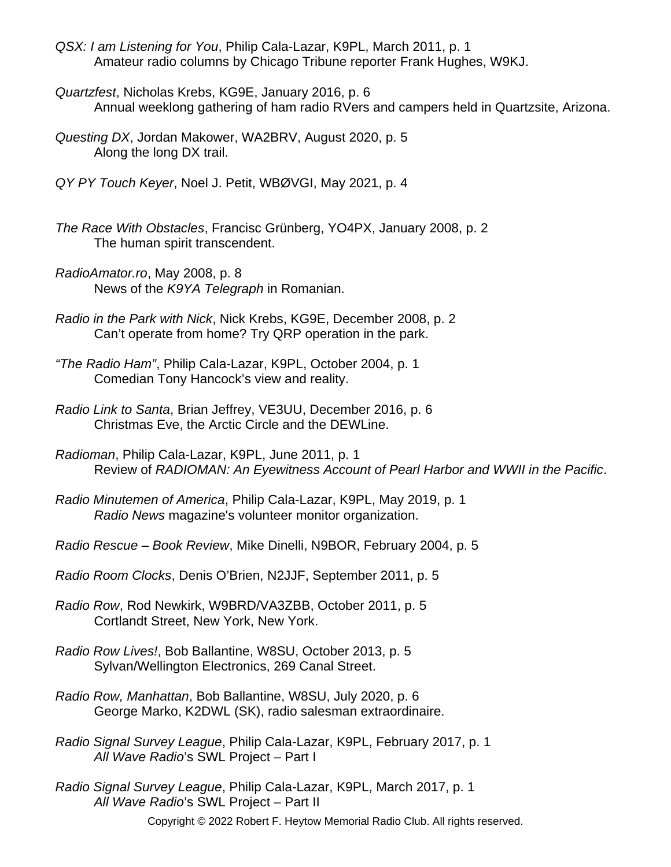- *QSX: I am Listening for You*, Philip Cala-Lazar, K9PL, March 2011, p. 1 Amateur radio columns by Chicago Tribune reporter Frank Hughes, W9KJ.
- *Quartzfest*, Nicholas Krebs, KG9E, January 2016, p. 6 Annual weeklong gathering of ham radio RVers and campers held in Quartzsite, Arizona.
- *Questing DX*, Jordan Makower, WA2BRV, August 2020, p. 5 Along the long DX trail.
- *QY PY Touch Keyer*, Noel J. Petit, WBØVGI, May 2021, p. 4
- *The Race With Obstacles*, Francisc Grünberg, YO4PX, January 2008, p. 2 The human spirit transcendent.
- *RadioAmator.ro*, May 2008, p. 8 News of the *K9YA Telegraph* in Romanian.
- *Radio in the Park with Nick*, Nick Krebs, KG9E, December 2008, p. 2 Can't operate from home? Try QRP operation in the park.
- *"The Radio Ham"*, Philip Cala-Lazar, K9PL, October 2004, p. 1 Comedian Tony Hancock's view and reality.
- *Radio Link to Santa*, Brian Jeffrey, VE3UU, December 2016, p. 6 Christmas Eve, the Arctic Circle and the DEWLine.
- *Radioman*, Philip Cala-Lazar, K9PL, June 2011, p. 1 Review of *RADIOMAN: An Eyewitness Account of Pearl Harbor and WWII in the Pacific*.
- *Radio Minutemen of America*, Philip Cala-Lazar, K9PL, May 2019, p. 1 *Radio News* magazine's volunteer monitor organization.
- *Radio Rescue Book Review*, Mike Dinelli, N9BOR, February 2004, p. 5
- *Radio Room Clocks*, Denis O'Brien, N2JJF, September 2011, p. 5
- *Radio Row*, Rod Newkirk, W9BRD/VA3ZBB, October 2011, p. 5 Cortlandt Street, New York, New York.
- *Radio Row Lives!*, Bob Ballantine, W8SU, October 2013, p. 5 Sylvan/Wellington Electronics, 269 Canal Street.
- *Radio Row, Manhattan*, Bob Ballantine, W8SU, July 2020, p. 6 George Marko, K2DWL (SK), radio salesman extraordinaire.
- *Radio Signal Survey League*, Philip Cala-Lazar, K9PL, February 2017, p. 1 *All Wave Radio*'s SWL Project – Part I
- *Radio Signal Survey League*, Philip Cala-Lazar, K9PL, March 2017, p. 1 *All Wave Radio*'s SWL Project – Part II

```
Copyright © 2022 Robert F. Heytow Memorial Radio Club. All rights reserved.
```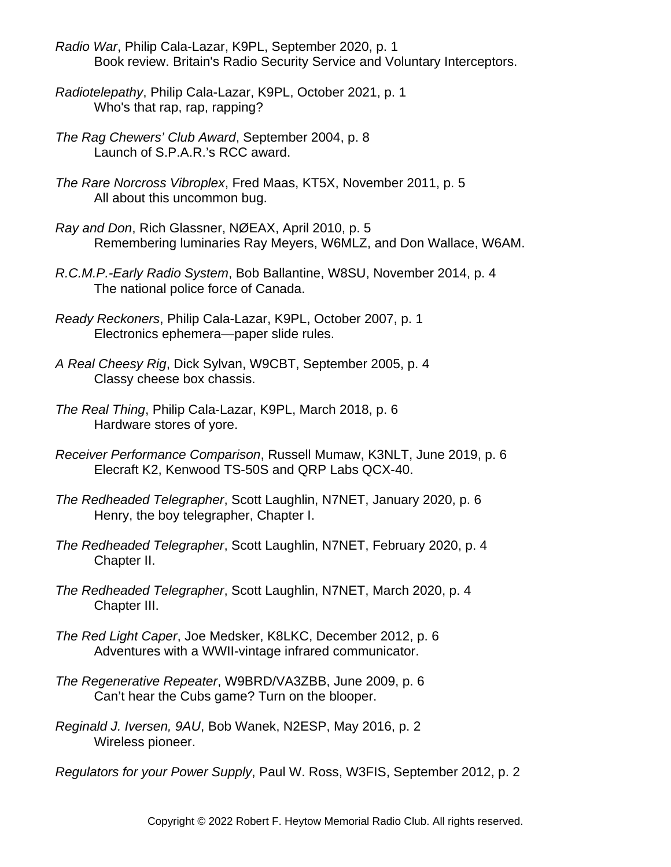- *Radio War*, Philip Cala-Lazar, K9PL, September 2020, p. 1 Book review. Britain's Radio Security Service and Voluntary Interceptors.
- *Radiotelepathy*, Philip Cala-Lazar, K9PL, October 2021, p. 1 Who's that rap, rap, rapping?
- *The Rag Chewers' Club Award*, September 2004, p. 8 Launch of S.P.A.R.'s RCC award.
- *The Rare Norcross Vibroplex*, Fred Maas, KT5X, November 2011, p. 5 All about this uncommon bug.
- *Ray and Don*, Rich Glassner, NØEAX, April 2010, p. 5 Remembering luminaries Ray Meyers, W6MLZ, and Don Wallace, W6AM.
- *R.C.M.P.-Early Radio System*, Bob Ballantine, W8SU, November 2014, p. 4 The national police force of Canada.
- *Ready Reckoners*, Philip Cala-Lazar, K9PL, October 2007, p. 1 Electronics ephemera—paper slide rules.
- *A Real Cheesy Rig*, Dick Sylvan, W9CBT, September 2005, p. 4 Classy cheese box chassis.
- *The Real Thing*, Philip Cala-Lazar, K9PL, March 2018, p. 6 Hardware stores of yore.
- *Receiver Performance Comparison*, Russell Mumaw, K3NLT, June 2019, p. 6 Elecraft K2, Kenwood TS-50S and QRP Labs QCX-40.
- *The Redheaded Telegrapher*, Scott Laughlin, N7NET, January 2020, p. 6 Henry, the boy telegrapher, Chapter I.
- *The Redheaded Telegrapher*, Scott Laughlin, N7NET, February 2020, p. 4 Chapter II.
- *The Redheaded Telegrapher*, Scott Laughlin, N7NET, March 2020, p. 4 Chapter III.
- *The Red Light Caper*, Joe Medsker, K8LKC, December 2012, p. 6 Adventures with a WWII-vintage infrared communicator.
- *The Regenerative Repeater*, W9BRD/VA3ZBB, June 2009, p. 6 Can't hear the Cubs game? Turn on the blooper.
- *Reginald J. Iversen, 9AU*, Bob Wanek, N2ESP, May 2016, p. 2 Wireless pioneer.
- *Regulators for your Power Supply*, Paul W. Ross, W3FIS, September 2012, p. 2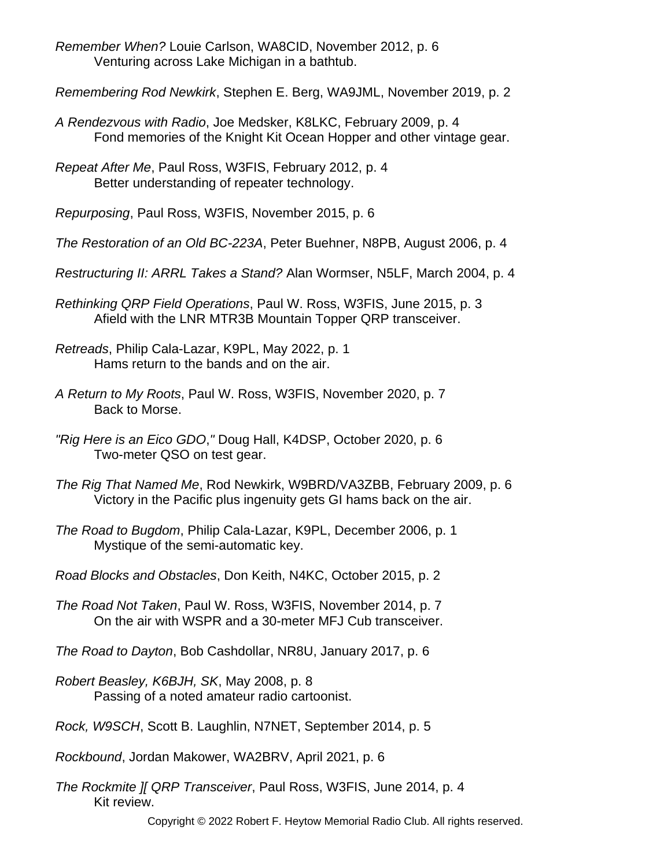*Remember When?* Louie Carlson, WA8CID, November 2012, p. 6 Venturing across Lake Michigan in a bathtub.

*Remembering Rod Newkirk*, Stephen E. Berg, WA9JML, November 2019, p. 2

*A Rendezvous with Radio*, Joe Medsker, K8LKC, February 2009, p. 4 Fond memories of the Knight Kit Ocean Hopper and other vintage gear.

*Repeat After Me*, Paul Ross, W3FIS, February 2012, p. 4 Better understanding of repeater technology.

*Repurposing*, Paul Ross, W3FIS, November 2015, p. 6

*The Restoration of an Old BC-223A*, Peter Buehner, N8PB, August 2006, p. 4

*Restructuring II: ARRL Takes a Stand?* Alan Wormser, N5LF, March 2004, p. 4

*Rethinking QRP Field Operations*, Paul W. Ross, W3FIS, June 2015, p. 3 Afield with the LNR MTR3B Mountain Topper QRP transceiver.

*Retreads*, Philip Cala-Lazar, K9PL, May 2022, p. 1 Hams return to the bands and on the air.

- *A Return to My Roots*, Paul W. Ross, W3FIS, November 2020, p. 7 Back to Morse.
- *"Rig Here is an Eico GDO*,*"* Doug Hall, K4DSP, October 2020, p. 6 Two-meter QSO on test gear.
- *The Rig That Named Me*, Rod Newkirk, W9BRD/VA3ZBB, February 2009, p. 6 Victory in the Pacific plus ingenuity gets GI hams back on the air.
- *The Road to Bugdom*, Philip Cala-Lazar, K9PL, December 2006, p. 1 Mystique of the semi-automatic key.

*Road Blocks and Obstacles*, Don Keith, N4KC, October 2015, p. 2

*The Road Not Taken*, Paul W. Ross, W3FIS, November 2014, p. 7 On the air with WSPR and a 30-meter MFJ Cub transceiver.

*The Road to Dayton*, Bob Cashdollar, NR8U, January 2017, p. 6

*Robert Beasley, K6BJH, SK*, May 2008, p. 8 Passing of a noted amateur radio cartoonist.

*Rock, W9SCH*, Scott B. Laughlin, N7NET, September 2014, p. 5

*Rockbound*, Jordan Makower, WA2BRV, April 2021, p. 6

*The Rockmite ][ QRP Transceiver*, Paul Ross, W3FIS, June 2014, p. 4 Kit review.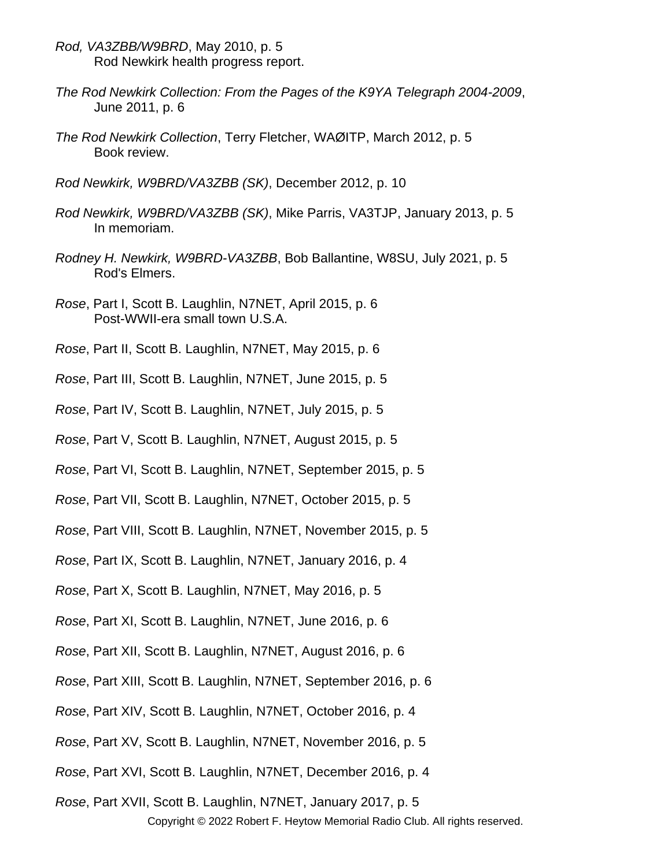- *Rod, VA3ZBB/W9BRD*, May 2010, p. 5 Rod Newkirk health progress report.
- *The Rod Newkirk Collection: From the Pages of the K9YA Telegraph 2004-2009*, June 2011, p. 6
- *The Rod Newkirk Collection*, Terry Fletcher, WAØITP, March 2012, p. 5 Book review.
- *Rod Newkirk, W9BRD/VA3ZBB (SK)*, December 2012, p. 10
- *Rod Newkirk, W9BRD/VA3ZBB (SK)*, Mike Parris, VA3TJP, January 2013, p. 5 In memoriam.
- *Rodney H. Newkirk, W9BRD-VA3ZBB*, Bob Ballantine, W8SU, July 2021, p. 5 Rod's Elmers.
- *Rose*, Part I, Scott B. Laughlin, N7NET, April 2015, p. 6 Post-WWII-era small town U.S.A.
- *Rose*, Part II, Scott B. Laughlin, N7NET, May 2015, p. 6
- *Rose*, Part III, Scott B. Laughlin, N7NET, June 2015, p. 5
- *Rose*, Part IV, Scott B. Laughlin, N7NET, July 2015, p. 5
- *Rose*, Part V, Scott B. Laughlin, N7NET, August 2015, p. 5
- *Rose*, Part VI, Scott B. Laughlin, N7NET, September 2015, p. 5
- *Rose*, Part VII, Scott B. Laughlin, N7NET, October 2015, p. 5
- *Rose*, Part VIII, Scott B. Laughlin, N7NET, November 2015, p. 5
- *Rose*, Part IX, Scott B. Laughlin, N7NET, January 2016, p. 4
- *Rose*, Part X, Scott B. Laughlin, N7NET, May 2016, p. 5
- *Rose*, Part XI, Scott B. Laughlin, N7NET, June 2016, p. 6
- *Rose*, Part XII, Scott B. Laughlin, N7NET, August 2016, p. 6
- *Rose*, Part XIII, Scott B. Laughlin, N7NET, September 2016, p. 6
- *Rose*, Part XIV, Scott B. Laughlin, N7NET, October 2016, p. 4
- *Rose*, Part XV, Scott B. Laughlin, N7NET, November 2016, p. 5
- *Rose*, Part XVI, Scott B. Laughlin, N7NET, December 2016, p. 4
- *Rose*, Part XVII, Scott B. Laughlin, N7NET, January 2017, p. 5 Copyright © 2022 Robert F. Heytow Memorial Radio Club. All rights reserved.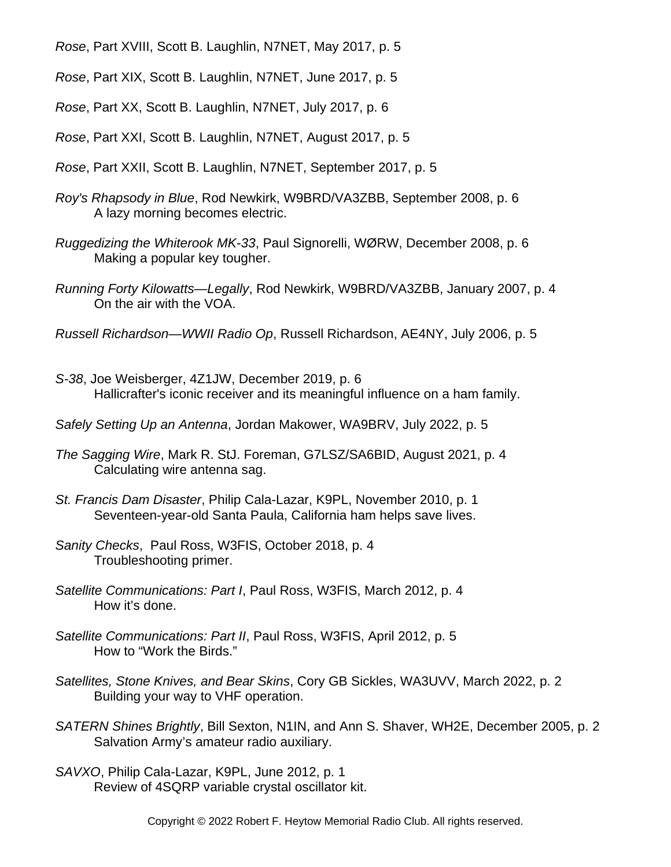*Rose*, Part XVIII, Scott B. Laughlin, N7NET, May 2017, p. 5

*Rose*, Part XIX, Scott B. Laughlin, N7NET, June 2017, p. 5

*Rose*, Part XX, Scott B. Laughlin, N7NET, July 2017, p. 6

*Rose*, Part XXI, Scott B. Laughlin, N7NET, August 2017, p. 5

*Rose*, Part XXII, Scott B. Laughlin, N7NET, September 2017, p. 5

- *Roy's Rhapsody in Blue*, Rod Newkirk, W9BRD/VA3ZBB, September 2008, p. 6 A lazy morning becomes electric.
- *Ruggedizing the Whiterook MK-33*, Paul Signorelli, WØRW, December 2008, p. 6 Making a popular key tougher.
- *Running Forty Kilowatts—Legally*, Rod Newkirk, W9BRD/VA3ZBB, January 2007, p. 4 On the air with the VOA.
- *Russell Richardson—WWII Radio Op*, Russell Richardson, AE4NY, July 2006, p. 5
- *S-38*, Joe Weisberger, 4Z1JW, December 2019, p. 6 Hallicrafter's iconic receiver and its meaningful influence on a ham family.
- *Safely Setting Up an Antenna*, Jordan Makower, WA9BRV, July 2022, p. 5
- *The Sagging Wire*, Mark R. StJ. Foreman, G7LSZ/SA6BID, August 2021, p. 4 Calculating wire antenna sag.
- *St. Francis Dam Disaster*, Philip Cala-Lazar, K9PL, November 2010, p. 1 Seventeen-year-old Santa Paula, California ham helps save lives.
- *Sanity Checks*, Paul Ross, W3FIS, October 2018, p. 4 Troubleshooting primer.
- *Satellite Communications: Part I*, Paul Ross, W3FIS, March 2012, p. 4 How it's done.
- *Satellite Communications: Part II*, Paul Ross, W3FIS, April 2012, p. 5 How to "Work the Birds."
- *Satellites, Stone Knives, and Bear Skins*, Cory GB Sickles, WA3UVV, March 2022, p. 2 Building your way to VHF operation.
- *SATERN Shines Brightly*, Bill Sexton, N1IN, and Ann S. Shaver, WH2E, December 2005, p. 2 Salvation Army's amateur radio auxiliary.
- *SAVXO*, Philip Cala-Lazar, K9PL, June 2012, p. 1 Review of 4SQRP variable crystal oscillator kit.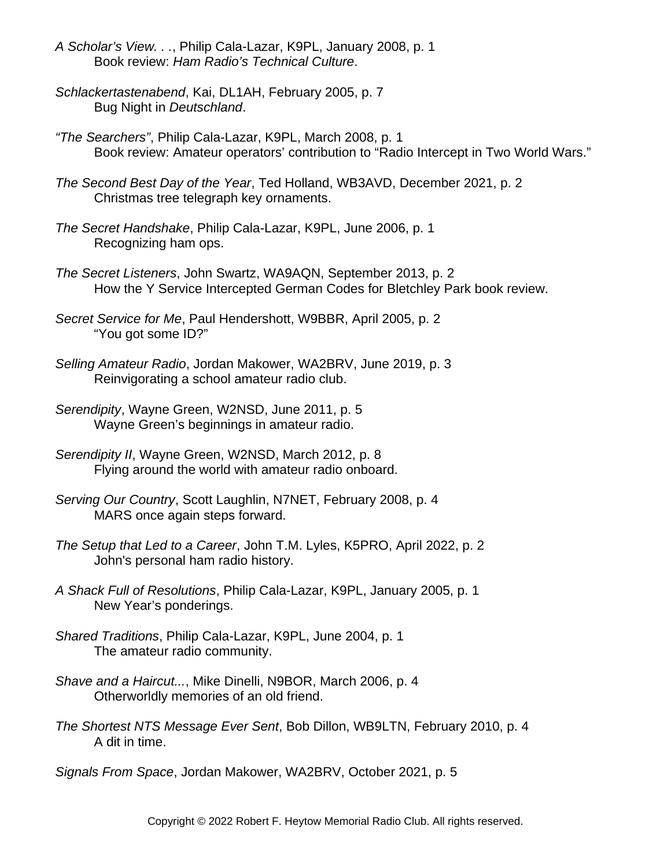- *A Scholar's View. . .*, Philip Cala-Lazar, K9PL, January 2008, p. 1 Book review: *Ham Radio's Technical Culture*.
- *Schlackertastenabend*, Kai, DL1AH, February 2005, p. 7 Bug Night in *Deutschland*.
- *"The Searchers"*, Philip Cala-Lazar, K9PL, March 2008, p. 1 Book review: Amateur operators' contribution to "Radio Intercept in Two World Wars."
- *The Second Best Day of the Year*, Ted Holland, WB3AVD, December 2021, p. 2 Christmas tree telegraph key ornaments.
- *The Secret Handshake*, Philip Cala-Lazar, K9PL, June 2006, p. 1 Recognizing ham ops.
- *The Secret Listeners*, John Swartz, WA9AQN, September 2013, p. 2 How the Y Service Intercepted German Codes for Bletchley Park book review.
- *Secret Service for Me*, Paul Hendershott, W9BBR, April 2005, p. 2 "You got some ID?"
- *Selling Amateur Radio*, Jordan Makower, WA2BRV, June 2019, p. 3 Reinvigorating a school amateur radio club.
- *Serendipity*, Wayne Green, W2NSD, June 2011, p. 5 Wayne Green's beginnings in amateur radio.
- *Serendipity II*, Wayne Green, W2NSD, March 2012, p. 8 Flying around the world with amateur radio onboard.
- *Serving Our Country*, Scott Laughlin, N7NET, February 2008, p. 4 MARS once again steps forward.
- *The Setup that Led to a Career*, John T.M. Lyles, K5PRO, April 2022, p. 2 John's personal ham radio history.
- *A Shack Full of Resolutions*, Philip Cala-Lazar, K9PL, January 2005, p. 1 New Year's ponderings.
- *Shared Traditions*, Philip Cala-Lazar, K9PL, June 2004, p. 1 The amateur radio community.
- *Shave and a Haircut...*, Mike Dinelli, N9BOR, March 2006, p. 4 Otherworldly memories of an old friend.
- *The Shortest NTS Message Ever Sent*, Bob Dillon, WB9LTN, February 2010, p. 4 A dit in time.

*Signals From Space*, Jordan Makower, WA2BRV, October 2021, p. 5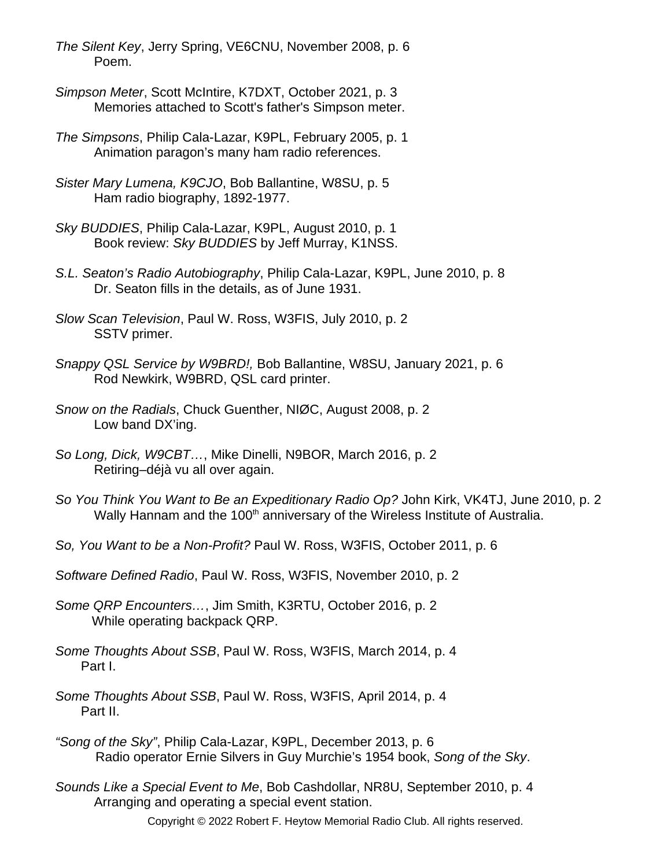- *The Silent Key*, Jerry Spring, VE6CNU, November 2008, p. 6 Poem.
- *Simpson Meter*, Scott McIntire, K7DXT, October 2021, p. 3 Memories attached to Scott's father's Simpson meter.
- *The Simpsons*, Philip Cala-Lazar, K9PL, February 2005, p. 1 Animation paragon's many ham radio references.
- *Sister Mary Lumena, K9CJO*, Bob Ballantine, W8SU, p. 5 Ham radio biography, 1892-1977.
- *Sky BUDDIES*, Philip Cala-Lazar, K9PL, August 2010, p. 1 Book review: *Sky BUDDIES* by Jeff Murray, K1NSS.
- *S.L. Seaton's Radio Autobiography*, Philip Cala-Lazar, K9PL, June 2010, p. 8 Dr. Seaton fills in the details, as of June 1931.
- *Slow Scan Television*, Paul W. Ross, W3FIS, July 2010, p. 2 SSTV primer.
- *Snappy QSL Service by W9BRD!,* Bob Ballantine, W8SU, January 2021, p. 6 Rod Newkirk, W9BRD, QSL card printer.
- *Snow on the Radials*, Chuck Guenther, NIØC, August 2008, p. 2 Low band DX'ing.
- *So Long, Dick, W9CBT…*, Mike Dinelli, N9BOR, March 2016, p. 2 Retiring–déjà vu all over again.
- *So You Think You Want to Be an Expeditionary Radio Op?* John Kirk, VK4TJ, June 2010, p. 2 Wally Hannam and the 100<sup>th</sup> anniversary of the Wireless Institute of Australia.
- *So, You Want to be a Non-Profit?* Paul W. Ross, W3FIS, October 2011, p. 6
- *Software Defined Radio*, Paul W. Ross, W3FIS, November 2010, p. 2
- *Some QRP Encounters…*, Jim Smith, K3RTU, October 2016, p. 2 While operating backpack QRP.
- *Some Thoughts About SSB*, Paul W. Ross, W3FIS, March 2014, p. 4 Part I.
- *Some Thoughts About SSB*, Paul W. Ross, W3FIS, April 2014, p. 4 Part II.
- *"Song of the Sky"*, Philip Cala-Lazar, K9PL, December 2013, p. 6 Radio operator Ernie Silvers in Guy Murchie's 1954 book, *Song of the Sky*.
- *Sounds Like a Special Event to Me*, Bob Cashdollar, NR8U, September 2010, p. 4 Arranging and operating a special event station.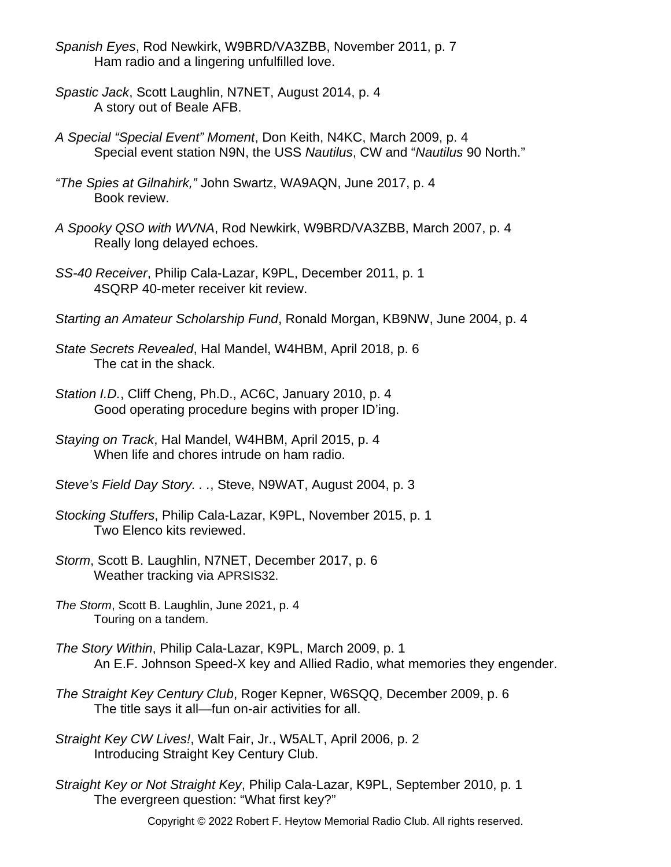- *Spanish Eyes*, Rod Newkirk, W9BRD/VA3ZBB, November 2011, p. 7 Ham radio and a lingering unfulfilled love.
- *Spastic Jack*, Scott Laughlin, N7NET, August 2014, p. 4 A story out of Beale AFB.
- *A Special "Special Event" Moment*, Don Keith, N4KC, March 2009, p. 4 Special event station N9N, the USS *Nautilus*, CW and "*Nautilus* 90 North."
- *"The Spies at Gilnahirk,"* John Swartz, WA9AQN, June 2017, p. 4 Book review.
- *A Spooky QSO with WVNA*, Rod Newkirk, W9BRD/VA3ZBB, March 2007, p. 4 Really long delayed echoes.
- *SS-40 Receiver*, Philip Cala-Lazar, K9PL, December 2011, p. 1 4SQRP 40-meter receiver kit review.
- *Starting an Amateur Scholarship Fund*, Ronald Morgan, KB9NW, June 2004, p. 4
- *State Secrets Revealed*, Hal Mandel, W4HBM, April 2018, p. 6 The cat in the shack.
- *Station I.D.*, Cliff Cheng, Ph.D., AC6C, January 2010, p. 4 Good operating procedure begins with proper ID'ing.
- *Staying on Track*, Hal Mandel, W4HBM, April 2015, p. 4 When life and chores intrude on ham radio.
- *Steve's Field Day Story. . .*, Steve, N9WAT, August 2004, p. 3
- *Stocking Stuffers*, Philip Cala-Lazar, K9PL, November 2015, p. 1 Two Elenco kits reviewed.
- *Storm*, Scott B. Laughlin, N7NET, December 2017, p. 6 Weather tracking via APRSIS32.
- *The Storm*, Scott B. Laughlin, June 2021, p. 4 Touring on a tandem.
- *The Story Within*, Philip Cala-Lazar, K9PL, March 2009, p. 1 An E.F. Johnson Speed-X key and Allied Radio, what memories they engender.
- *The Straight Key Century Club*, Roger Kepner, W6SQQ, December 2009, p. 6 The title says it all—fun on-air activities for all.
- *Straight Key CW Lives!*, Walt Fair, Jr., W5ALT, April 2006, p. 2 Introducing Straight Key Century Club.
- *Straight Key or Not Straight Key*, Philip Cala-Lazar, K9PL, September 2010, p. 1 The evergreen question: "What first key?"
	- Copyright © 2022 Robert F. Heytow Memorial Radio Club. All rights reserved.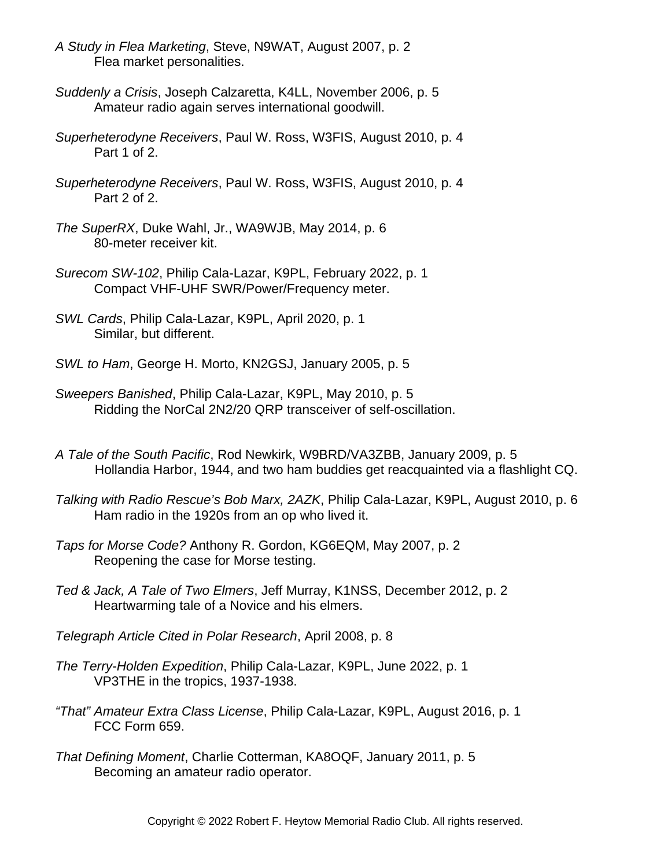- *A Study in Flea Marketing*, Steve, N9WAT, August 2007, p. 2 Flea market personalities.
- *Suddenly a Crisis*, Joseph Calzaretta, K4LL, November 2006, p. 5 Amateur radio again serves international goodwill.
- *Superheterodyne Receivers*, Paul W. Ross, W3FIS, August 2010, p. 4 Part 1 of 2.
- *Superheterodyne Receivers*, Paul W. Ross, W3FIS, August 2010, p. 4 Part 2 of 2.
- *The SuperRX*, Duke Wahl, Jr., WA9WJB, May 2014, p. 6 80-meter receiver kit.
- *Surecom SW-102*, Philip Cala-Lazar, K9PL, February 2022, p. 1 Compact VHF-UHF SWR/Power/Frequency meter.
- *SWL Cards*, Philip Cala-Lazar, K9PL, April 2020, p. 1 Similar, but different.
- *SWL to Ham*, George H. Morto, KN2GSJ, January 2005, p. 5
- *Sweepers Banished*, Philip Cala-Lazar, K9PL, May 2010, p. 5 Ridding the NorCal 2N2/20 QRP transceiver of self-oscillation.
- *A Tale of the South Pacific*, Rod Newkirk, W9BRD/VA3ZBB, January 2009, p. 5 Hollandia Harbor, 1944, and two ham buddies get reacquainted via a flashlight CQ.
- *Talking with Radio Rescue's Bob Marx, 2AZK*, Philip Cala-Lazar, K9PL, August 2010, p. 6 Ham radio in the 1920s from an op who lived it.
- *Taps for Morse Code?* Anthony R. Gordon, KG6EQM, May 2007, p. 2 Reopening the case for Morse testing.
- *Ted & Jack, A Tale of Two Elmers*, Jeff Murray, K1NSS, December 2012, p. 2 Heartwarming tale of a Novice and his elmers.
- *Telegraph Article Cited in Polar Research*, April 2008, p. 8
- *The Terry-Holden Expedition*, Philip Cala-Lazar, K9PL, June 2022, p. 1 VP3THE in the tropics, 1937-1938.
- *"That" Amateur Extra Class License*, Philip Cala-Lazar, K9PL, August 2016, p. 1 FCC Form 659.
- *That Defining Moment*, Charlie Cotterman, KA8OQF, January 2011, p. 5 Becoming an amateur radio operator.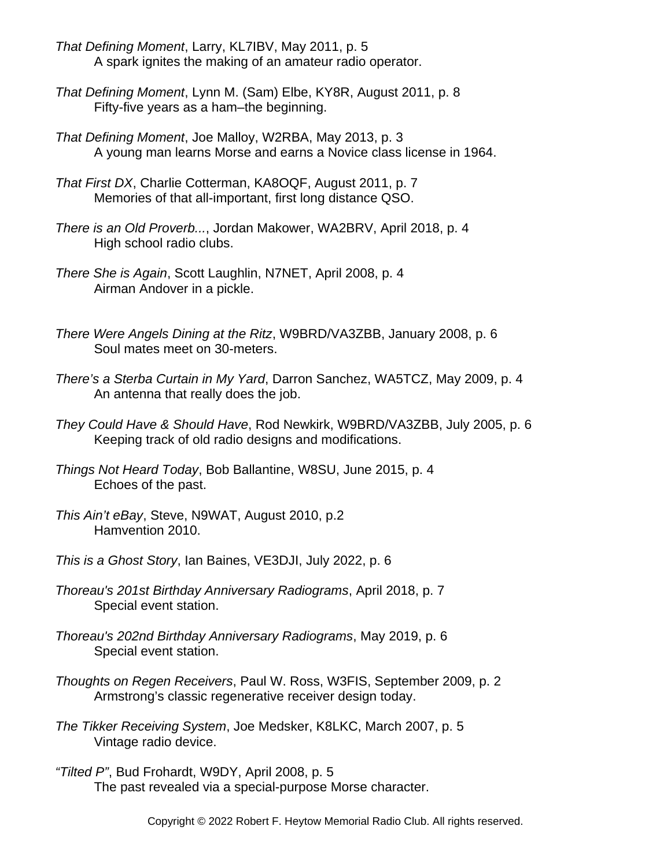- *That Defining Moment*, Larry, KL7IBV, May 2011, p. 5 A spark ignites the making of an amateur radio operator.
- *That Defining Moment*, Lynn M. (Sam) Elbe, KY8R, August 2011, p. 8 Fifty-five years as a ham–the beginning.
- *That Defining Moment*, Joe Malloy, W2RBA, May 2013, p. 3 A young man learns Morse and earns a Novice class license in 1964.
- *That First DX*, Charlie Cotterman, KA8OQF, August 2011, p. 7 Memories of that all-important, first long distance QSO.
- *There is an Old Proverb...*, Jordan Makower, WA2BRV, April 2018, p. 4 High school radio clubs.
- *There She is Again*, Scott Laughlin, N7NET, April 2008, p. 4 Airman Andover in a pickle.
- *There Were Angels Dining at the Ritz*, W9BRD/VA3ZBB, January 2008, p. 6 Soul mates meet on 30-meters.
- *There's a Sterba Curtain in My Yard*, Darron Sanchez, WA5TCZ, May 2009, p. 4 An antenna that really does the job.
- *They Could Have & Should Have*, Rod Newkirk, W9BRD/VA3ZBB, July 2005, p. 6 Keeping track of old radio designs and modifications.
- *Things Not Heard Today*, Bob Ballantine, W8SU, June 2015, p. 4 Echoes of the past.
- *This Ain't eBay*, Steve, N9WAT, August 2010, p.2 Hamvention 2010.
- *This is a Ghost Story*, Ian Baines, VE3DJI, July 2022, p. 6
- *Thoreau's 201st Birthday Anniversary Radiograms*, April 2018, p. 7 Special event station.
- *Thoreau's 202nd Birthday Anniversary Radiograms*, May 2019, p. 6 Special event station.
- *Thoughts on Regen Receivers*, Paul W. Ross, W3FIS, September 2009, p. 2 Armstrong's classic regenerative receiver design today.
- *The Tikker Receiving System*, Joe Medsker, K8LKC, March 2007, p. 5 Vintage radio device.
- *"Tilted P"*, Bud Frohardt, W9DY, April 2008, p. 5 The past revealed via a special-purpose Morse character.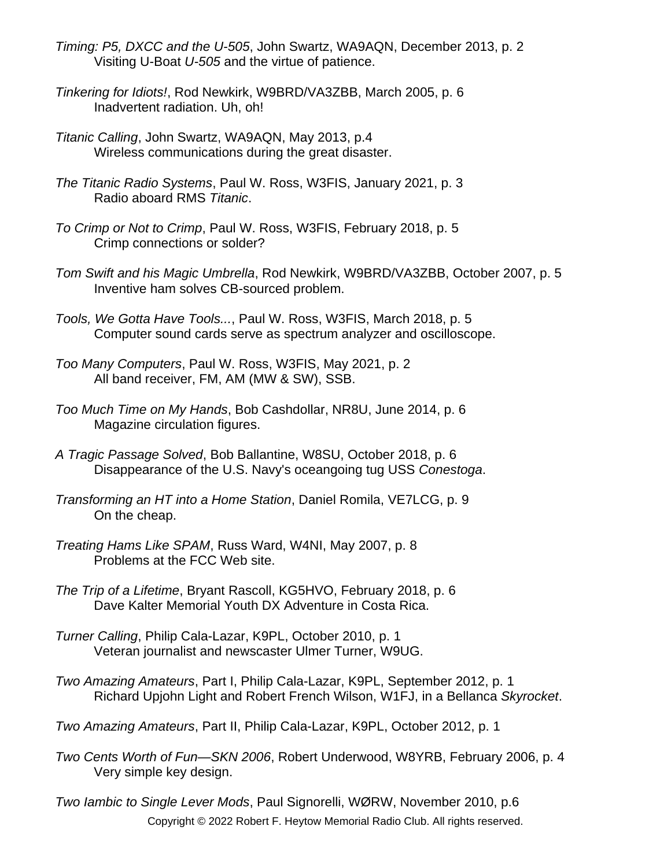- *Timing: P5, DXCC and the U-505*, John Swartz, WA9AQN, December 2013, p. 2 Visiting U-Boat *U-505* and the virtue of patience.
- *Tinkering for Idiots!*, Rod Newkirk, W9BRD/VA3ZBB, March 2005, p. 6 Inadvertent radiation. Uh, oh!
- *Titanic Calling*, John Swartz, WA9AQN, May 2013, p.4 Wireless communications during the great disaster.
- *The Titanic Radio Systems*, Paul W. Ross, W3FIS, January 2021, p. 3 Radio aboard RMS *Titanic*.
- *To Crimp or Not to Crimp*, Paul W. Ross, W3FIS, February 2018, p. 5 Crimp connections or solder?
- *Tom Swift and his Magic Umbrella*, Rod Newkirk, W9BRD/VA3ZBB, October 2007, p. 5 Inventive ham solves CB-sourced problem.
- *Tools, We Gotta Have Tools...*, Paul W. Ross, W3FIS, March 2018, p. 5 Computer sound cards serve as spectrum analyzer and oscilloscope.
- *Too Many Computers*, Paul W. Ross, W3FIS, May 2021, p. 2 All band receiver, FM, AM (MW & SW), SSB.
- *Too Much Time on My Hands*, Bob Cashdollar, NR8U, June 2014, p. 6 Magazine circulation figures.
- *A Tragic Passage Solved*, Bob Ballantine, W8SU, October 2018, p. 6 Disappearance of the U.S. Navy's oceangoing tug USS *Conestoga*.
- *Transforming an HT into a Home Station*, Daniel Romila, VE7LCG, p. 9 On the cheap.
- *Treating Hams Like SPAM*, Russ Ward, W4NI, May 2007, p. 8 Problems at the FCC Web site.
- *The Trip of a Lifetime*, Bryant Rascoll, KG5HVO, February 2018, p. 6 Dave Kalter Memorial Youth DX Adventure in Costa Rica.
- *Turner Calling*, Philip Cala-Lazar, K9PL, October 2010, p. 1 Veteran journalist and newscaster Ulmer Turner, W9UG.
- *Two Amazing Amateurs*, Part I, Philip Cala-Lazar, K9PL, September 2012, p. 1 Richard Upjohn Light and Robert French Wilson, W1FJ, in a Bellanca *Skyrocket*.
- *Two Amazing Amateurs*, Part II, Philip Cala-Lazar, K9PL, October 2012, p. 1
- *Two Cents Worth of Fun—SKN 2006*, Robert Underwood, W8YRB, February 2006, p. 4 Very simple key design.
- *Two Iambic to Single Lever Mods*, Paul Signorelli, WØRW, November 2010, p.6 Copyright © 2022 Robert F. Heytow Memorial Radio Club. All rights reserved.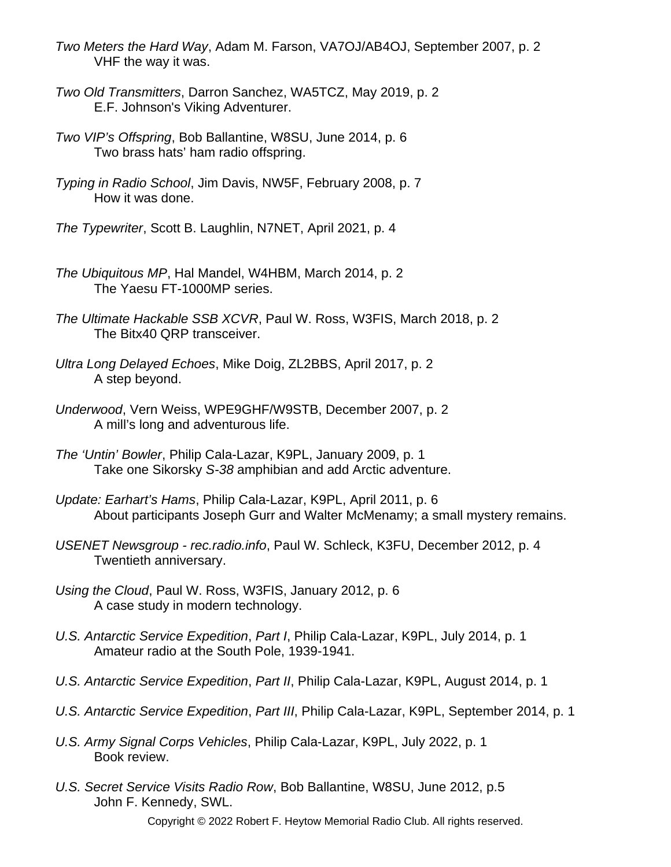- *Two Meters the Hard Way*, Adam M. Farson, VA7OJ/AB4OJ, September 2007, p. 2 VHF the way it was.
- *Two Old Transmitters*, Darron Sanchez, WA5TCZ, May 2019, p. 2 E.F. Johnson's Viking Adventurer.
- *Two VIP's Offspring*, Bob Ballantine, W8SU, June 2014, p. 6 Two brass hats' ham radio offspring.
- *Typing in Radio School*, Jim Davis, NW5F, February 2008, p. 7 How it was done.
- *The Typewriter*, Scott B. Laughlin, N7NET, April 2021, p. 4
- *The Ubiquitous MP*, Hal Mandel, W4HBM, March 2014, p. 2 The Yaesu FT-1000MP series.
- *The Ultimate Hackable SSB XCVR*, Paul W. Ross, W3FIS, March 2018, p. 2 The Bitx40 QRP transceiver.
- *Ultra Long Delayed Echoes*, Mike Doig, ZL2BBS, April 2017, p. 2 A step beyond.
- *Underwood*, Vern Weiss, WPE9GHF/W9STB, December 2007, p. 2 A mill's long and adventurous life.
- *The 'Untin' Bowler*, Philip Cala-Lazar, K9PL, January 2009, p. 1 Take one Sikorsky *S-38* amphibian and add Arctic adventure.
- *Update: Earhart's Hams*, Philip Cala-Lazar, K9PL, April 2011, p. 6 About participants Joseph Gurr and Walter McMenamy; a small mystery remains.
- *USENET Newsgroup rec.radio.info*, Paul W. Schleck, K3FU, December 2012, p. 4 Twentieth anniversary.
- *Using the Cloud*, Paul W. Ross, W3FIS, January 2012, p. 6 A case study in modern technology.
- *U.S. Antarctic Service Expedition*, *Part I*, Philip Cala-Lazar, K9PL, July 2014, p. 1 Amateur radio at the South Pole, 1939-1941.
- *U.S. Antarctic Service Expedition*, *Part II*, Philip Cala-Lazar, K9PL, August 2014, p. 1
- *U.S. Antarctic Service Expedition*, *Part III*, Philip Cala-Lazar, K9PL, September 2014, p. 1
- *U.S. Army Signal Corps Vehicles*, Philip Cala-Lazar, K9PL, July 2022, p. 1 Book review.
- *U.S. Secret Service Visits Radio Row*, Bob Ballantine, W8SU, June 2012, p.5 John F. Kennedy, SWL.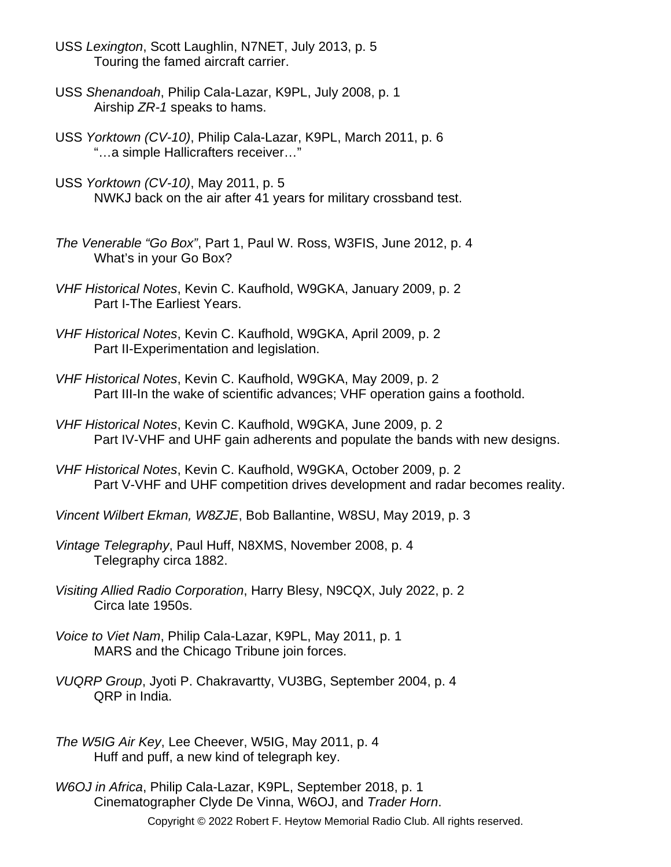- USS *Lexington*, Scott Laughlin, N7NET, July 2013, p. 5 Touring the famed aircraft carrier.
- USS *Shenandoah*, Philip Cala-Lazar, K9PL, July 2008, p. 1 Airship *ZR-1* speaks to hams.
- USS *Yorktown (CV-10)*, Philip Cala-Lazar, K9PL, March 2011, p. 6 "…a simple Hallicrafters receiver…"
- USS *Yorktown (CV-10)*, May 2011, p. 5 NWKJ back on the air after 41 years for military crossband test.
- *The Venerable "Go Box"*, Part 1, Paul W. Ross, W3FIS, June 2012, p. 4 What's in your Go Box?
- *VHF Historical Notes*, Kevin C. Kaufhold, W9GKA, January 2009, p. 2 Part I-The Earliest Years.
- *VHF Historical Notes*, Kevin C. Kaufhold, W9GKA, April 2009, p. 2 Part II-Experimentation and legislation.
- *VHF Historical Notes*, Kevin C. Kaufhold, W9GKA, May 2009, p. 2 Part III-In the wake of scientific advances; VHF operation gains a foothold.
- *VHF Historical Notes*, Kevin C. Kaufhold, W9GKA, June 2009, p. 2 Part IV-VHF and UHF gain adherents and populate the bands with new designs.
- *VHF Historical Notes*, Kevin C. Kaufhold, W9GKA, October 2009, p. 2 Part V-VHF and UHF competition drives development and radar becomes reality.
- *Vincent Wilbert Ekman, W8ZJE*, Bob Ballantine, W8SU, May 2019, p. 3
- *Vintage Telegraphy*, Paul Huff, N8XMS, November 2008, p. 4 Telegraphy circa 1882.
- *Visiting Allied Radio Corporation*, Harry Blesy, N9CQX, July 2022, p. 2 Circa late 1950s.
- *Voice to Viet Nam*, Philip Cala-Lazar, K9PL, May 2011, p. 1 MARS and the Chicago Tribune join forces.
- *VUQRP Group*, Jyoti P. Chakravartty, VU3BG, September 2004, p. 4 QRP in India.
- *The W5IG Air Key*, Lee Cheever, W5IG, May 2011, p. 4 Huff and puff, a new kind of telegraph key.
- *W6OJ in Africa*, Philip Cala-Lazar, K9PL, September 2018, p. 1 Cinematographer Clyde De Vinna, W6OJ, and *Trader Horn*. Copyright © 2022 Robert F. Heytow Memorial Radio Club. All rights reserved.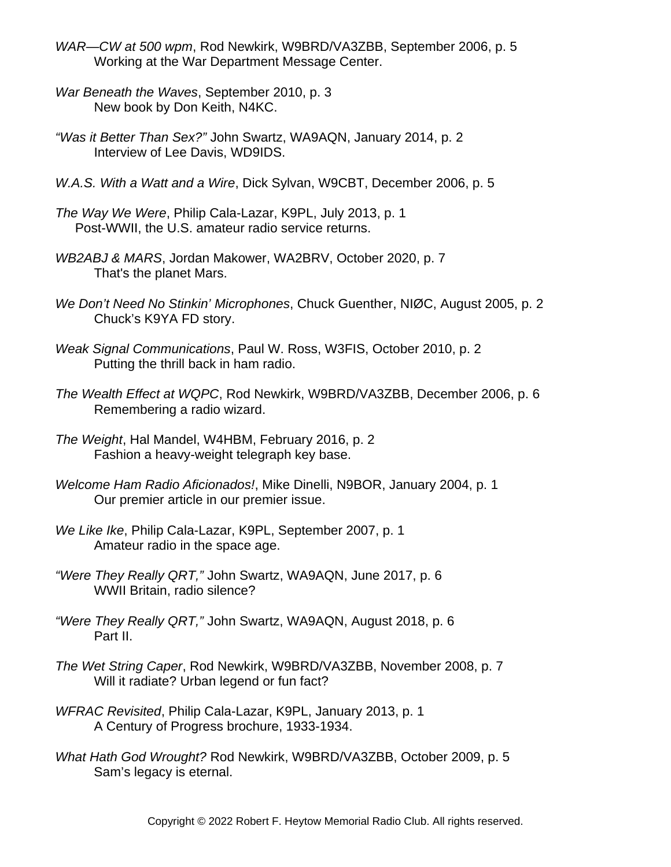- *WAR—CW at 500 wpm*, Rod Newkirk, W9BRD/VA3ZBB, September 2006, p. 5 Working at the War Department Message Center.
- *War Beneath the Waves*, September 2010, p. 3 New book by Don Keith, N4KC.
- *"Was it Better Than Sex?"* John Swartz, WA9AQN, January 2014, p. 2 Interview of Lee Davis, WD9IDS.
- *W.A.S. With a Watt and a Wire*, Dick Sylvan, W9CBT, December 2006, p. 5
- *The Way We Were*, Philip Cala-Lazar, K9PL, July 2013, p. 1 Post-WWII, the U.S. amateur radio service returns.
- *WB2ABJ & MARS*, Jordan Makower, WA2BRV, October 2020, p. 7 That's the planet Mars.
- *We Don't Need No Stinkin' Microphones*, Chuck Guenther, NIØC, August 2005, p. 2 Chuck's K9YA FD story.
- *Weak Signal Communications*, Paul W. Ross, W3FIS, October 2010, p. 2 Putting the thrill back in ham radio.
- *The Wealth Effect at WQPC*, Rod Newkirk, W9BRD/VA3ZBB, December 2006, p. 6 Remembering a radio wizard.
- *The Weight*, Hal Mandel, W4HBM, February 2016, p. 2 Fashion a heavy-weight telegraph key base.
- *Welcome Ham Radio Aficionados!*, Mike Dinelli, N9BOR, January 2004, p. 1 Our premier article in our premier issue.
- *We Like Ike*, Philip Cala-Lazar, K9PL, September 2007, p. 1 Amateur radio in the space age.
- *"Were They Really QRT,"* John Swartz, WA9AQN, June 2017, p. 6 WWII Britain, radio silence?
- *"Were They Really QRT,"* John Swartz, WA9AQN, August 2018, p. 6 Part II.
- *The Wet String Caper*, Rod Newkirk, W9BRD/VA3ZBB, November 2008, p. 7 Will it radiate? Urban legend or fun fact?
- *WFRAC Revisited*, Philip Cala-Lazar, K9PL, January 2013, p. 1 A Century of Progress brochure, 1933-1934.
- *What Hath God Wrought?* Rod Newkirk, W9BRD/VA3ZBB, October 2009, p. 5 Sam's legacy is eternal.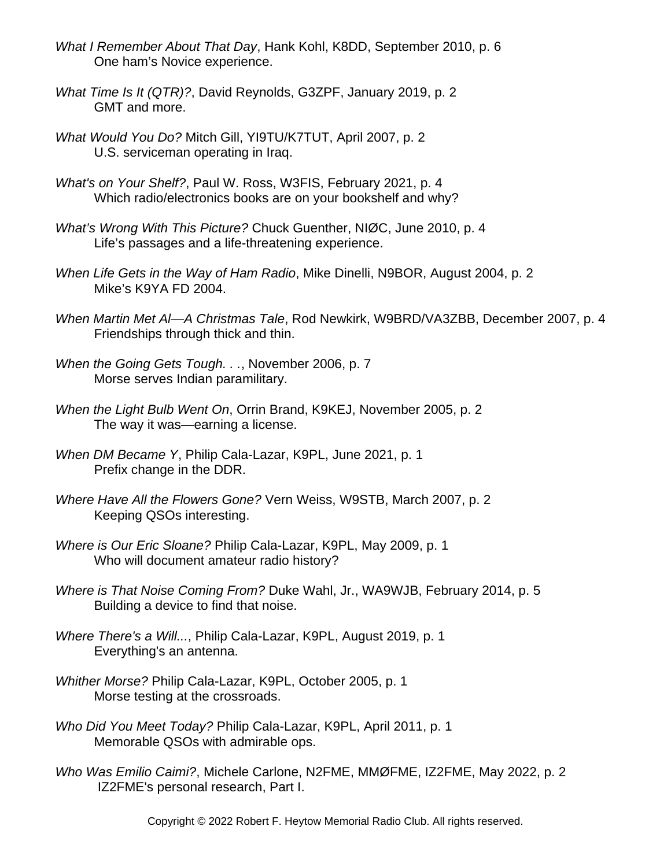- *What I Remember About That Day*, Hank Kohl, K8DD, September 2010, p. 6 One ham's Novice experience.
- *What Time Is It (QTR)?*, David Reynolds, G3ZPF, January 2019, p. 2 GMT and more.
- *What Would You Do?* Mitch Gill, YI9TU/K7TUT, April 2007, p. 2 U.S. serviceman operating in Iraq.
- *What's on Your Shelf?*, Paul W. Ross, W3FIS, February 2021, p. 4 Which radio/electronics books are on your bookshelf and why?
- *What's Wrong With This Picture?* Chuck Guenther, NIØC, June 2010, p. 4 Life's passages and a life-threatening experience.
- *When Life Gets in the Way of Ham Radio*, Mike Dinelli, N9BOR, August 2004, p. 2 Mike's K9YA FD 2004.
- *When Martin Met Al—A Christmas Tale*, Rod Newkirk, W9BRD/VA3ZBB, December 2007, p. 4 Friendships through thick and thin.
- *When the Going Gets Tough. . .*, November 2006, p. 7 Morse serves Indian paramilitary.
- *When the Light Bulb Went On*, Orrin Brand, K9KEJ, November 2005, p. 2 The way it was—earning a license.
- *When DM Became Y*, Philip Cala-Lazar, K9PL, June 2021, p. 1 Prefix change in the DDR.
- *Where Have All the Flowers Gone?* Vern Weiss, W9STB, March 2007, p. 2 Keeping QSOs interesting.
- *Where is Our Eric Sloane?* Philip Cala-Lazar, K9PL, May 2009, p. 1 Who will document amateur radio history?
- *Where is That Noise Coming From?* Duke Wahl, Jr., WA9WJB, February 2014, p. 5 Building a device to find that noise.
- *Where There's a Will...*, Philip Cala-Lazar, K9PL, August 2019, p. 1 Everything's an antenna.
- *Whither Morse?* Philip Cala-Lazar, K9PL, October 2005, p. 1 Morse testing at the crossroads.
- *Who Did You Meet Today?* Philip Cala-Lazar, K9PL, April 2011, p. 1 Memorable QSOs with admirable ops.
- *Who Was Emilio Caimi?*, Michele Carlone, N2FME, MMØFME, IZ2FME, May 2022, p. 2 IZ2FME's personal research, Part I.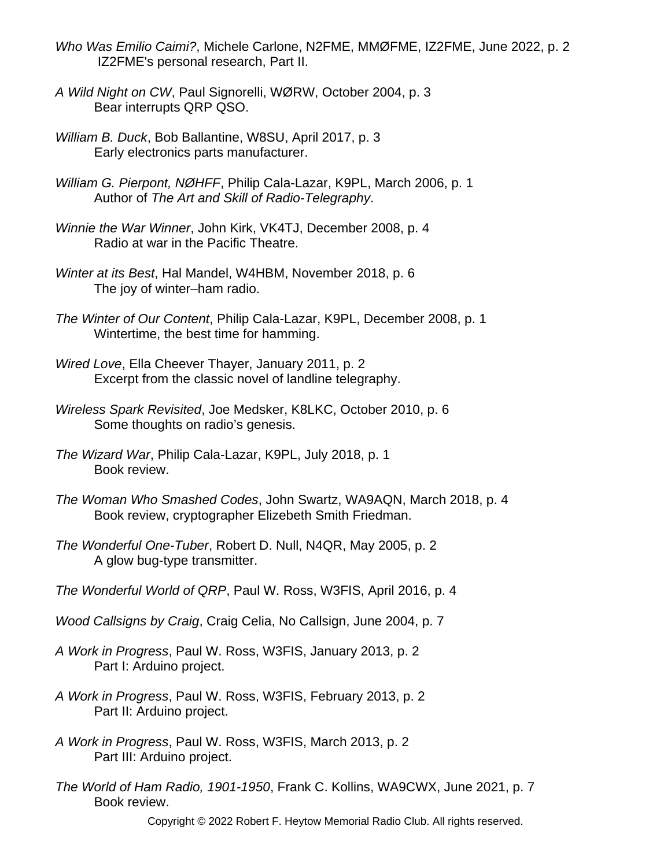- *Who Was Emilio Caimi?*, Michele Carlone, N2FME, MMØFME, IZ2FME, June 2022, p. 2 IZ2FME's personal research, Part II.
- *A Wild Night on CW*, Paul Signorelli, WØRW, October 2004, p. 3 Bear interrupts QRP QSO.
- *William B. Duck*, Bob Ballantine, W8SU, April 2017, p. 3 Early electronics parts manufacturer.
- *William G. Pierpont, NØHFF*, Philip Cala-Lazar, K9PL, March 2006, p. 1 Author of *The Art and Skill of Radio-Telegraphy*.
- *Winnie the War Winner*, John Kirk, VK4TJ, December 2008, p. 4 Radio at war in the Pacific Theatre.
- *Winter at its Best*, Hal Mandel, W4HBM, November 2018, p. 6 The joy of winter–ham radio.
- *The Winter of Our Content*, Philip Cala-Lazar, K9PL, December 2008, p. 1 Wintertime, the best time for hamming.
- *Wired Love*, Ella Cheever Thayer, January 2011, p. 2 Excerpt from the classic novel of landline telegraphy.
- *Wireless Spark Revisited*, Joe Medsker, K8LKC, October 2010, p. 6 Some thoughts on radio's genesis.
- *The Wizard War*, Philip Cala-Lazar, K9PL, July 2018, p. 1 Book review.
- *The Woman Who Smashed Codes*, John Swartz, WA9AQN, March 2018, p. 4 Book review, cryptographer Elizebeth Smith Friedman.
- *The Wonderful One-Tuber*, Robert D. Null, N4QR, May 2005, p. 2 A glow bug-type transmitter.
- *The Wonderful World of QRP*, Paul W. Ross, W3FIS, April 2016, p. 4
- *Wood Callsigns by Craig*, Craig Celia, No Callsign, June 2004, p. 7
- *A Work in Progress*, Paul W. Ross, W3FIS, January 2013, p. 2 Part I: Arduino project.
- *A Work in Progress*, Paul W. Ross, W3FIS, February 2013, p. 2 Part II: Arduino project.
- *A Work in Progress*, Paul W. Ross, W3FIS, March 2013, p. 2 Part III: Arduino project.
- *The World of Ham Radio, 1901-1950*, Frank C. Kollins, WA9CWX, June 2021, p. 7 Book review.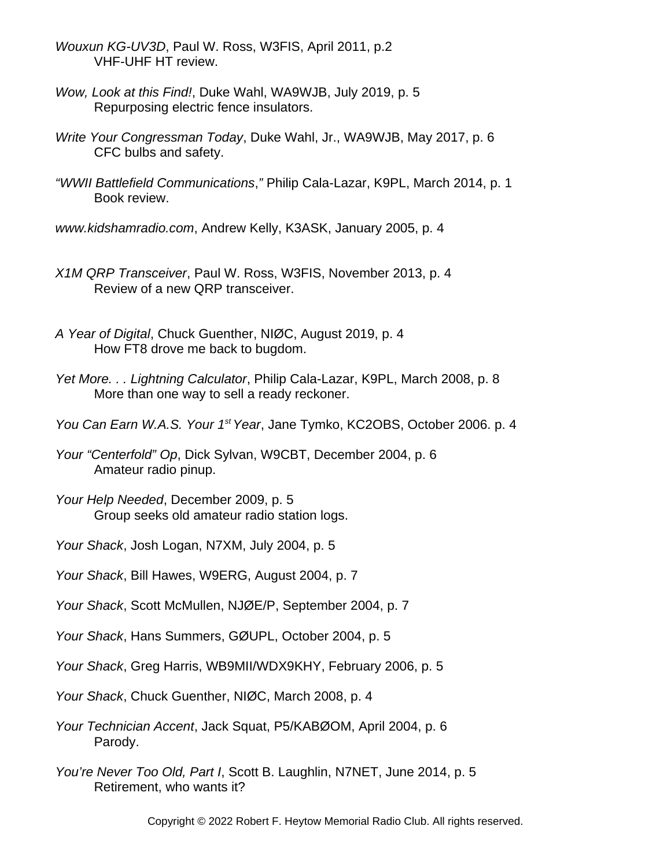- *Wouxun KG-UV3D*, Paul W. Ross, W3FIS, April 2011, p.2 VHF-UHF HT review.
- *Wow, Look at this Find!*, Duke Wahl, WA9WJB, July 2019, p. 5 Repurposing electric fence insulators.
- *Write Your Congressman Today*, Duke Wahl, Jr., WA9WJB, May 2017, p. 6 CFC bulbs and safety.
- *"WWII Battlefield Communications*,*"* Philip Cala-Lazar, K9PL, March 2014, p. 1 Book review.
- *www.kidshamradio.com*, Andrew Kelly, K3ASK, January 2005, p. 4
- *X1M QRP Transceiver*, Paul W. Ross, W3FIS, November 2013, p. 4 Review of a new QRP transceiver.
- *A Year of Digital*, Chuck Guenther, NIØC, August 2019, p. 4 How FT8 drove me back to bugdom.
- *Yet More. . . Lightning Calculator*, Philip Cala-Lazar, K9PL, March 2008, p. 8 More than one way to sell a ready reckoner.
- *You Can Earn W.A.S. Your 1st Year*, Jane Tymko, KC2OBS, October 2006. p. 4

*Your "Centerfold" Op*, Dick Sylvan, W9CBT, December 2004, p. 6 Amateur radio pinup.

- *Your Help Needed*, December 2009, p. 5 Group seeks old amateur radio station logs.
- *Your Shack*, Josh Logan, N7XM, July 2004, p. 5
- *Your Shack*, Bill Hawes, W9ERG, August 2004, p. 7
- *Your Shack*, Scott McMullen, NJØE/P, September 2004, p. 7
- *Your Shack*, Hans Summers, GØUPL, October 2004, p. 5
- *Your Shack*, Greg Harris, WB9MII/WDX9KHY, February 2006, p. 5
- *Your Shack*, Chuck Guenther, NIØC, March 2008, p. 4
- *Your Technician Accent*, Jack Squat, P5/KABØOM, April 2004, p. 6 Parody.
- *You're Never Too Old, Part I*, Scott B. Laughlin, N7NET, June 2014, p. 5 Retirement, who wants it?